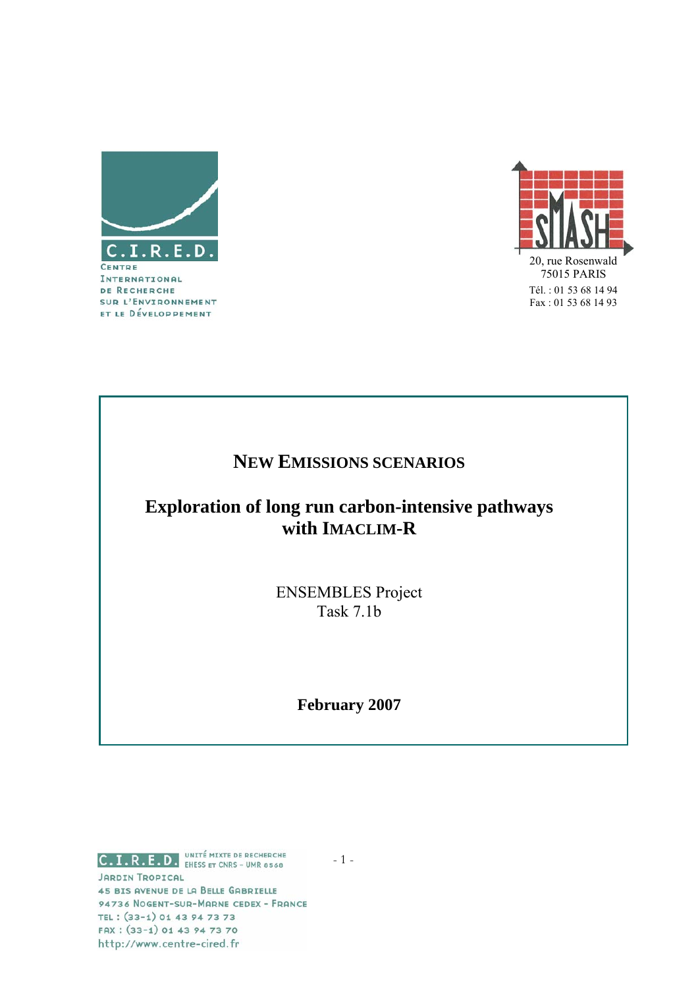



# **NEW EMISSIONS SCENARIOS**

# **Exploration of long run carbon-intensive pathways with IMACLIM-R**

ENSEMBLES Project Task 7.1b

**February 2007** 

C.I.R.E.D. **ENESS ET CNRS - UMR 8568 JARDIN TROPICAL** 45 BIS AVENUE DE LA BELLE GABRIELLE 94736 NOGENT-SUR-MARNE CEDEX - FRANCE TEL: (33-1) 01 43 94 73 73 FAX: (33-1) 01 43 94 73 70 http://www.centre-cired.fr

 $-1 -$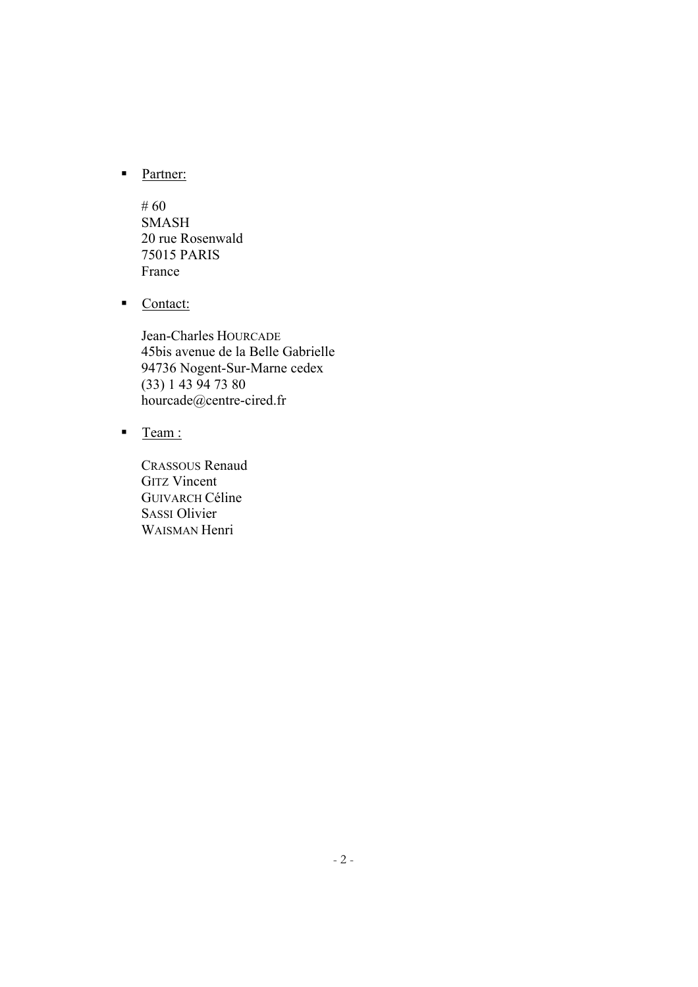**Partner:** 

# 60 SMASH 20 rue Rosenwald 75015 PARIS France

Contact:

Jean-Charles HOURCADE 45bis avenue de la Belle Gabrielle 94736 Nogent-Sur-Marne cedex (33) 1 43 94 73 80 hourcade@centre-cired.fr

■ Team :

CRASSOUS Renaud GITZ Vincent GUIVARCH Céline SASSI Olivier WAISMAN Henri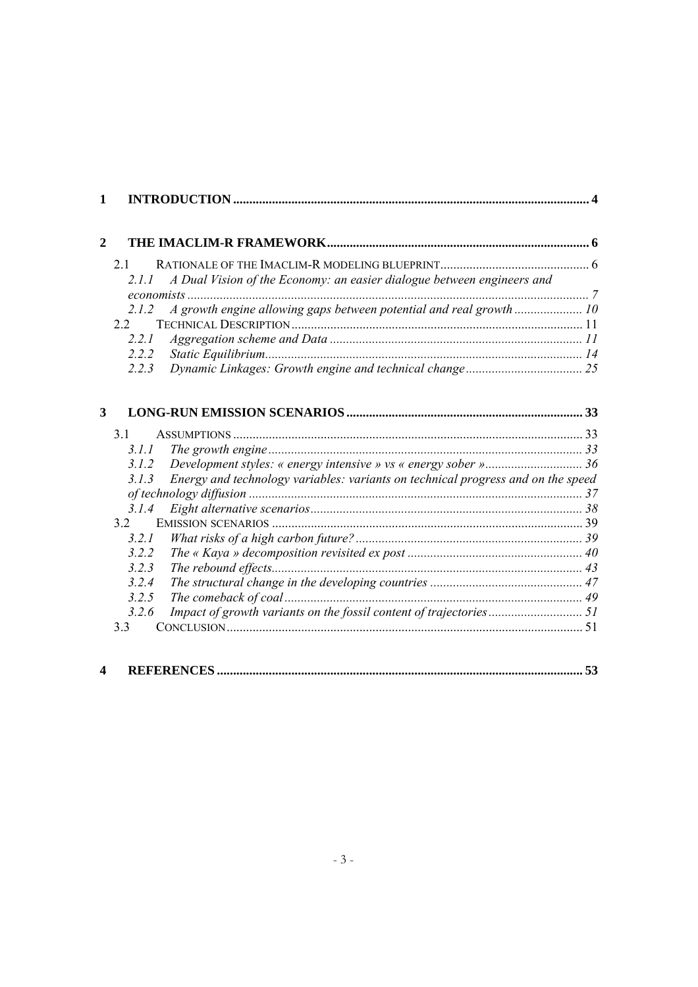| 1            |       |                                                                                  |  |
|--------------|-------|----------------------------------------------------------------------------------|--|
| $\mathbf{2}$ |       |                                                                                  |  |
|              | 21    |                                                                                  |  |
|              | 2.1.1 | A Dual Vision of the Economy: an easier dialogue between engineers and           |  |
|              | 2.1.2 |                                                                                  |  |
|              | 22    |                                                                                  |  |
|              | 2.2.1 |                                                                                  |  |
|              | 2.2.2 |                                                                                  |  |
|              | 2.2.3 |                                                                                  |  |
| 3            |       |                                                                                  |  |
|              | 3.1   |                                                                                  |  |
|              | 3.1.1 |                                                                                  |  |
|              | 3.1.2 |                                                                                  |  |
|              | 3.1.3 | Energy and technology variables: variants on technical progress and on the speed |  |
|              |       |                                                                                  |  |
|              | 3.1.4 |                                                                                  |  |
|              | 32    |                                                                                  |  |
|              | 3.2.1 |                                                                                  |  |
|              | 3.2.2 |                                                                                  |  |
|              | 3.2.3 |                                                                                  |  |
|              | 3.2.4 |                                                                                  |  |
|              | 3.2.5 |                                                                                  |  |
|              | 3.2.6 |                                                                                  |  |
|              | 3.3   |                                                                                  |  |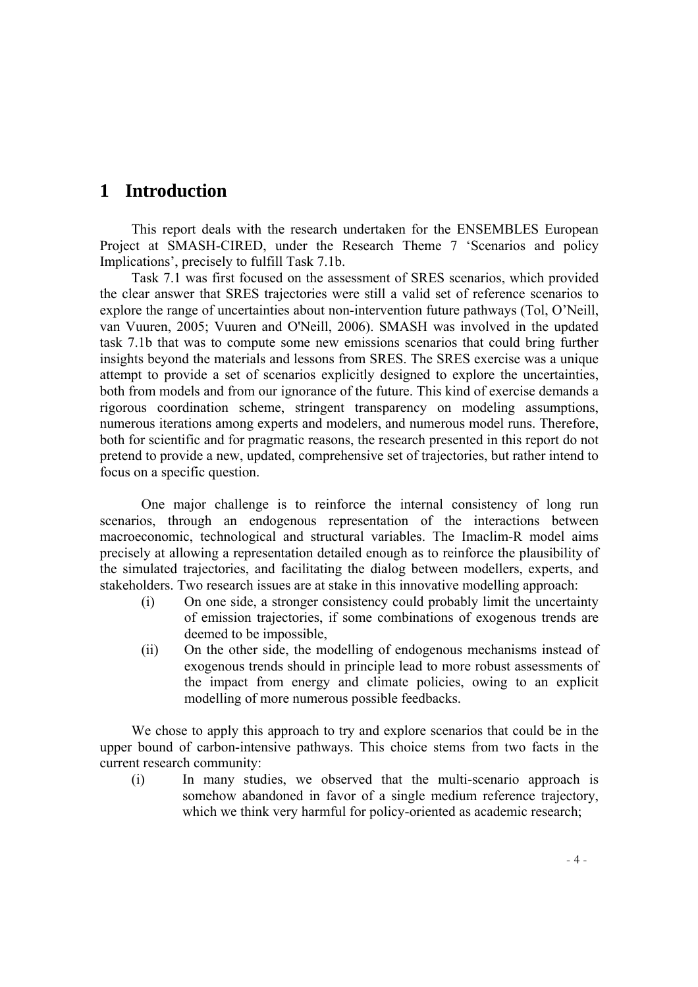# <span id="page-3-0"></span>**1 Introduction**

This report deals with the research undertaken for the ENSEMBLES European Project at SMASH-CIRED, under the Research Theme 7 'Scenarios and policy Implications', precisely to fulfill Task 7.1b.

Task 7.1 was first focused on the assessment of SRES scenarios, which provided the clear answer that SRES trajectories were still a valid set of reference scenarios to explore the range of uncertainties about non-intervention future pathways (Tol, O'Neill, van Vuuren, 2005; Vuuren and O'Neill, 2006). SMASH was involved in the updated task 7.1b that was to compute some new emissions scenarios that could bring further insights beyond the materials and lessons from SRES. The SRES exercise was a unique attempt to provide a set of scenarios explicitly designed to explore the uncertainties, both from models and from our ignorance of the future. This kind of exercise demands a rigorous coordination scheme, stringent transparency on modeling assumptions, numerous iterations among experts and modelers, and numerous model runs. Therefore, both for scientific and for pragmatic reasons, the research presented in this report do not pretend to provide a new, updated, comprehensive set of trajectories, but rather intend to focus on a specific question.

One major challenge is to reinforce the internal consistency of long run scenarios, through an endogenous representation of the interactions between macroeconomic, technological and structural variables. The Imaclim-R model aims precisely at allowing a representation detailed enough as to reinforce the plausibility of the simulated trajectories, and facilitating the dialog between modellers, experts, and stakeholders. Two research issues are at stake in this innovative modelling approach:

- (i) On one side, a stronger consistency could probably limit the uncertainty of emission trajectories, if some combinations of exogenous trends are deemed to be impossible,
- (ii) On the other side, the modelling of endogenous mechanisms instead of exogenous trends should in principle lead to more robust assessments of the impact from energy and climate policies, owing to an explicit modelling of more numerous possible feedbacks.

We chose to apply this approach to try and explore scenarios that could be in the upper bound of carbon-intensive pathways. This choice stems from two facts in the current research community:

(i) In many studies, we observed that the multi-scenario approach is somehow abandoned in favor of a single medium reference trajectory, which we think very harmful for policy-oriented as academic research;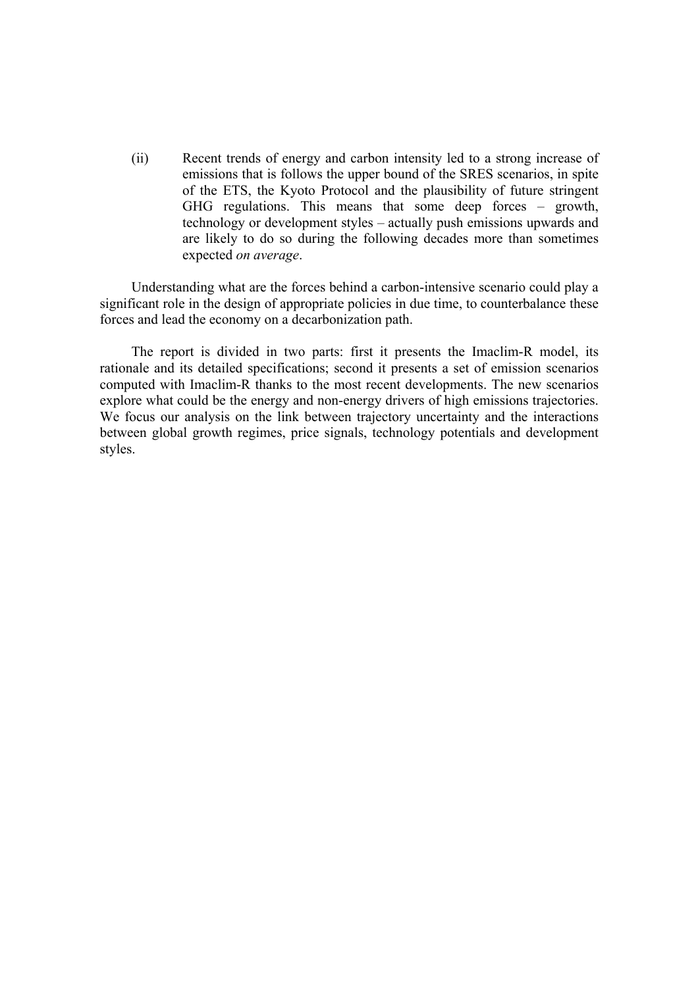(ii) Recent trends of energy and carbon intensity led to a strong increase of emissions that is follows the upper bound of the SRES scenarios, in spite of the ETS, the Kyoto Protocol and the plausibility of future stringent GHG regulations. This means that some deep forces – growth, technology or development styles – actually push emissions upwards and are likely to do so during the following decades more than sometimes expected *on average*.

Understanding what are the forces behind a carbon-intensive scenario could play a significant role in the design of appropriate policies in due time, to counterbalance these forces and lead the economy on a decarbonization path.

The report is divided in two parts: first it presents the Imaclim-R model, its rationale and its detailed specifications; second it presents a set of emission scenarios computed with Imaclim-R thanks to the most recent developments. The new scenarios explore what could be the energy and non-energy drivers of high emissions trajectories. We focus our analysis on the link between trajectory uncertainty and the interactions between global growth regimes, price signals, technology potentials and development styles.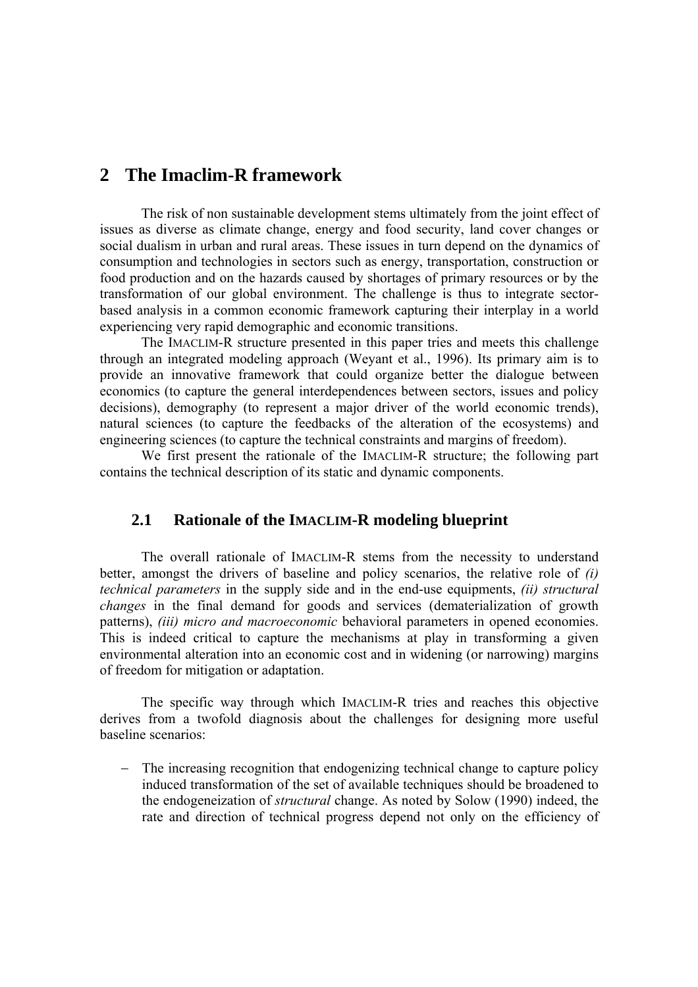## <span id="page-5-0"></span>**2 The Imaclim-R framework**

The risk of non sustainable development stems ultimately from the joint effect of issues as diverse as climate change, energy and food security, land cover changes or social dualism in urban and rural areas. These issues in turn depend on the dynamics of consumption and technologies in sectors such as energy, transportation, construction or food production and on the hazards caused by shortages of primary resources or by the transformation of our global environment. The challenge is thus to integrate sectorbased analysis in a common economic framework capturing their interplay in a world experiencing very rapid demographic and economic transitions.

The IMACLIM-R structure presented in this paper tries and meets this challenge through an integrated modeling approach (Weyant et al., 1996). Its primary aim is to provide an innovative framework that could organize better the dialogue between economics (to capture the general interdependences between sectors, issues and policy decisions), demography (to represent a major driver of the world economic trends), natural sciences (to capture the feedbacks of the alteration of the ecosystems) and engineering sciences (to capture the technical constraints and margins of freedom).

We first present the rationale of the IMACLIM-R structure; the following part contains the technical description of its static and dynamic components.

## **2.1 Rationale of the IMACLIM-R modeling blueprint**

The overall rationale of IMACLIM-R stems from the necessity to understand better, amongst the drivers of baseline and policy scenarios, the relative role of *(i) technical parameters* in the supply side and in the end-use equipments, *(ii) structural changes* in the final demand for goods and services (dematerialization of growth patterns), *(iii) micro and macroeconomic* behavioral parameters in opened economies. This is indeed critical to capture the mechanisms at play in transforming a given environmental alteration into an economic cost and in widening (or narrowing) margins of freedom for mitigation or adaptation.

The specific way through which IMACLIM-R tries and reaches this objective derives from a twofold diagnosis about the challenges for designing more useful baseline scenarios:

− The increasing recognition that endogenizing technical change to capture policy induced transformation of the set of available techniques should be broadened to the endogeneization of *structural* change. As noted by Solow (1990) indeed, the rate and direction of technical progress depend not only on the efficiency of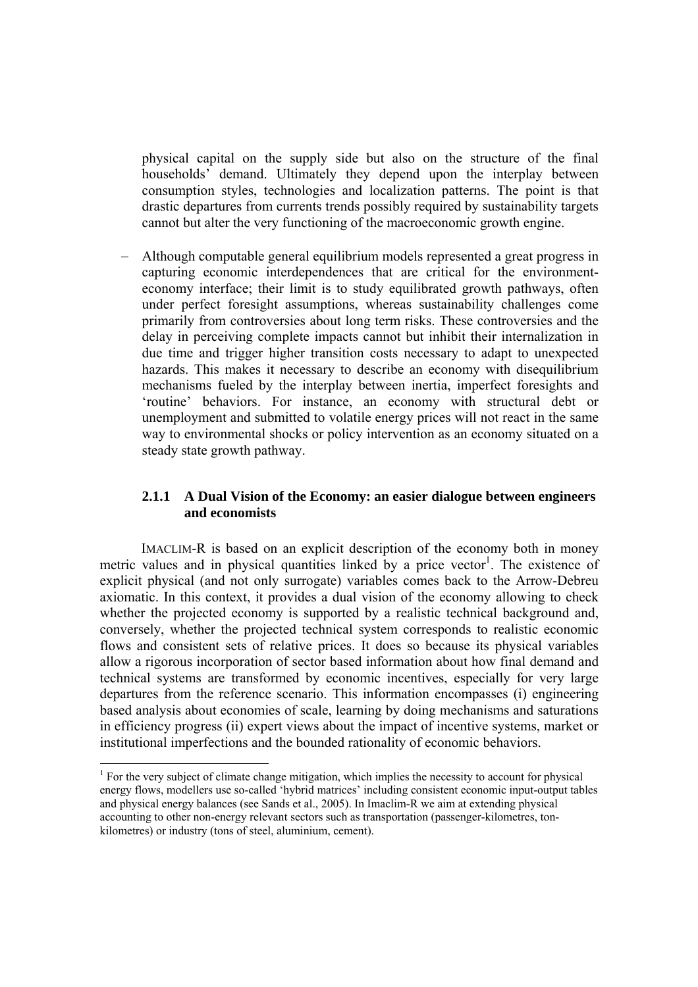<span id="page-6-0"></span>physical capital on the supply side but also on the structure of the final households' demand. Ultimately they depend upon the interplay between consumption styles, technologies and localization patterns. The point is that drastic departures from currents trends possibly required by sustainability targets cannot but alter the very functioning of the macroeconomic growth engine.

− Although computable general equilibrium models represented a great progress in capturing economic interdependences that are critical for the environmenteconomy interface; their limit is to study equilibrated growth pathways, often under perfect foresight assumptions, whereas sustainability challenges come primarily from controversies about long term risks. These controversies and the delay in perceiving complete impacts cannot but inhibit their internalization in due time and trigger higher transition costs necessary to adapt to unexpected hazards. This makes it necessary to describe an economy with disequilibrium mechanisms fueled by the interplay between inertia, imperfect foresights and 'routine' behaviors. For instance, an economy with structural debt or unemployment and submitted to volatile energy prices will not react in the same way to environmental shocks or policy intervention as an economy situated on a steady state growth pathway.

### **2.1.1 A Dual Vision of the Economy: an easier dialogue between engineers and economists**

 IMACLIM-R is based on an explicit description of the economy both in money metric values and in physical quantities linked by a price vector<sup>1</sup>. The existence of explicit physical (and not only surrogate) variables comes back to the Arrow-Debreu axiomatic. In this context, it provides a dual vision of the economy allowing to check whether the projected economy is supported by a realistic technical background and, conversely, whether the projected technical system corresponds to realistic economic flows and consistent sets of relative prices. It does so because its physical variables allow a rigorous incorporation of sector based information about how final demand and technical systems are transformed by economic incentives, especially for very large departures from the reference scenario. This information encompasses (i) engineering based analysis about economies of scale, learning by doing mechanisms and saturations in efficiency progress (ii) expert views about the impact of incentive systems, market or institutional imperfections and the bounded rationality of economic behaviors.

<span id="page-6-1"></span> $<sup>1</sup>$  For the very subject of climate change mitigation, which implies the necessity to account for physical</sup> energy flows, modellers use so-called 'hybrid matrices' including consistent economic input-output tables and physical energy balances (see Sands et al., 2005). In Imaclim-R we aim at extending physical accounting to other non-energy relevant sectors such as transportation (passenger-kilometres, tonkilometres) or industry (tons of steel, aluminium, cement).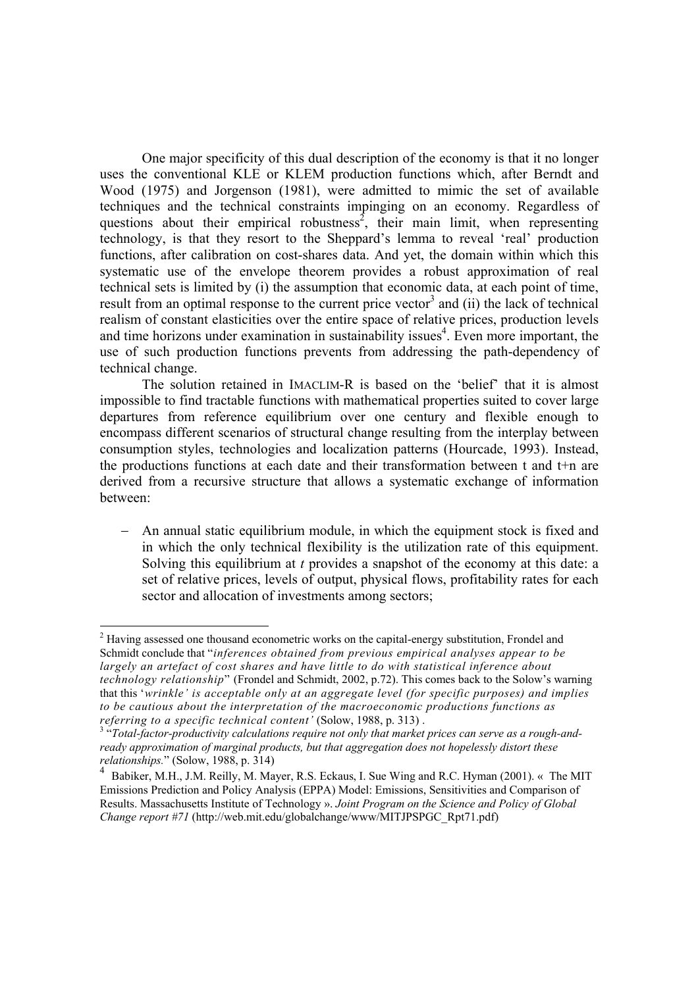One major specificity of this dual description of the economy is that it no longer uses the conventional KLE or KLEM production functions which, after Berndt and Wood (1975) and Jorgenson (1981), were admitted to mimic the set of available techniques and the technical constraints impinging on an economy. Regardless of questions about their empirical robustness<sup>[2](#page-7-0)</sup>, their main limit, when representing technology, is that they resort to the Sheppard's lemma to reveal 'real' production functions, after calibration on cost-shares data. And yet, the domain within which this systematic use of the envelope theorem provides a robust approximation of real technical sets is limited by (i) the assumption that economic data, at each point of time, result from an optimal response to the current price vector<sup>[3](#page-7-1)</sup> and (ii) the lack of technical realism of constant elasticities over the entire space of relative prices, production levels and time horizons under examination in sustainability issues<sup>[4](#page-7-2)</sup>. Even more important, the use of such production functions prevents from addressing the path-dependency of technical change.

The solution retained in IMACLIM-R is based on the 'belief' that it is almost impossible to find tractable functions with mathematical properties suited to cover large departures from reference equilibrium over one century and flexible enough to encompass different scenarios of structural change resulting from the interplay between consumption styles, technologies and localization patterns (Hourcade, 1993). Instead, the productions functions at each date and their transformation between t and t+n are derived from a recursive structure that allows a systematic exchange of information between:

− An annual static equilibrium module, in which the equipment stock is fixed and in which the only technical flexibility is the utilization rate of this equipment. Solving this equilibrium at *t* provides a snapshot of the economy at this date: a set of relative prices, levels of output, physical flows, profitability rates for each sector and allocation of investments among sectors;

<span id="page-7-0"></span> $2$  Having assessed one thousand econometric works on the capital-energy substitution, Frondel and Schmidt conclude that "*inferences obtained from previous empirical analyses appear to be*  largely an artefact of cost shares and have little to do with statistical inference about *technology relationship*" (Frondel and Schmidt, 2002, p.72). This comes back to the Solow's warning that this '*wrinkle' is acceptable only at an aggregate level (for specific purposes) and implies to be cautious about the interpretation of the macroeconomic productions functions as*  referring to a specific technical content' (Solow, 1988, p. 313) .<br><sup>3</sup> "Total-factor-productivity calculations require not only that market prices can serve as a rough-and-

<span id="page-7-1"></span>*ready approximation of marginal products, but that aggregation does not hopelessly distort these relationships.*" (Solow, 1988, p. 314)<br><sup>4</sup> Dekiliar M.U. J.M. Beilly, M. Ma

<span id="page-7-2"></span>Babiker, M.H., J.M. Reilly, M. Mayer, R.S. Eckaus, I. Sue Wing and R.C. Hyman (2001). « The MIT Emissions Prediction and Policy Analysis (EPPA) Model: Emissions, Sensitivities and Comparison of Results. Massachusetts Institute of Technology ». *Joint Program on the Science and Policy of Global Change report #71* (http://web.mit.edu/globalchange/www/MITJPSPGC\_Rpt71.pdf)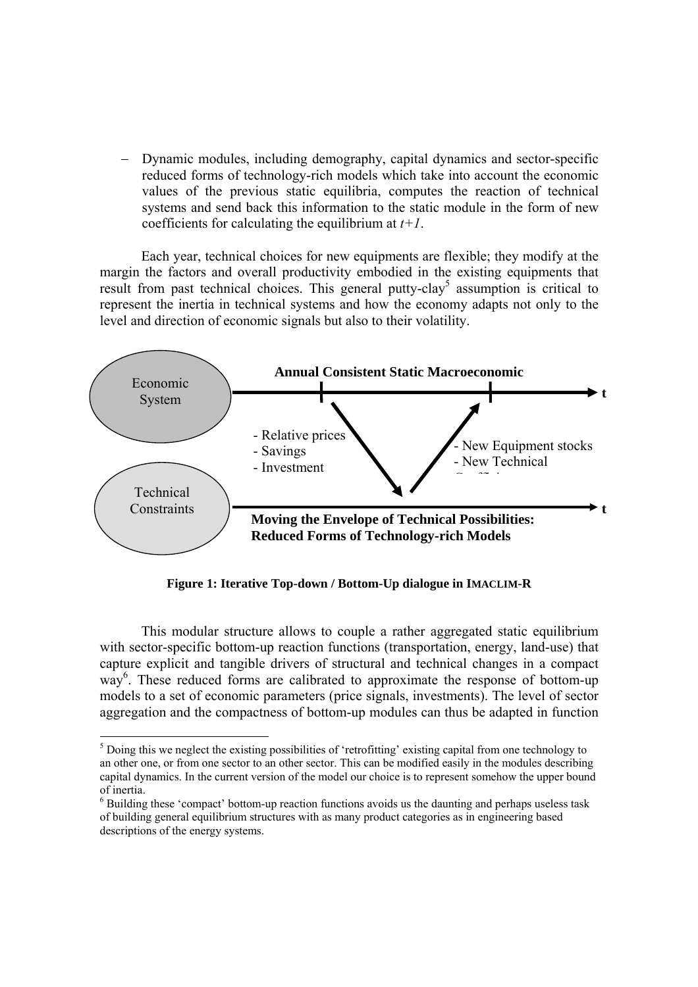Dynamic modules, including demography, capital dynamics and sector-specific reduced forms of technology-rich models which take into account the economic values of the previous static equilibria, computes the reaction of technical systems and send back this information to the static module in the form of new coefficients for calculating the equilibrium at  $t+1$ .

Each year, technical choices for new equipments are flexible; they modify at the margin the factors and overall productivity embodied in the existing equipments that result from past technical choices. This general putty-clay<sup>[5](#page-8-0)</sup> assumption is critical to represent the inertia in technical systems and how the economy adapts not only to the level and direction of economic signals but also to their volatility.



**Figure 1: Iterative Top-down / Bottom-Up dialogue in IMACLIM-R** 

This modular structure allows to couple a rather aggregated static equilibrium with sector-specific bottom-up reaction functions (transportation, energy, land-use) that capture explicit and tangible drivers of structural and technical changes in a compact way<sup>6</sup>. These reduced forms are calibrated to approximate the response of bottom-up models to a set of economic parameters (price signals, investments). The level of sector aggregation and the compactness of bottom-up modules can thus be adapted in function

<span id="page-8-0"></span><sup>&</sup>lt;sup>5</sup> Doing this we neglect the existing possibilities of 'retrofitting' existing capital from one technology to an other one, or from one sector to an other sector. This can be modified easily in the modules describing capital dynamics. In the current version of the model our choice is to represent somehow the upper bound of inertia. 6

<span id="page-8-1"></span> $6$  Building these 'compact' bottom-up reaction functions avoids us the daunting and perhaps useless task of building general equilibrium structures with as many product categories as in engineering based descriptions of the energy systems.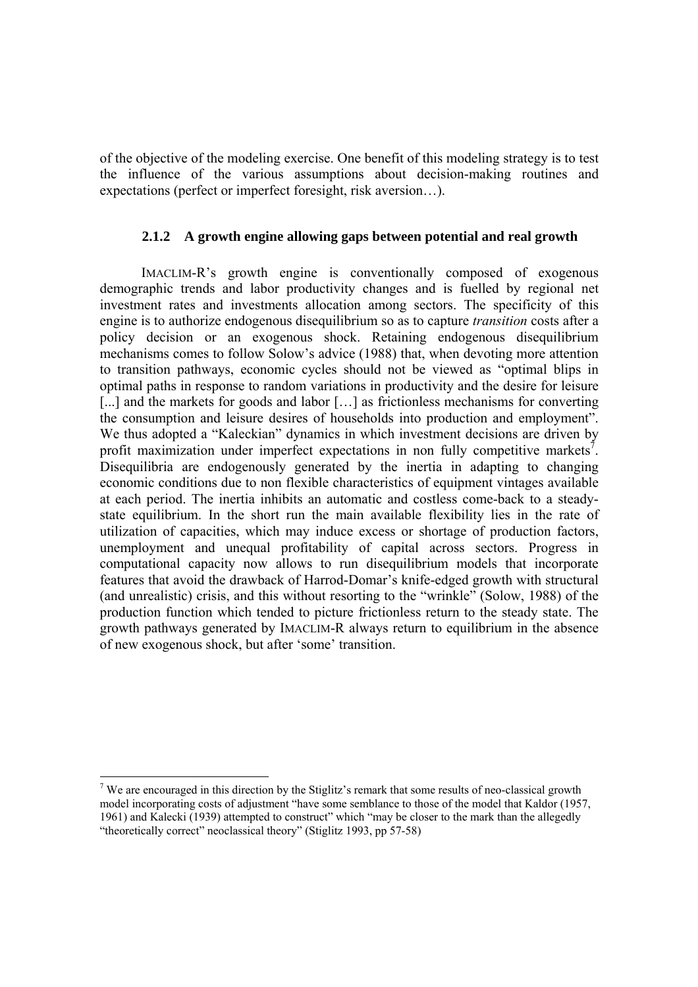<span id="page-9-0"></span>of the objective of the modeling exercise. One benefit of this modeling strategy is to test the influence of the various assumptions about decision-making routines and expectations (perfect or imperfect foresight, risk aversion…).

### **2.1.2 A growth engine allowing gaps between potential and real growth**

IMACLIM-R's growth engine is conventionally composed of exogenous demographic trends and labor productivity changes and is fuelled by regional net investment rates and investments allocation among sectors. The specificity of this engine is to authorize endogenous disequilibrium so as to capture *transition* costs after a policy decision or an exogenous shock. Retaining endogenous disequilibrium mechanisms comes to follow Solow's advice (1988) that, when devoting more attention to transition pathways, economic cycles should not be viewed as "optimal blips in optimal paths in response to random variations in productivity and the desire for leisure [...] and the markets for goods and labor [...] as frictionless mechanisms for converting the consumption and leisure desires of households into production and employment". We thus adopted a "Kaleckian" dynamics in which investment decisions are driven by profit maximization under imperfect expectations in non fully competitive markets<sup>7</sup>. Disequilibria are endogenously generated by the inertia in adapting to changing economic conditions due to non flexible characteristics of equipment vintages available at each period. The inertia inhibits an automatic and costless come-back to a steadystate equilibrium. In the short run the main available flexibility lies in the rate of utilization of capacities, which may induce excess or shortage of production factors, unemployment and unequal profitability of capital across sectors. Progress in computational capacity now allows to run disequilibrium models that incorporate features that avoid the drawback of Harrod-Domar's knife-edged growth with structural (and unrealistic) crisis, and this without resorting to the "wrinkle" (Solow, 1988) of the production function which tended to picture frictionless return to the steady state. The growth pathways generated by IMACLIM-R always return to equilibrium in the absence of new exogenous shock, but after 'some' transition.

<span id="page-9-1"></span><sup>&</sup>lt;sup>7</sup> We are encouraged in this direction by the Stiglitz's remark that some results of neo-classical growth model incorporating costs of adjustment "have some semblance to those of the model that Kaldor (1957, 1961) and Kalecki (1939) attempted to construct" which "may be closer to the mark than the allegedly "theoretically correct" neoclassical theory" (Stiglitz 1993, pp 57-58)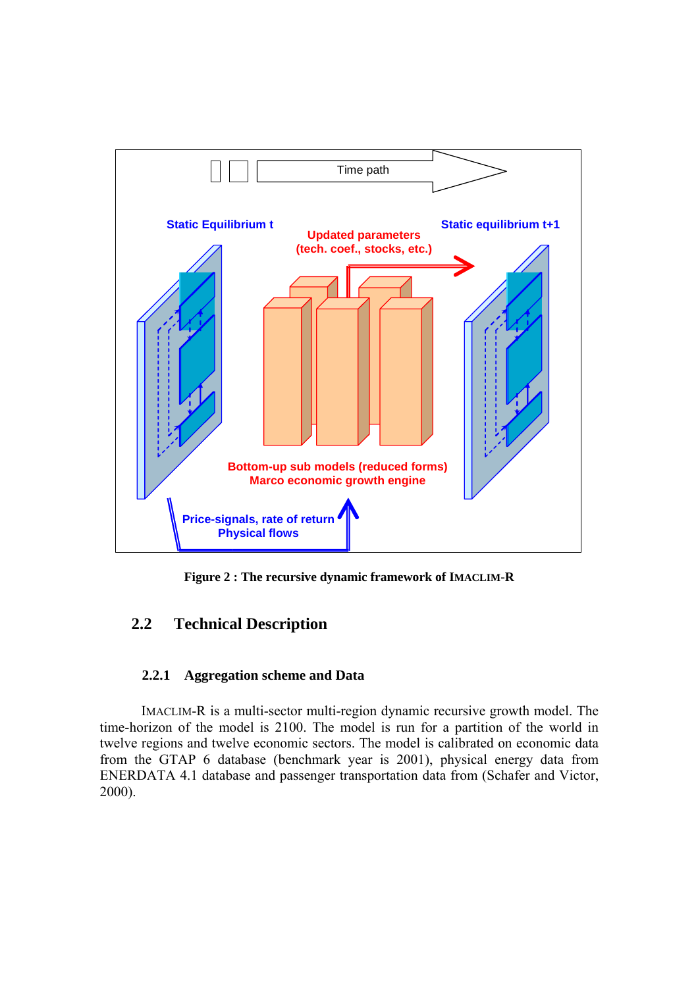<span id="page-10-0"></span>

**Figure 2 : The recursive dynamic framework of IMACLIM-R** 

## **2.2 Technical Description**

### **2.2.1 Aggregation scheme and Data**

IMACLIM-R is a multi-sector multi-region dynamic recursive growth model. The time-horizon of the model is 2100. The model is run for a partition of the world in twelve regions and twelve economic sectors. The model is calibrated on economic data from the GTAP 6 database (benchmark year is 2001), physical energy data from ENERDATA 4.1 database and passenger transportation data from (Schafer and Victor, 2000).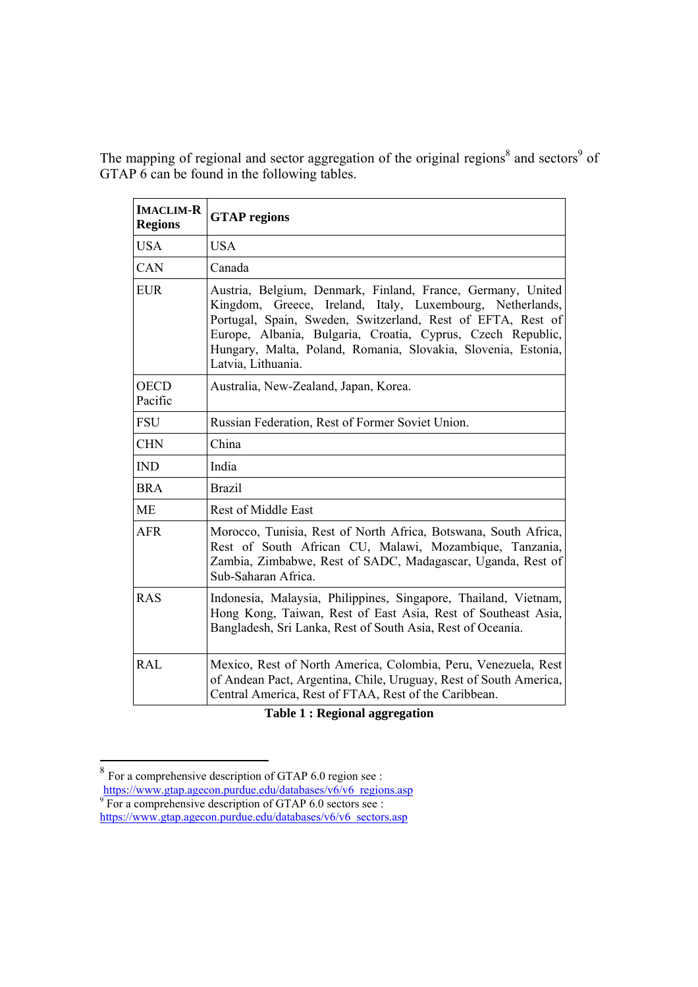The mapping of regional and sector aggregation of the original regions<sup>[8](#page-11-0)</sup> and sectors<sup>[9](#page-11-1)</sup> of GTAP 6 can be found in the following tables.

| <b>IMACLIM-R</b><br><b>Regions</b> | <b>GTAP</b> regions                                                                                                                                                                                                                                                                                                                           |
|------------------------------------|-----------------------------------------------------------------------------------------------------------------------------------------------------------------------------------------------------------------------------------------------------------------------------------------------------------------------------------------------|
| <b>USA</b>                         | <b>USA</b>                                                                                                                                                                                                                                                                                                                                    |
| CAN                                | Canada                                                                                                                                                                                                                                                                                                                                        |
| <b>EUR</b>                         | Austria, Belgium, Denmark, Finland, France, Germany, United<br>Kingdom, Greece, Ireland, Italy, Luxembourg, Netherlands,<br>Portugal, Spain, Sweden, Switzerland, Rest of EFTA, Rest of<br>Europe, Albania, Bulgaria, Croatia, Cyprus, Czech Republic,<br>Hungary, Malta, Poland, Romania, Slovakia, Slovenia, Estonia,<br>Latvia, Lithuania. |
| <b>OECD</b><br>Pacific             | Australia, New-Zealand, Japan, Korea.                                                                                                                                                                                                                                                                                                         |
| <b>FSU</b>                         | Russian Federation, Rest of Former Soviet Union.                                                                                                                                                                                                                                                                                              |
| <b>CHN</b>                         | China                                                                                                                                                                                                                                                                                                                                         |
| <b>IND</b>                         | India                                                                                                                                                                                                                                                                                                                                         |
| <b>BRA</b>                         | <b>Brazil</b>                                                                                                                                                                                                                                                                                                                                 |
| <b>ME</b>                          | <b>Rest of Middle East</b>                                                                                                                                                                                                                                                                                                                    |
| <b>AFR</b>                         | Morocco, Tunisia, Rest of North Africa, Botswana, South Africa,<br>Rest of South African CU, Malawi, Mozambique, Tanzania,<br>Zambia, Zimbabwe, Rest of SADC, Madagascar, Uganda, Rest of<br>Sub-Saharan Africa.                                                                                                                              |
| <b>RAS</b>                         | Indonesia, Malaysia, Philippines, Singapore, Thailand, Vietnam,<br>Hong Kong, Taiwan, Rest of East Asia, Rest of Southeast Asia,<br>Bangladesh, Sri Lanka, Rest of South Asia, Rest of Oceania.                                                                                                                                               |
| <b>RAL</b>                         | Mexico, Rest of North America, Colombia, Peru, Venezuela, Rest<br>of Andean Pact, Argentina, Chile, Uruguay, Rest of South America,<br>Central America, Rest of FTAA, Rest of the Caribbean.                                                                                                                                                  |

**Table 1 : Regional aggregation** 

<span id="page-11-0"></span><sup>&</sup>lt;sup>8</sup> For a comprehensive description of GTAP 6.0 region see :  $\frac{\text{https://www.gtap.agecon.purdue.edu/databases/v6/v6\_regions.asp}}{\text{9}}$  For a comprehensive description of GTAP 6.0 sectors see :

<span id="page-11-1"></span>[https://www.gtap.agecon.purdue.edu/databases/v6/v6\\_sectors.asp](https://www.gtap.agecon.purdue.edu/databases/v6/v6_sectors.asp)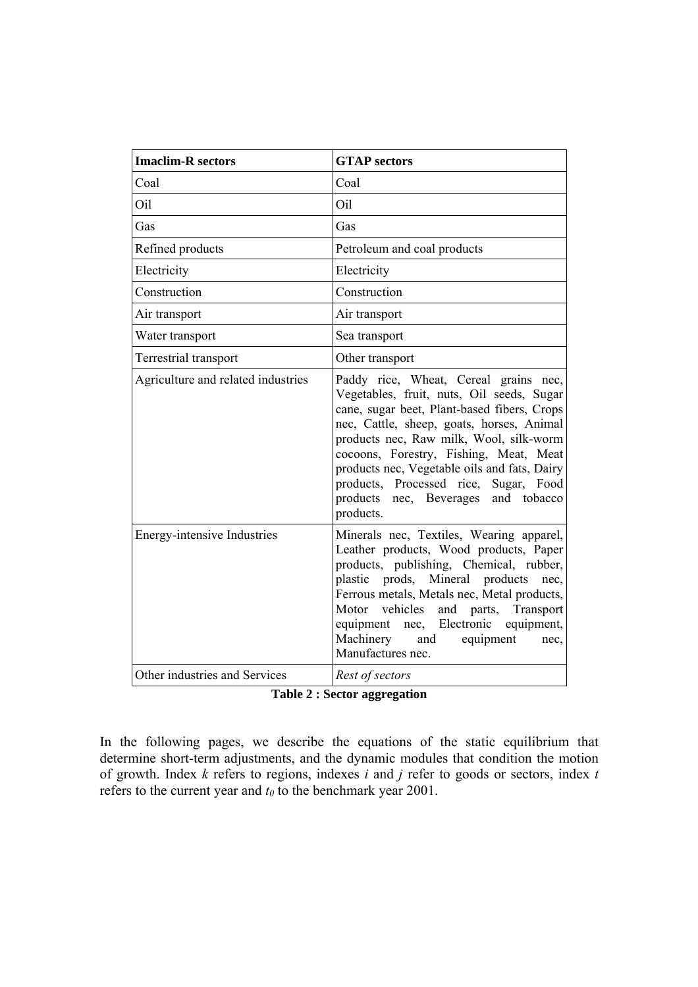| <b>Imaclim-R</b> sectors           | <b>GTAP</b> sectors                                                                                                                                                                                                                                                                                                                                                                                                 |  |  |  |
|------------------------------------|---------------------------------------------------------------------------------------------------------------------------------------------------------------------------------------------------------------------------------------------------------------------------------------------------------------------------------------------------------------------------------------------------------------------|--|--|--|
| Coal                               | Coal                                                                                                                                                                                                                                                                                                                                                                                                                |  |  |  |
| Oil                                | Oil                                                                                                                                                                                                                                                                                                                                                                                                                 |  |  |  |
| Gas                                | Gas                                                                                                                                                                                                                                                                                                                                                                                                                 |  |  |  |
| Refined products                   | Petroleum and coal products                                                                                                                                                                                                                                                                                                                                                                                         |  |  |  |
| Electricity                        | Electricity                                                                                                                                                                                                                                                                                                                                                                                                         |  |  |  |
| Construction                       | Construction                                                                                                                                                                                                                                                                                                                                                                                                        |  |  |  |
| Air transport                      | Air transport                                                                                                                                                                                                                                                                                                                                                                                                       |  |  |  |
| Water transport                    | Sea transport                                                                                                                                                                                                                                                                                                                                                                                                       |  |  |  |
| Terrestrial transport              | Other transport                                                                                                                                                                                                                                                                                                                                                                                                     |  |  |  |
| Agriculture and related industries | Paddy rice, Wheat, Cereal grains nec,<br>Vegetables, fruit, nuts, Oil seeds, Sugar<br>cane, sugar beet, Plant-based fibers, Crops<br>nec, Cattle, sheep, goats, horses, Animal<br>products nec, Raw milk, Wool, silk-worm<br>cocoons, Forestry, Fishing, Meat, Meat<br>products nec, Vegetable oils and fats, Dairy<br>products, Processed rice, Sugar, Food<br>products nec, Beverages<br>and tobacco<br>products. |  |  |  |
| <b>Energy-intensive Industries</b> | Minerals nec, Textiles, Wearing apparel,<br>Leather products, Wood products, Paper<br>products, publishing, Chemical, rubber,<br>plastic prods, Mineral products<br>nec,<br>Ferrous metals, Metals nec, Metal products,<br>and parts, Transport<br>Motor<br>vehicles<br>equipment nec, Electronic equipment,<br>Machinery<br>equipment<br>and<br>nec,<br>Manufactures nec.                                          |  |  |  |
| Other industries and Services      | Rest of sectors                                                                                                                                                                                                                                                                                                                                                                                                     |  |  |  |

**Table 2 : Sector aggregation** 

In the following pages, we describe the equations of the static equilibrium that determine short-term adjustments, and the dynamic modules that condition the motion of growth. Index *k* refers to regions, indexes *i* and *j* refer to goods or sectors, index *t* refers to the current year and  $t_0$  to the benchmark year 2001.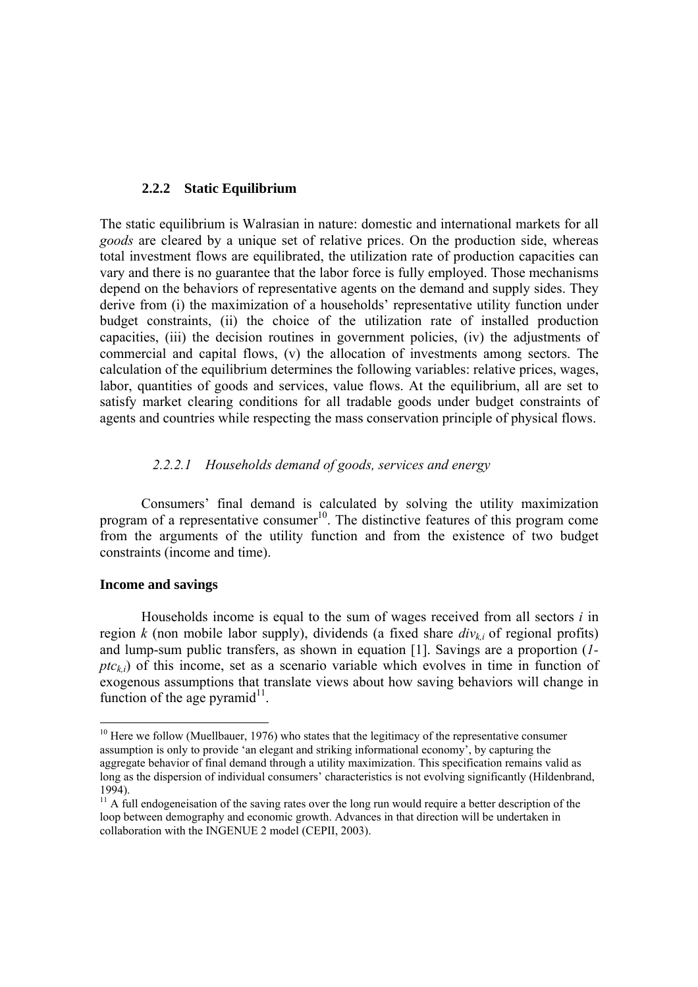### <span id="page-13-0"></span>**2.2.2 Static Equilibrium**

The static equilibrium is Walrasian in nature: domestic and international markets for all *goods* are cleared by a unique set of relative prices. On the production side, whereas total investment flows are equilibrated, the utilization rate of production capacities can vary and there is no guarantee that the labor force is fully employed. Those mechanisms depend on the behaviors of representative agents on the demand and supply sides. They derive from (i) the maximization of a households' representative utility function under budget constraints, (ii) the choice of the utilization rate of installed production capacities, (iii) the decision routines in government policies, (iv) the adjustments of commercial and capital flows, (v) the allocation of investments among sectors. The calculation of the equilibrium determines the following variables: relative prices, wages, labor, quantities of goods and services, value flows. At the equilibrium, all are set to satisfy market clearing conditions for all tradable goods under budget constraints of agents and countries while respecting the mass conservation principle of physical flows.

### *2.2.2.1 Households demand of goods, services and energy*

Consumers' final demand is calculated by solving the utility maximization program of a representative consumer<sup>10</sup>. The distinctive features of this program come from the arguments of the utility function and from the existence of two budget constraints (income and time).

#### **Income and savings**

 $\overline{a}$ 

Households income is equal to the sum of wages received from all sectors *i* in region  $k$  (non mobile labor supply), dividends (a fixed share  $div_{ki}$  of regional profits) and lump-sum public transfers, as shown in equation [\[1\].](#page-14-0) Savings are a proportion (*1*  $ptc_{ki}$ ) of this income, set as a scenario variable which evolves in time in function of exogenous assumptions that translate views about how saving behaviors will change in function of the age pyramid $^{11}$ .

<span id="page-13-1"></span><sup>&</sup>lt;sup>10</sup> Here we follow (Muellbauer, 1976) who states that the legitimacy of the representative consumer assumption is only to provide 'an elegant and striking informational economy', by capturing the aggregate behavior of final demand through a utility maximization. This specification remains valid as long as the dispersion of individual consumers' characteristics is not evolving significantly (Hildenbrand, 1994).

<span id="page-13-2"></span> $11$  A full endogeneisation of the saving rates over the long run would require a better description of the loop between demography and economic growth. Advances in that direction will be undertaken in collaboration with the INGENUE 2 model (CEPII, 2003).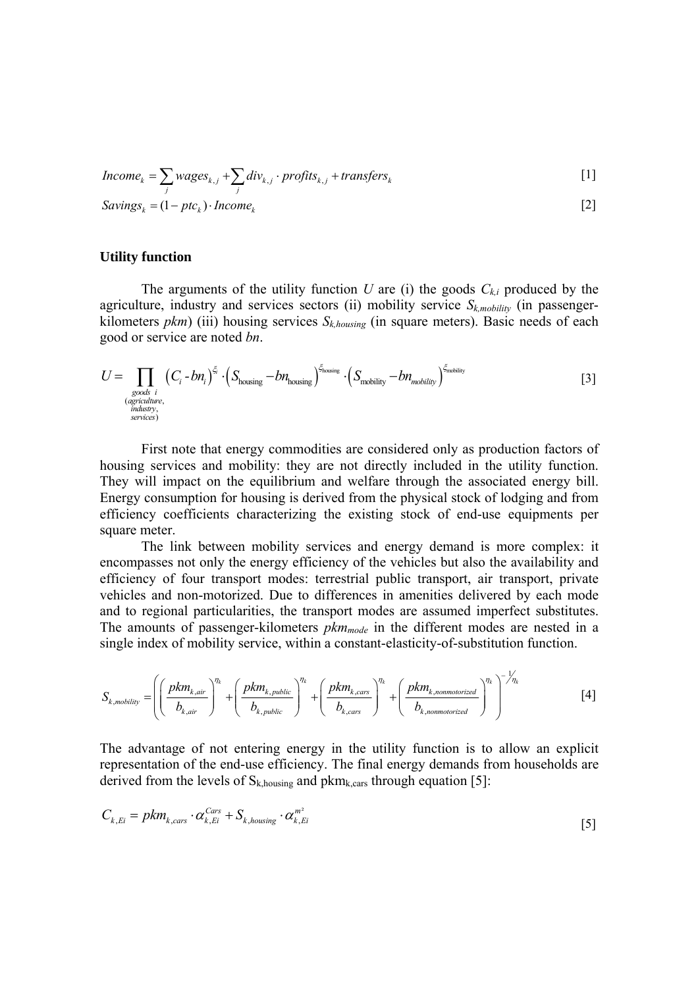<span id="page-14-0"></span>
$$
Income_k = \sum_j wages_{k,j} + \sum_j div_{k,j} \cdot profits_{k,j} + transfers_k
$$
\n[1]  
\n
$$
Savings_k = (1 - ptc_k) \cdot Income_k
$$
\n[2]

**Utility function** 

The arguments of the utility function *U* are (i) the goods  $C_{ki}$  produced by the agriculture, industry and services sectors (ii) mobility service  $S_{k, mobility}$  (in passengerkilometers *pkm*) (iii) housing services  $S_{k,housine}$  (in square meters). Basic needs of each good or service are noted *bn*.

$$
U = \prod_{\substack{\text{goods } i \\ \text{(agriculture,}\\ \text{industry,}\\ \text{series}}} \left( C_i - b n_i \right)^{\xi_i} \cdot \left( S_{\text{housing}} - b n_{\text{housing}} \right)^{\xi_{\text{housing}}} \cdot \left( S_{\text{mobility}} - b n_{\text{mobility}} \right)^{\xi_{\text{motility}}} \tag{3}
$$

First note that energy commodities are considered only as production factors of housing services and mobility: they are not directly included in the utility function. They will impact on the equilibrium and welfare through the associated energy bill. Energy consumption for housing is derived from the physical stock of lodging and from efficiency coefficients characterizing the existing stock of end-use equipments per square meter.

The link between mobility services and energy demand is more complex: it encompasses not only the energy efficiency of the vehicles but also the availability and efficiency of four transport modes: terrestrial public transport, air transport, private vehicles and non-motorized. Due to differences in amenities delivered by each mode and to regional particularities, the transport modes are assumed imperfect substitutes. The amounts of passenger-kilometers *pkm<sub>mode</sub>* in the different modes are nested in a single index of mobility service, within a constant-elasticity-of-substitution function.

$$
S_{k, mobility} = \left( \left( \frac{pkm_{k,air}}{b_{k,air}} \right)^{\eta_k} + \left( \frac{pkm_{k,public}}{b_{k,public}} \right)^{\eta_k} + \left( \frac{pkm_{k,cars}}{b_{k, cars}} \right)^{\eta_k} + \left( \frac{pkm_{k,nonmotorized}}{b_{k, nonmotorized}} \right)^{\eta_k} \right)^{-\frac{1}{\eta_k}}
$$
 [4]

The advantage of not entering energy in the utility function is to allow an explicit representation of the end-use efficiency. The final energy demands from households are derived from the levels of  $S_{k, \text{housing}}$  and  $pkm_{k, \text{cars}}$  through equation [\[5\]:](#page-14-1)

<span id="page-14-1"></span>
$$
C_{k, Ei} = pkm_{k, cars} \cdot \alpha_{k, Ei}^{Cars} + S_{k, housing} \cdot \alpha_{k, Ei}^{m^2}
$$
 [5]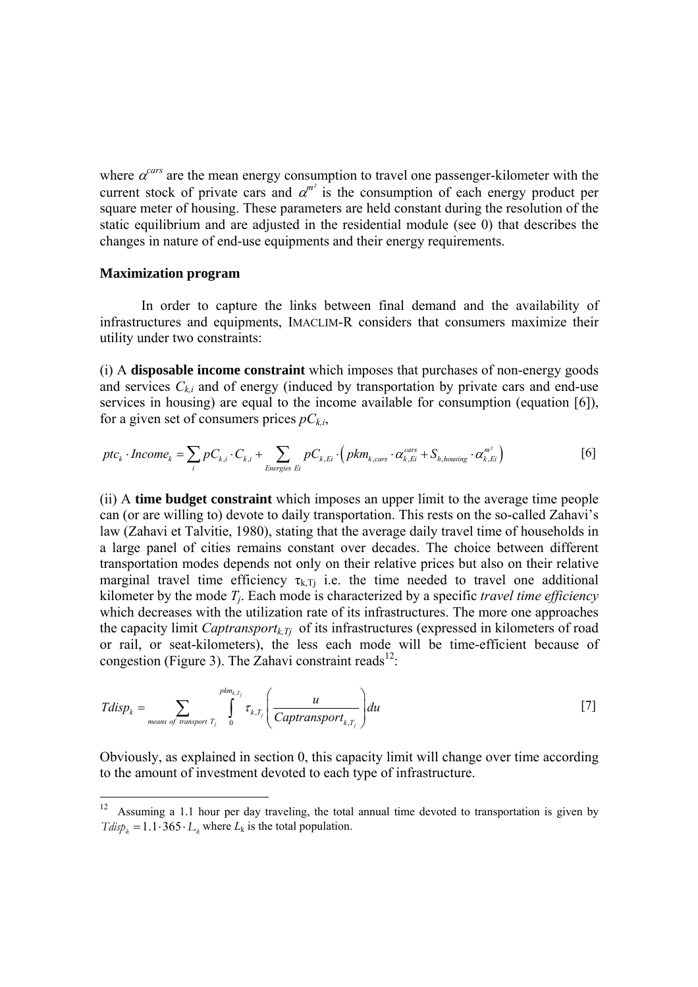where  $\alpha^{cars}$  are the mean energy consumption to travel one passenger-kilometer with the current stock of private cars and  $\alpha^{m^2}$  is the consumption of each energy product per square meter of housing. These parameters are held constant during the resolution of the static equilibrium and are adjusted in the residential module (see [0\)](#page-27-0) that describes the changes in nature of end-use equipments and their energy requirements.

#### **Maximization program**

 $\overline{a}$ 

In order to capture the links between final demand and the availability of infrastructures and equipments, IMACLIM-R considers that consumers maximize their utility under two constraints:

(i) A **disposable income constraint** which imposes that purchases of non-energy goods and services  $C_{ki}$  and of energy (induced by transportation by private cars and end-use services in housing) are equal to the income available for consumption (equation [\[6\]\)](#page-15-0), for a given set of consumers prices  $pC_{ki}$ ,

<span id="page-15-0"></span>
$$
ptc_k \cdot Income_k = \sum_i pC_{k,i} \cdot C_{k,i} + \sum_{Energies \ E} pC_{k,Ei} \cdot (pkm_{k,cars} \cdot \alpha_{k,Ei}^{cars} + S_{h, housing} \cdot \alpha_{k,Ei}^{m^2})
$$
 [6]

(ii) A **time budget constraint** which imposes an upper limit to the average time people can (or are willing to) devote to daily transportation. This rests on the so-called Zahavi's law (Zahavi et Talvitie, 1980), stating that the average daily travel time of households in a large panel of cities remains constant over decades. The choice between different transportation modes depends not only on their relative prices but also on their relative marginal travel time efficiency  $\tau_{k,Tj}$  i.e. the time needed to travel one additional kilometer by the mode *Tj*. Each mode is characterized by a specific *travel time efficiency*  which decreases with the utilization rate of its infrastructures. The more one approaches the capacity limit *Captransport<sub>k</sub><sub>Ti</sub>* of its infrastructures (expressed in kilometers of road or rail, or seat-kilometers), the less each mode will be time-efficient because of congestion (Figure 3). The Zahavi constraint reads<sup>12</sup>:

$$
Tdisp_k = \sum_{\text{means of transport }T_j} \int_0^{pkm_{k,T_j}} \tau_{k,T_j} \left(\frac{u}{Captransport_{k,T_j}}\right) du
$$
 [7]

Obviously, as explained in section [0,](#page-28-0) this capacity limit will change over time according to the amount of investment devoted to each type of infrastructure.

<span id="page-15-1"></span> $Tdisp_k = 1.1 \cdot 365 \cdot L_k$  where  $L_k$  is the total population.  $12$  Assuming a 1.1 hour per day traveling, the total annual time devoted to transportation is given by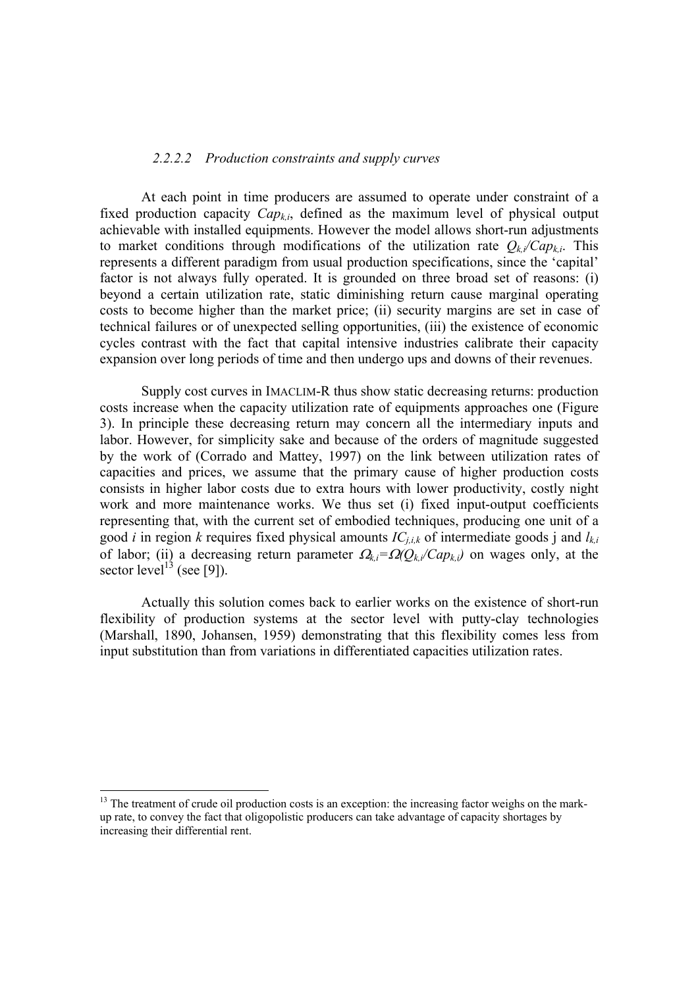#### *2.2.2.2 Production constraints and supply curves*

At each point in time producers are assumed to operate under constraint of a fixed production capacity  $Cap_{ki}$ , defined as the maximum level of physical output achievable with installed equipments. However the model allows short-run adjustments to market conditions through modifications of the utilization rate  $Q_{ki}/Cap_{ki}$ . This represents a different paradigm from usual production specifications, since the 'capital' factor is not always fully operated. It is grounded on three broad set of reasons: (i) beyond a certain utilization rate, static diminishing return cause marginal operating costs to become higher than the market price; (ii) security margins are set in case of technical failures or of unexpected selling opportunities, (iii) the existence of economic cycles contrast with the fact that capital intensive industries calibrate their capacity expansion over long periods of time and then undergo ups and downs of their revenues.

Supply cost curves in IMACLIM-R thus show static decreasing returns: production costs increase when the capacity utilization rate of equipments approaches one (Figure 3). In principle these decreasing return may concern all the intermediary inputs and labor. However, for simplicity sake and because of the orders of magnitude suggested by the work of (Corrado and Mattey, 1997) on the link between utilization rates of capacities and prices, we assume that the primary cause of higher production costs consists in higher labor costs due to extra hours with lower productivity, costly night work and more maintenance works. We thus set (i) fixed input-output coefficients representing that, with the current set of embodied techniques, producing one unit of a good *i* in region *k* requires fixed physical amounts  $IC_{j,i,k}$  of intermediate goods j and  $l_{k,i}$ of labor; (ii) a decreasing return parameter Ω*k,i=*Ω*(Qk,i/Capk,i)* on wages only, at the sector level<sup>13</sup> (see [\[9\]\)](#page-17-0).

Actually this solution comes back to earlier works on the existence of short-run flexibility of production systems at the sector level with putty-clay technologies (Marshall, 1890, Johansen, 1959) demonstrating that this flexibility comes less from input substitution than from variations in differentiated capacities utilization rates.

<span id="page-16-0"></span> $13$  The treatment of crude oil production costs is an exception: the increasing factor weighs on the markup rate, to convey the fact that oligopolistic producers can take advantage of capacity shortages by increasing their differential rent.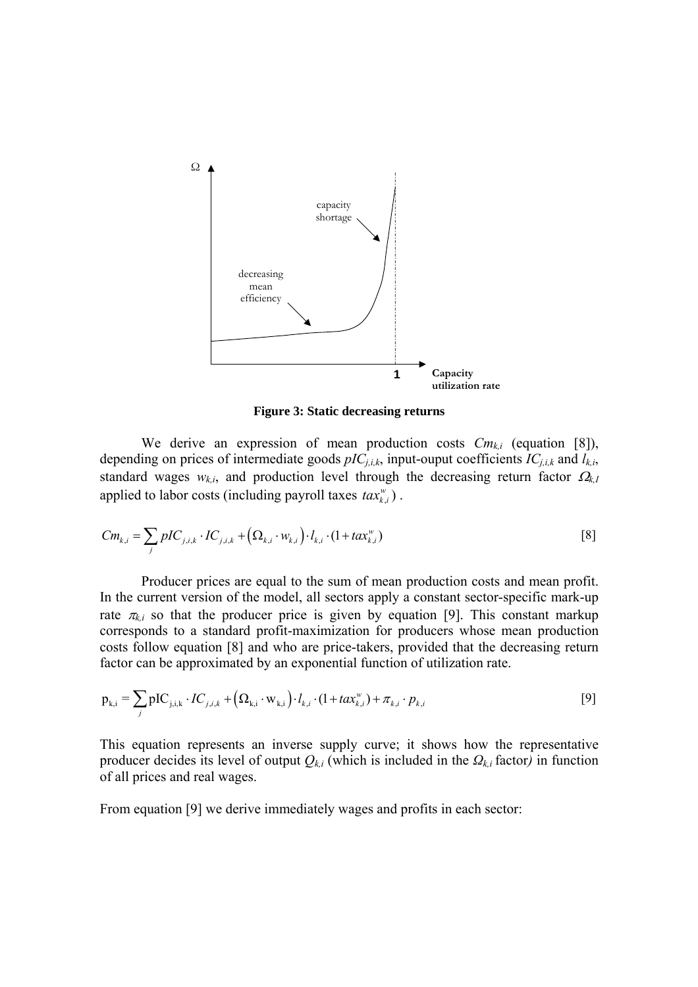

<span id="page-17-1"></span><span id="page-17-0"></span>**Figure 3: Static decreasing returns** 

We derive an expression of mean production costs  $Cm_{ki}$  (equation [\[8\]\)](#page-17-1), depending on prices of intermediate goods  $pIC_{j,i,k}$ , input-ouput coefficients  $IC_{j,i,k}$  and  $I_{k,i}$ , standard wages  $w_{k,i}$ , and production level through the decreasing return factor  $\Omega_{k,i}$ applied to labor costs (including payroll taxes  $\text{tax}_{k,i}$ ).

$$
Cm_{k,i} = \sum_{j} pIC_{j,i,k} \cdot IC_{j,i,k} + (\Omega_{k,i} \cdot w_{k,i}) \cdot l_{k,i} \cdot (1 + tax_{k,i}^{w})
$$
 [8]

Producer prices are equal to the sum of mean production costs and mean profit. In the current version of the model, all sectors apply a constant sector-specific mark-up rate  $\pi_{k,i}$  so that the producer price is given by equation [\[9\].](#page-17-0) This constant markup corresponds to a standard profit-maximization for producers whose mean production costs follow equation [\[8\]](#page-17-1) and who are price-takers, provided that the decreasing return factor can be approximated by an exponential function of utilization rate.

$$
p_{k,i} = \sum_{j} pIC_{j,i,k} \cdot IC_{j,i,k} + (\Omega_{k,i} \cdot w_{k,i}) \cdot l_{k,i} \cdot (1 + \text{tax}_{k,i}^{w}) + \pi_{k,i} \cdot p_{k,i}
$$
 [9]

This equation represents an inverse supply curve; it shows how the representative producer decides its level of output  $Q_{k,i}$  (which is included in the  $Q_{k,i}$  factor) in function of all prices and real wages.

From equation [\[9\]](#page-17-0) we derive immediately wages and profits in each sector: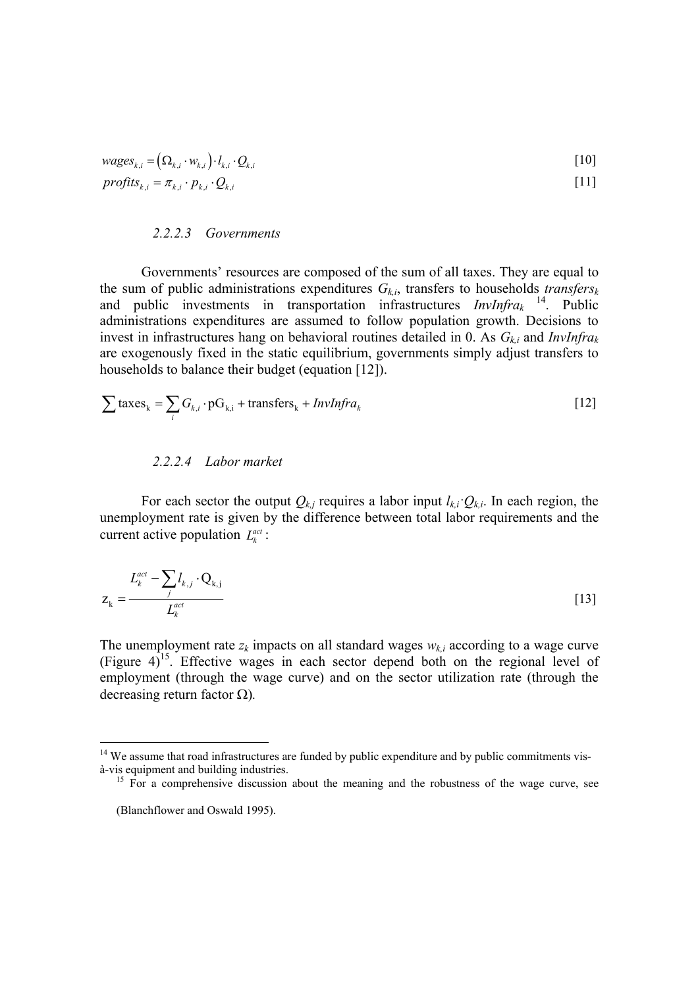$$
wages_{k,i} = (\Omega_{k,i} \cdot w_{k,i}) \cdot l_{k,i} \cdot Q_{k,i}
$$
\n
$$
profits_{k,i} = \pi_{k,i} \cdot p_{k,i} \cdot Q_{k,i}
$$
\n
$$
\tag{11}
$$

#### *2.2.2.3 Governments*

Governments' resources are composed of the sum of all taxes. They are equal to the sum of public administrations expenditures  $G_{k,i}$ , transfers to households *transfers*<sup>k</sup> and public investments in transportation infrastructures *InvInfrak* [14.](#page-18-1) Public administrations expenditures are assumed to follow population growth. Decisions to invest in infrastructures hang on behavioral routines detailed in [0.](#page-28-0) As *Gk,i* and *InvInfrak* are exogenously fixed in the static equilibrium, governments simply adjust transfers to households to balance their budget (equation [\[12\]\)](#page-18-0).

$$
\sum \text{taxes}_{k} = \sum_{i} G_{k,i} \cdot \text{pG}_{k,i} + \text{transfers}_{k} + \text{InvInfra}_{k}
$$
 [12]

### <span id="page-18-0"></span>*2.2.2.4 Labor market*

For each sector the output  $Q_{k,j}$  requires a labor input  $l_{k,i}$ ;  $Q_{k,i}$ . In each region, the unemployment rate is given by the difference between total labor requirements and the current active population  $L_k^{act}$  :

$$
Z_k = \frac{L_k^{act} - \sum_j l_{k,j} \cdot Q_{k,j}}{L_k^{act}}
$$
 [13]

The unemployment rate  $z_k$  impacts on all standard wages  $w_{k,i}$  according to a wage curve (Figure 4)[15.](#page-18-2) Effective wages in each sector depend both on the regional level of employment (through the wage curve) and on the sector utilization rate (through the decreasing return factor Ω)*.*

<span id="page-18-1"></span> $14$  We assume that road infrastructures are funded by public expenditure and by public commitments visà-vis equipment and building industries. 15 For a comprehensive discussion about the meaning and the robustness of the wage curve, see

<span id="page-18-2"></span>

<sup>(</sup>Blanchflower and Oswald 1995).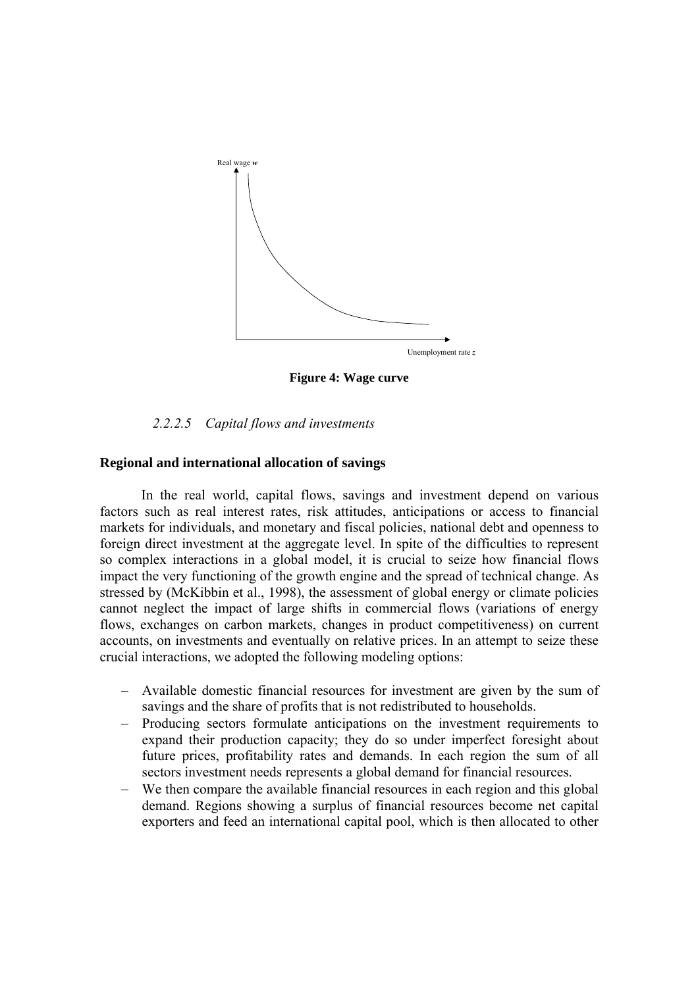

**Figure 4: Wage curve** 

### *2.2.2.5 Capital flows and investments*

### **Regional and international allocation of savings**

In the real world, capital flows, savings and investment depend on various factors such as real interest rates, risk attitudes, anticipations or access to financial markets for individuals, and monetary and fiscal policies, national debt and openness to foreign direct investment at the aggregate level. In spite of the difficulties to represent so complex interactions in a global model, it is crucial to seize how financial flows impact the very functioning of the growth engine and the spread of technical change. As stressed by (McKibbin et al., 1998), the assessment of global energy or climate policies cannot neglect the impact of large shifts in commercial flows (variations of energy flows, exchanges on carbon markets, changes in product competitiveness) on current accounts, on investments and eventually on relative prices. In an attempt to seize these crucial interactions, we adopted the following modeling options:

- − Available domestic financial resources for investment are given by the sum of savings and the share of profits that is not redistributed to households.
- − Producing sectors formulate anticipations on the investment requirements to expand their production capacity; they do so under imperfect foresight about future prices, profitability rates and demands. In each region the sum of all sectors investment needs represents a global demand for financial resources.
- We then compare the available financial resources in each region and this global demand. Regions showing a surplus of financial resources become net capital exporters and feed an international capital pool, which is then allocated to other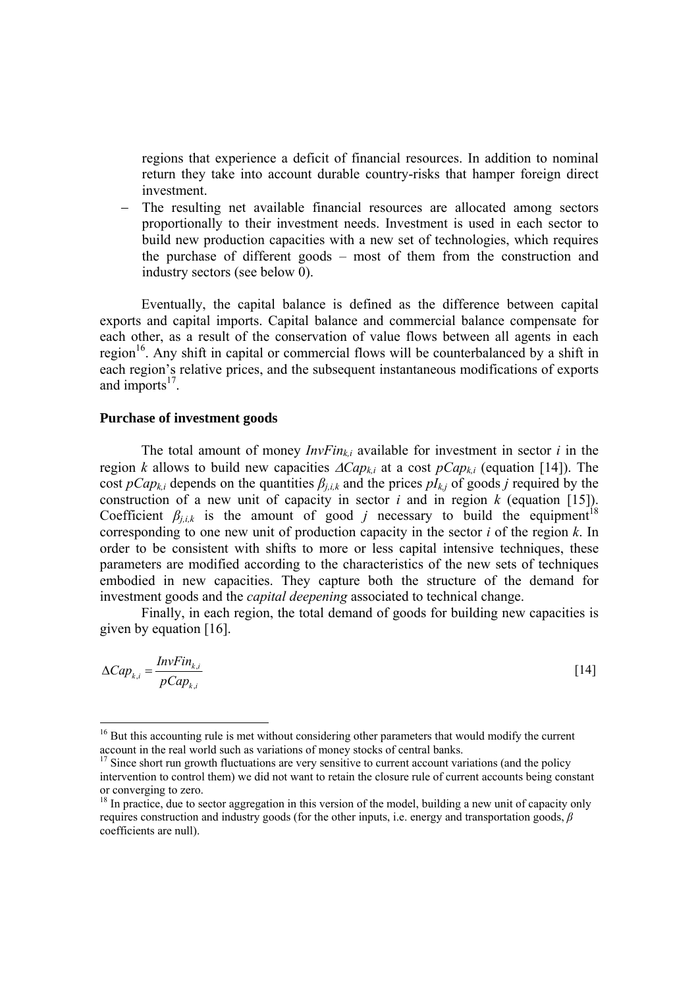regions that experience a deficit of financial resources. In addition to nominal return they take into account durable country-risks that hamper foreign direct investment.

The resulting net available financial resources are allocated among sectors proportionally to their investment needs. Investment is used in each sector to build new production capacities with a new set of technologies, which requires the purchase of different goods – most of them from the construction and industry sectors (see below [0\)](#page-20-0).

Eventually, the capital balance is defined as the difference between capital exports and capital imports. Capital balance and commercial balance compensate for each other, as a result of the conservation of value flows between all agents in each region<sup>16</sup>. Any shift in capital or commercial flows will be counterbalanced by a shift in each region's relative prices, and the subsequent instantaneous modifications of exports and imports $17$ .

#### <span id="page-20-0"></span>**Purchase of investment goods**

The total amount of money  $InvFin_{ki}$  available for investment in sector *i* in the region *k* allows to build new capacities ∆*Capk,i* at a cost *pCapk,i* (equation [\[14\]\)](#page-20-1). The cost *pCap<sub>ki</sub>* depends on the quantities  $\beta_{i,k}$  and the prices  $pI_{kj}$  of goods *j* required by the construction of a new unit of capacity in sector  $i$  and in region  $k$  (equation [\[15\]\)](#page-21-0). Coefficient  $\beta_{j,i,k}$  is the amount of good *j* necessary to build the equipment<sup>18</sup> corresponding to one new unit of production capacity in the sector *i* of the region *k*. In order to be consistent with shifts to more or less capital intensive techniques, these parameters are modified according to the characteristics of the new sets of techniques embodied in new capacities. They capture both the structure of the demand for investment goods and the *capital deepening* associated to technical change.

Finally, in each region, the total demand of goods for building new capacities is given by equation [\[16\].](#page-21-1)

$$
\Delta Cap_{k,i} = \frac{InvFin_{k,i}}{pCap_{k,i}} \tag{14}
$$

<span id="page-20-1"></span>

<span id="page-20-2"></span><sup>&</sup>lt;sup>16</sup> But this accounting rule is met without considering other parameters that would modify the current account in the real world such as variations of money stocks of central banks.<br><sup>17</sup> Since short run growth fluctuations are very sensitive to current account variations (and the policy

<span id="page-20-3"></span>intervention to control them) we did not want to retain the closure rule of current accounts being constant or converging to zero.<br><sup>18</sup> In practice, due to sector aggregation in this version of the model, building a new unit of capacity only

<span id="page-20-4"></span>requires construction and industry goods (for the other inputs, i.e. energy and transportation goods, *β* coefficients are null).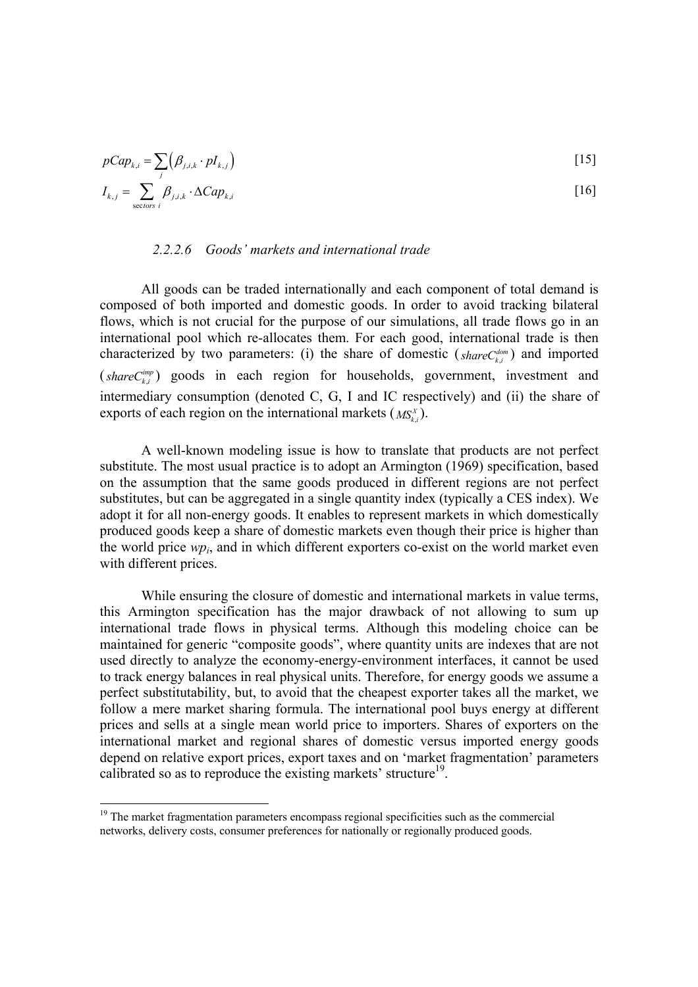$$
pCap_{k,i} = \sum_{j} (\beta_{j,i,k} \cdot pI_{k,j})
$$
\n
$$
I_{k,j} = \sum_{\text{sectors } i} \beta_{j,i,k} \cdot \Delta Cap_{k,i}
$$
\n[16]

#### <span id="page-21-1"></span><span id="page-21-0"></span>*2.2.2.6 Goods' markets and international trade*

All goods can be traded internationally and each component of total demand is composed of both imported and domestic goods. In order to avoid tracking bilateral flows, which is not crucial for the purpose of our simulations, all trade flows go in an international pool which re-allocates them. For each good, international trade is then characterized by two parameters: (i) the share of domestic ( $shareC_{k,i}^{dom}$ ) and imported  $(s \text{hare } C_{k,i}^{\text{imp}})$  goods in each region for households, government, investment and intermediary consumption (denoted C, G, I and IC respectively) and (ii) the share of exports of each region on the international markets  $(MS_{k,i}^X)$ .

A well-known modeling issue is how to translate that products are not perfect substitute. The most usual practice is to adopt an Armington (1969) specification, based on the assumption that the same goods produced in different regions are not perfect substitutes, but can be aggregated in a single quantity index (typically a CES index). We adopt it for all non-energy goods. It enables to represent markets in which domestically produced goods keep a share of domestic markets even though their price is higher than the world price *wpi*, and in which different exporters co-exist on the world market even with different prices.

While ensuring the closure of domestic and international markets in value terms, this Armington specification has the major drawback of not allowing to sum up international trade flows in physical terms. Although this modeling choice can be maintained for generic "composite goods", where quantity units are indexes that are not used directly to analyze the economy-energy-environment interfaces, it cannot be used to track energy balances in real physical units. Therefore, for energy goods we assume a perfect substitutability, but, to avoid that the cheapest exporter takes all the market, we follow a mere market sharing formula. The international pool buys energy at different prices and sells at a single mean world price to importers. Shares of exporters on the international market and regional shares of domestic versus imported energy goods depend on relative export prices, export taxes and on 'market fragmentation' parameters calibrated so as to reproduce the existing markets' structure<sup>19</sup>.

<span id="page-21-2"></span> $19$  The market fragmentation parameters encompass regional specificities such as the commercial networks, delivery costs, consumer preferences for nationally or regionally produced goods.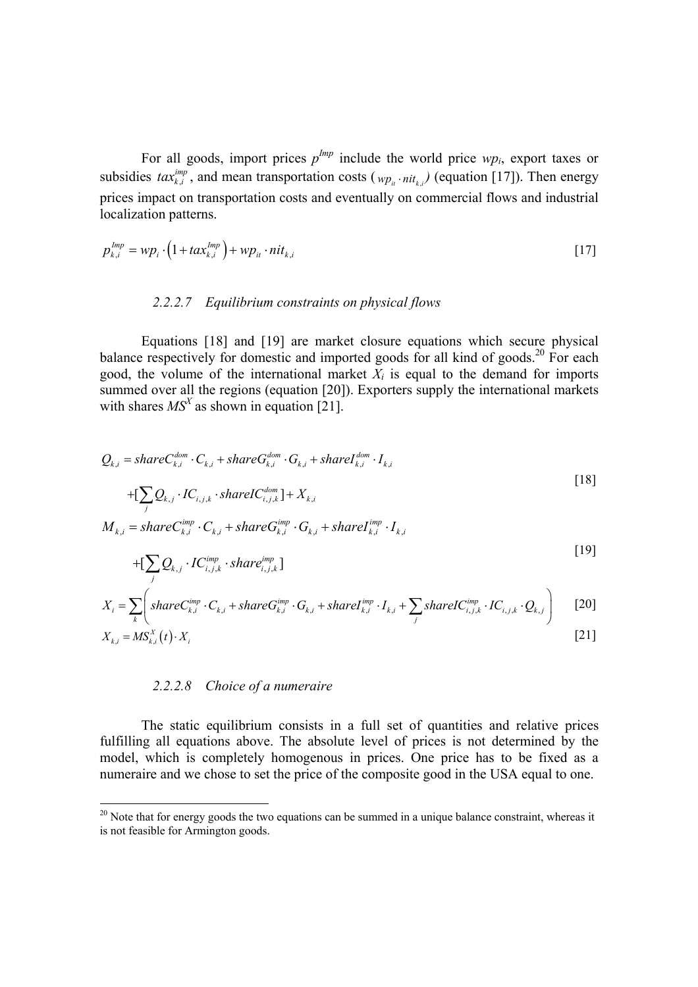For all goods, import prices  $p^{Imp}$  include the world price  $wp_i$ , export taxes or subsidies  $tax_{k,i}^{imp}$ , and mean transportation costs ( $wp_{u} \cdot nit_{k,i}$ ) (equation [\[17\]\)](#page-22-0). Then energy prices impact on transportation costs and eventually on commercial flows and industrial localization patterns.

$$
p_{k,i}^{Imp} = wp_i \cdot \left(1 + tax_{k,i}^{Imp}\right) + wp_{it} \cdot nit_{k,i}
$$
\n
$$
\tag{17}
$$

### <span id="page-22-1"></span><span id="page-22-0"></span>*2.2.2.7 Equilibrium constraints on physical flows*

Equations [\[18\]](#page-22-1) and [\[19\]](#page-22-2) are market closure equations which secure physical balance respectively for domestic and imported goods for all kind of goods.<sup>20</sup> For each good, the volume of the international market  $X_i$  is equal to the demand for imports summed over all the regions (equation [\[20\]\)](#page-22-3). Exporters supply the international markets with shares  $MS<sup>X</sup>$  as shown in equation [\[21\].](#page-22-4)

$$
Q_{k,i} = shareC_{k,i}^{dom} \cdot C_{k,i} + shareG_{k,i}^{dom} \cdot G_{k,i} + shareI_{k,i}^{dom} \cdot I_{k,i}
$$
  
+
$$
[\sum_{j} Q_{k,j} \cdot IC_{i,j,k} \cdot shareIC_{i,j,k}^{dom}] + X_{k,i}
$$
  

$$
M_{k,i} = shareC_{k,i}^{imp} \cdot C_{k,i} + shareG_{k,i}^{imp} \cdot G_{k,i} + shareI_{k,i}^{imp} \cdot I_{k,i}
$$
 (18)

<span id="page-22-2"></span>
$$
+[\sum_{j} Q_{k,j} \cdot IC_{i,j,k}^{imp} \cdot share_{i,j,k}^{imp}] \qquad [19]
$$

$$
X_i = \sum_{k} \left( shareC_{k,i}^{imp} \cdot C_{k,i} + shareG_{k,i}^{imp} \cdot G_{k,i} + shareI_{k,i}^{imp} \cdot I_{k,i} + \sum_{j} shareIC_{i,j,k}^{imp} \cdot IC_{i,j,k} \cdot Q_{k,j} \right)
$$
 [20]

$$
X_{k,i} = MS_{k,i}^X(t) \cdot X_i \tag{21}
$$

#### <span id="page-22-4"></span><span id="page-22-3"></span>*2.2.2.8 Choice of a numeraire*

 $\overline{a}$ 

The static equilibrium consists in a full set of quantities and relative prices fulfilling all equations above. The absolute level of prices is not determined by the model, which is completely homogenous in prices. One price has to be fixed as a numeraire and we chose to set the price of the composite good in the USA equal to one.

<span id="page-22-5"></span> $20$  Note that for energy goods the two equations can be summed in a unique balance constraint, whereas it is not feasible for Armington goods.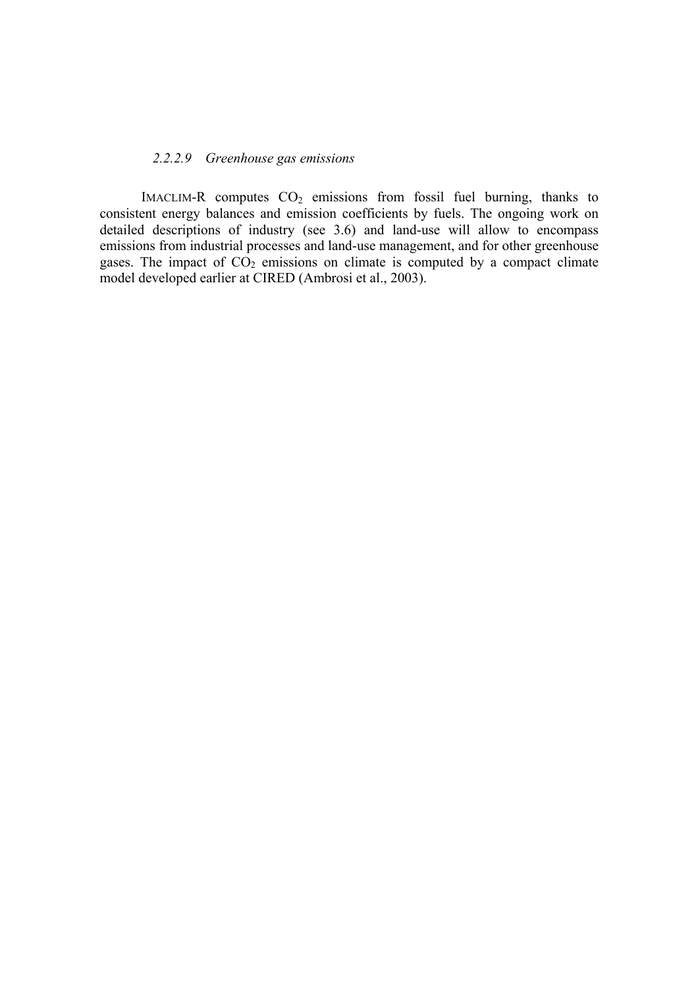#### *2.2.2.9 Greenhouse gas emissions*

IMACLIM-R computes  $CO<sub>2</sub>$  emissions from fossil fuel burning, thanks to consistent energy balances and emission coefficients by fuels. The ongoing work on detailed descriptions of industry (see 3.6) and land-use will allow to encompass emissions from industrial processes and land-use management, and for other greenhouse gases. The impact of  $CO<sub>2</sub>$  emissions on climate is computed by a compact climate model developed earlier at CIRED (Ambrosi et al., 2003).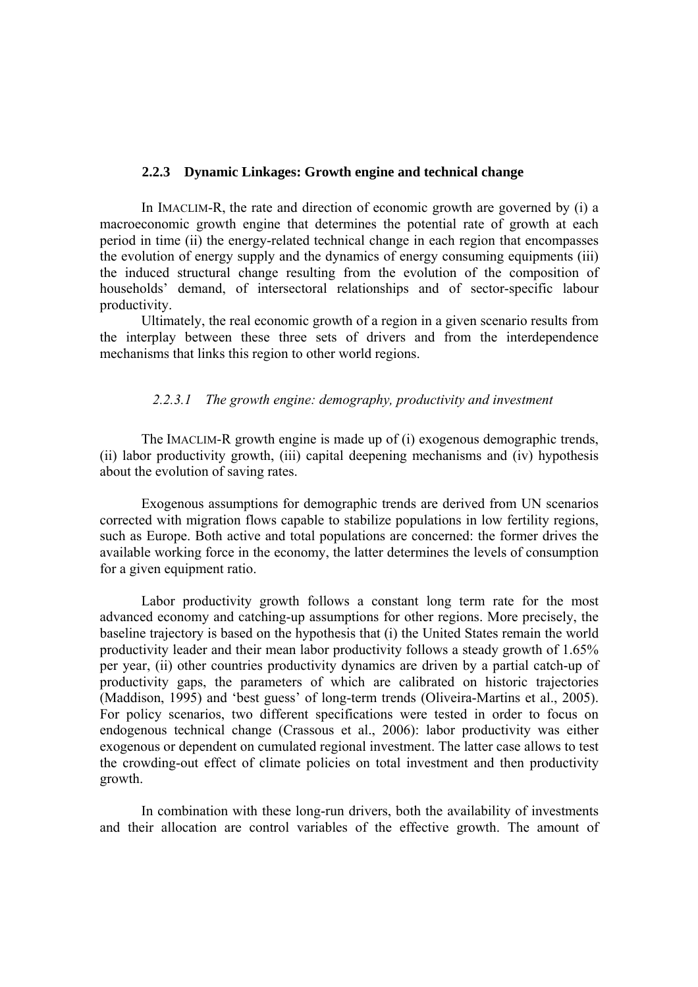#### <span id="page-24-0"></span>**2.2.3 Dynamic Linkages: Growth engine and technical change**

In IMACLIM-R, the rate and direction of economic growth are governed by (i) a macroeconomic growth engine that determines the potential rate of growth at each period in time (ii) the energy-related technical change in each region that encompasses the evolution of energy supply and the dynamics of energy consuming equipments (iii) the induced structural change resulting from the evolution of the composition of households' demand, of intersectoral relationships and of sector-specific labour productivity.

Ultimately, the real economic growth of a region in a given scenario results from the interplay between these three sets of drivers and from the interdependence mechanisms that links this region to other world regions.

#### *2.2.3.1 The growth engine: demography, productivity and investment*

The IMACLIM-R growth engine is made up of (i) exogenous demographic trends, (ii) labor productivity growth, (iii) capital deepening mechanisms and (iv) hypothesis about the evolution of saving rates.

Exogenous assumptions for demographic trends are derived from UN scenarios corrected with migration flows capable to stabilize populations in low fertility regions, such as Europe. Both active and total populations are concerned: the former drives the available working force in the economy, the latter determines the levels of consumption for a given equipment ratio.

Labor productivity growth follows a constant long term rate for the most advanced economy and catching-up assumptions for other regions. More precisely, the baseline trajectory is based on the hypothesis that (i) the United States remain the world productivity leader and their mean labor productivity follows a steady growth of 1.65% per year, (ii) other countries productivity dynamics are driven by a partial catch-up of productivity gaps, the parameters of which are calibrated on historic trajectories (Maddison, 1995) and 'best guess' of long-term trends (Oliveira-Martins et al., 2005). For policy scenarios, two different specifications were tested in order to focus on endogenous technical change (Crassous et al., 2006): labor productivity was either exogenous or dependent on cumulated regional investment. The latter case allows to test the crowding-out effect of climate policies on total investment and then productivity growth.

In combination with these long-run drivers, both the availability of investments and their allocation are control variables of the effective growth. The amount of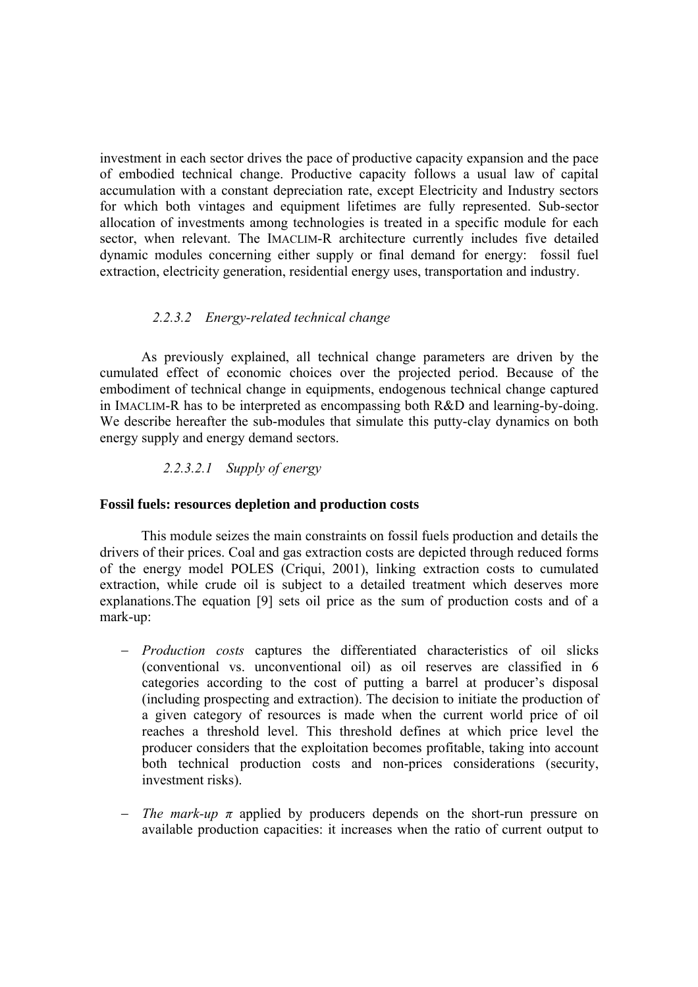investment in each sector drives the pace of productive capacity expansion and the pace of embodied technical change. Productive capacity follows a usual law of capital accumulation with a constant depreciation rate, except Electricity and Industry sectors for which both vintages and equipment lifetimes are fully represented. Sub-sector allocation of investments among technologies is treated in a specific module for each sector, when relevant. The IMACLIM-R architecture currently includes five detailed dynamic modules concerning either supply or final demand for energy: fossil fuel extraction, electricity generation, residential energy uses, transportation and industry.

### *2.2.3.2 Energy-related technical change*

As previously explained, all technical change parameters are driven by the cumulated effect of economic choices over the projected period. Because of the embodiment of technical change in equipments, endogenous technical change captured in IMACLIM-R has to be interpreted as encompassing both R&D and learning-by-doing. We describe hereafter the sub-modules that simulate this putty-clay dynamics on both energy supply and energy demand sectors.

### *2.2.3.2.1 Supply of energy*

### **Fossil fuels: resources depletion and production costs**

This module seizes the main constraints on fossil fuels production and details the drivers of their prices. Coal and gas extraction costs are depicted through reduced forms of the energy model POLES (Criqui, 2001), linking extraction costs to cumulated extraction, while crude oil is subject to a detailed treatment which deserves more explanations.The equation [\[9\]](#page-17-0) sets oil price as the sum of production costs and of a mark-up:

- − *Production costs* captures the differentiated characteristics of oil slicks (conventional vs. unconventional oil) as oil reserves are classified in 6 categories according to the cost of putting a barrel at producer's disposal (including prospecting and extraction). The decision to initiate the production of a given category of resources is made when the current world price of oil reaches a threshold level. This threshold defines at which price level the producer considers that the exploitation becomes profitable, taking into account both technical production costs and non-prices considerations (security, investment risks).
- *The mark-up*  $\pi$  applied by producers depends on the short-run pressure on available production capacities: it increases when the ratio of current output to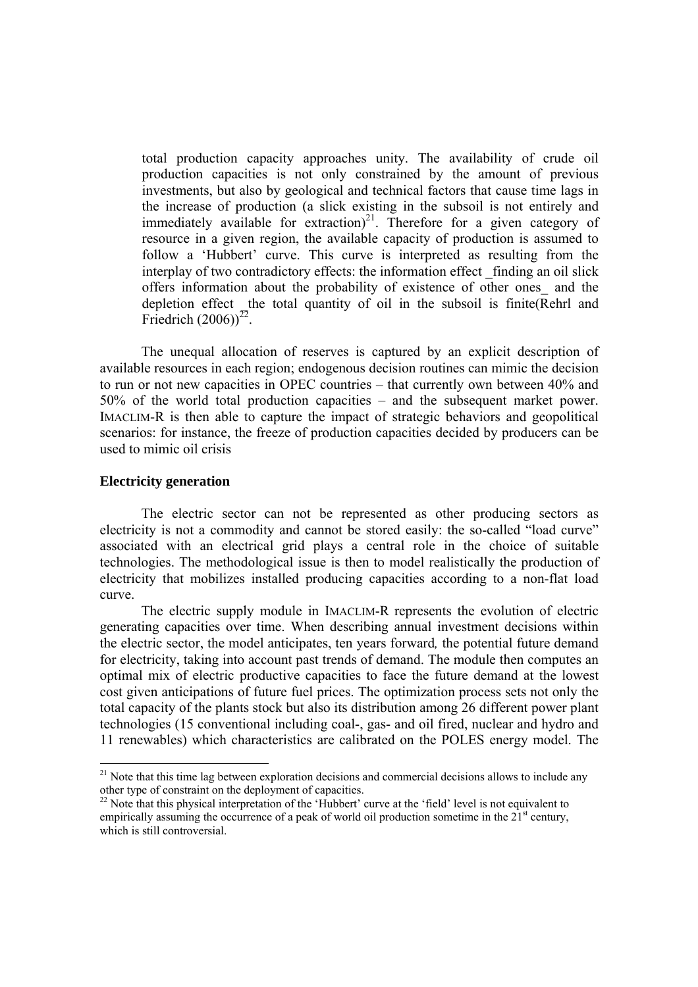total production capacity approaches unity. The availability of crude oil production capacities is not only constrained by the amount of previous investments, but also by geological and technical factors that cause time lags in the increase of production (a slick existing in the subsoil is not entirely and immediately available for extraction) $^{21}$ . Therefore for a given category of resource in a given region, the available capacity of production is assumed to follow a 'Hubbert' curve. This curve is interpreted as resulting from the interplay of two contradictory effects: the information effect finding an oil slick offers information about the probability of existence of other ones\_ and the depletion effect \_the total quantity of oil in the subsoil is finite(Rehrl and Friedrich  $(2006)^{22}$ .

The unequal allocation of reserves is captured by an explicit description of available resources in each region; endogenous decision routines can mimic the decision to run or not new capacities in OPEC countries – that currently own between 40% and 50% of the world total production capacities – and the subsequent market power. IMACLIM-R is then able to capture the impact of strategic behaviors and geopolitical scenarios: for instance, the freeze of production capacities decided by producers can be used to mimic oil crisis

### **Electricity generation**

 $\overline{a}$ 

The electric sector can not be represented as other producing sectors as electricity is not a commodity and cannot be stored easily: the so-called "load curve" associated with an electrical grid plays a central role in the choice of suitable technologies. The methodological issue is then to model realistically the production of electricity that mobilizes installed producing capacities according to a non-flat load curve.

The electric supply module in IMACLIM-R represents the evolution of electric generating capacities over time. When describing annual investment decisions within the electric sector, the model anticipates, ten years forward*,* the potential future demand for electricity, taking into account past trends of demand. The module then computes an optimal mix of electric productive capacities to face the future demand at the lowest cost given anticipations of future fuel prices. The optimization process sets not only the total capacity of the plants stock but also its distribution among 26 different power plant technologies (15 conventional including coal-, gas- and oil fired, nuclear and hydro and 11 renewables) which characteristics are calibrated on the POLES energy model. The

<span id="page-26-0"></span> $21$  Note that this time lag between exploration decisions and commercial decisions allows to include any other type of constraint on the deployment of capacities.

<span id="page-26-1"></span><sup>&</sup>lt;sup>22</sup> Note that this physical interpretation of the 'Hubbert' curve at the 'field' level is not equivalent to empirically assuming the occurrence of a peak of world oil production sometime in the  $21<sup>st</sup>$  century, which is still controversial.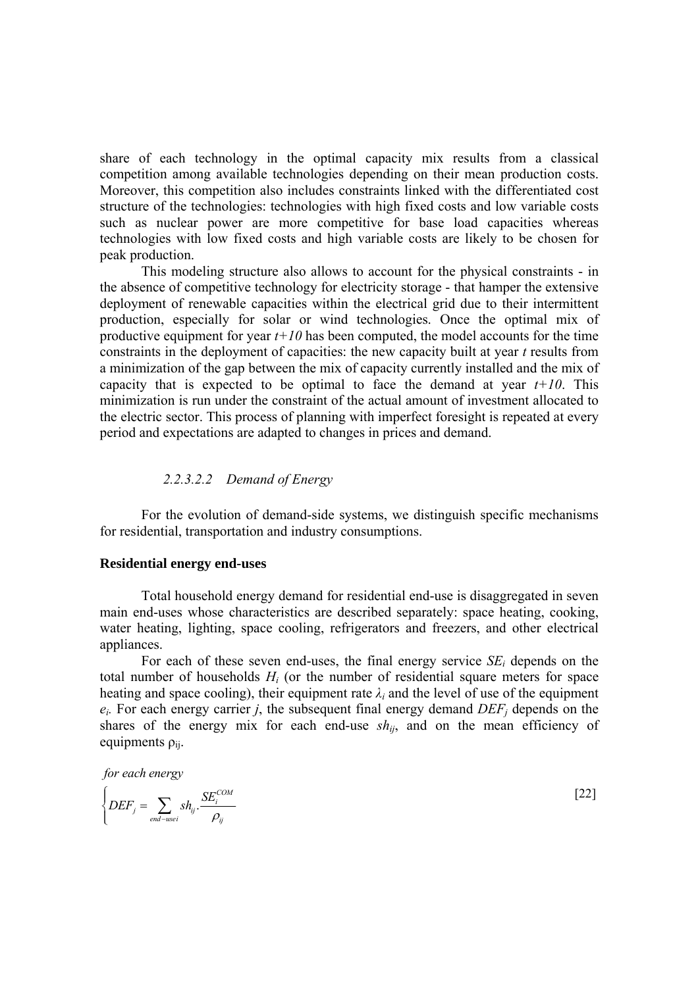share of each technology in the optimal capacity mix results from a classical competition among available technologies depending on their mean production costs. Moreover, this competition also includes constraints linked with the differentiated cost structure of the technologies: technologies with high fixed costs and low variable costs such as nuclear power are more competitive for base load capacities whereas technologies with low fixed costs and high variable costs are likely to be chosen for peak production.

This modeling structure also allows to account for the physical constraints - in the absence of competitive technology for electricity storage - that hamper the extensive deployment of renewable capacities within the electrical grid due to their intermittent production, especially for solar or wind technologies. Once the optimal mix of productive equipment for year  $t+10$  has been computed, the model accounts for the time constraints in the deployment of capacities: the new capacity built at year *t* results from a minimization of the gap between the mix of capacity currently installed and the mix of capacity that is expected to be optimal to face the demand at year  $t+10$ . This minimization is run under the constraint of the actual amount of investment allocated to the electric sector. This process of planning with imperfect foresight is repeated at every period and expectations are adapted to changes in prices and demand.

#### *2.2.3.2.2 Demand of Energy*

For the evolution of demand-side systems, we distinguish specific mechanisms for residential, transportation and industry consumptions.

#### <span id="page-27-0"></span>**Residential energy end-uses**

Total household energy demand for residential end-use is disaggregated in seven main end-uses whose characteristics are described separately: space heating, cooking, water heating, lighting, space cooling, refrigerators and freezers, and other electrical appliances.

For each of these seven end-uses, the final energy service *SEi* depends on the total number of households *Hi* (or the number of residential square meters for space heating and space cooling), their equipment rate  $\lambda_i$  and the level of use of the equipment  $e_i$ . For each energy carrier *j*, the subsequent final energy demand  $DEF_j$  depends on the shares of the energy mix for each end-use  $sh_{ii}$ , and on the mean efficiency of equipments  $\rho_{ii}$ .

*for each energy*

$$
\left\{ DEF_j = \sum_{end-usei} sh_{ij} \cdot \frac{SE_i^{COM}}{\rho_{ij}} \right\}
$$
 [22]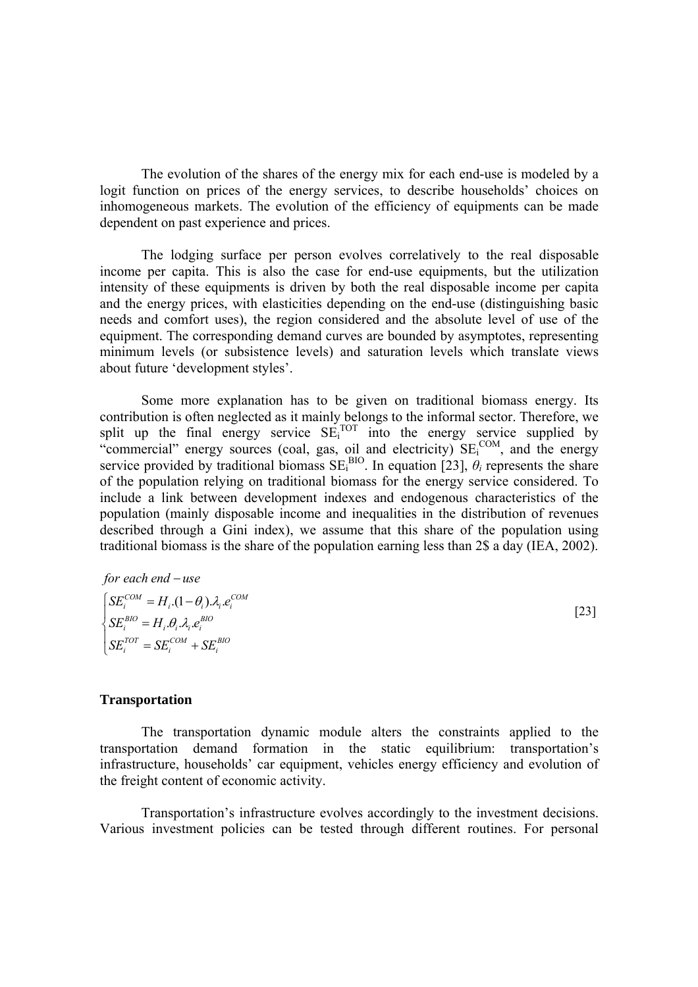The evolution of the shares of the energy mix for each end-use is modeled by a logit function on prices of the energy services, to describe households' choices on inhomogeneous markets. The evolution of the efficiency of equipments can be made dependent on past experience and prices.

The lodging surface per person evolves correlatively to the real disposable income per capita. This is also the case for end-use equipments, but the utilization intensity of these equipments is driven by both the real disposable income per capita and the energy prices, with elasticities depending on the end-use (distinguishing basic needs and comfort uses), the region considered and the absolute level of use of the equipment. The corresponding demand curves are bounded by asymptotes, representing minimum levels (or subsistence levels) and saturation levels which translate views about future 'development styles'.

Some more explanation has to be given on traditional biomass energy. Its contribution is often neglected as it mainly belongs to the informal sector. Therefore, we split up the final energy service  $SE<sub>i</sub>^{TOT}$  into the energy service supplied by "commercial" energy sources (coal, gas, oil and electricity) SE<sub>i</sub><sup>COM</sup>, and the energy service provided by traditional biomass  $SE<sub>i</sub><sup>BIO</sup>$ . In equation [\[23\],](#page-28-1)  $\theta<sub>i</sub>$  represents the share of the population relying on traditional biomass for the energy service considered. To include a link between development indexes and endogenous characteristics of the population (mainly disposable income and inequalities in the distribution of revenues described through a Gini index), we assume that this share of the population using traditional biomass is the share of the population earning less than 2\$ a day (IEA, 2002).

<span id="page-28-1"></span>for each end – use  
\n
$$
\begin{cases}\nSE_i^{COM} = H_i.(1 - \theta_i) \mathcal{A}_i . e_i^{COM} \\
SE_i^{BIO} = H_i . \theta_i . \lambda_i . e_i^{BIO} \\
SE_i^{TOT} = SE_i^{COM} + SE_i^{BO}\n\end{cases}
$$
\n[23]

### <span id="page-28-0"></span>**Transportation**

The transportation dynamic module alters the constraints applied to the transportation demand formation in the static equilibrium: transportation's infrastructure, households' car equipment, vehicles energy efficiency and evolution of the freight content of economic activity.

Transportation's infrastructure evolves accordingly to the investment decisions. Various investment policies can be tested through different routines. For personal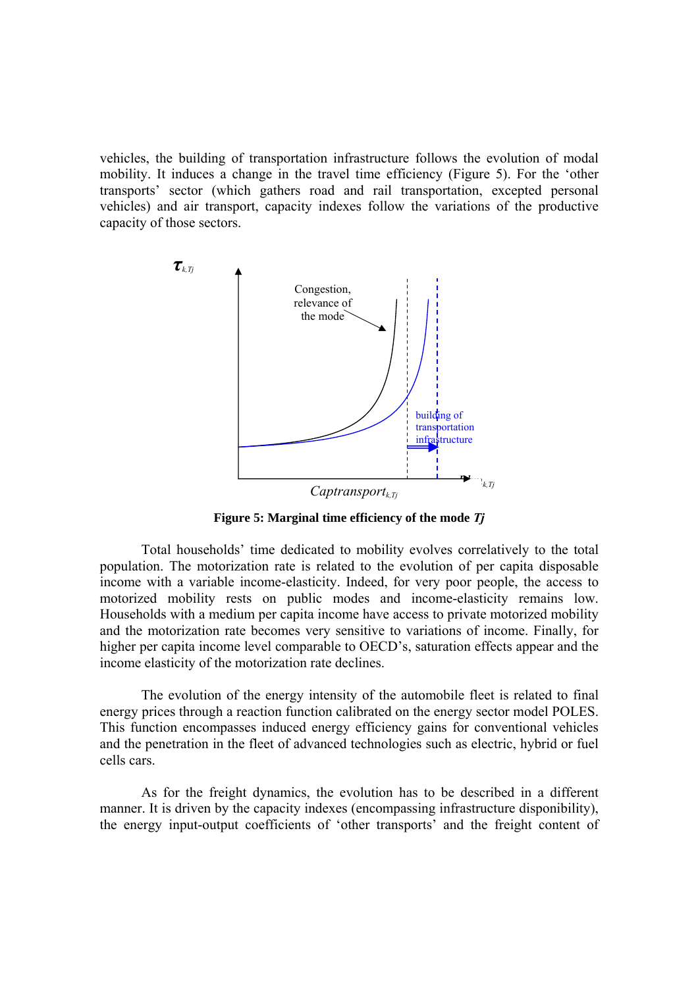vehicles, the building of transportation infrastructure follows the evolution of modal mobility. It induces a change in the travel time efficiency (Figure 5). For the 'other transports' sector (which gathers road and rail transportation, excepted personal vehicles) and air transport, capacity indexes follow the variations of the productive capacity of those sectors.



**Figure 5: Marginal time efficiency of the mode** *Tj*

Total households' time dedicated to mobility evolves correlatively to the total population. The motorization rate is related to the evolution of per capita disposable income with a variable income-elasticity. Indeed, for very poor people, the access to motorized mobility rests on public modes and income-elasticity remains low. Households with a medium per capita income have access to private motorized mobility and the motorization rate becomes very sensitive to variations of income. Finally, for higher per capita income level comparable to OECD's, saturation effects appear and the income elasticity of the motorization rate declines.

The evolution of the energy intensity of the automobile fleet is related to final energy prices through a reaction function calibrated on the energy sector model POLES. This function encompasses induced energy efficiency gains for conventional vehicles and the penetration in the fleet of advanced technologies such as electric, hybrid or fuel cells cars.

As for the freight dynamics, the evolution has to be described in a different manner. It is driven by the capacity indexes (encompassing infrastructure disponibility), the energy input-output coefficients of 'other transports' and the freight content of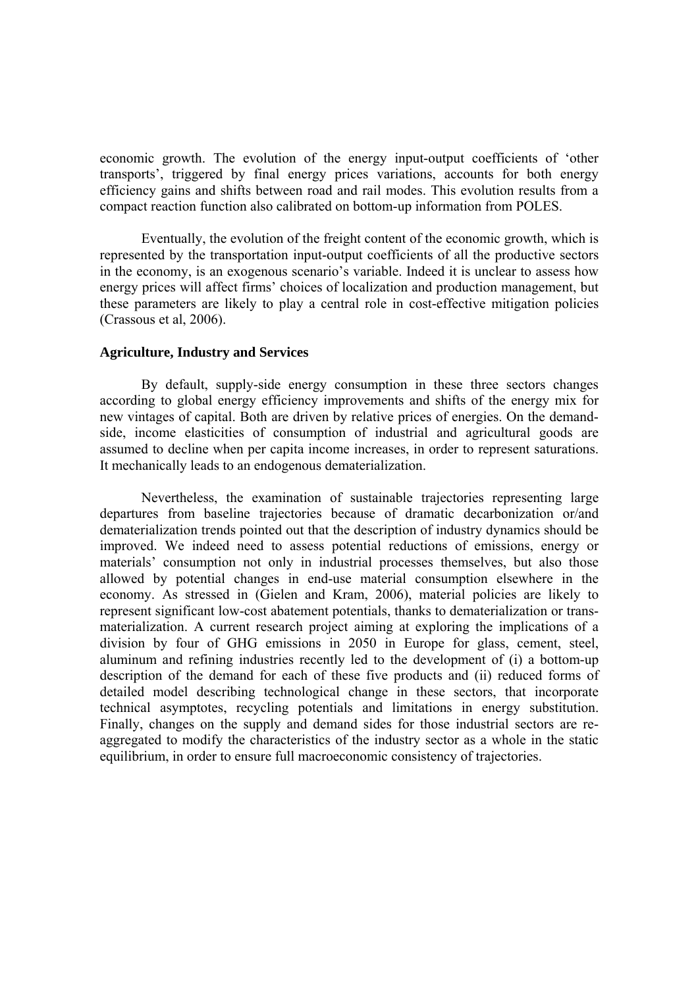economic growth. The evolution of the energy input-output coefficients of 'other transports', triggered by final energy prices variations, accounts for both energy efficiency gains and shifts between road and rail modes. This evolution results from a compact reaction function also calibrated on bottom-up information from POLES.

Eventually, the evolution of the freight content of the economic growth, which is represented by the transportation input-output coefficients of all the productive sectors in the economy, is an exogenous scenario's variable. Indeed it is unclear to assess how energy prices will affect firms' choices of localization and production management, but these parameters are likely to play a central role in cost-effective mitigation policies (Crassous et al, 2006).

#### **Agriculture, Industry and Services**

By default, supply-side energy consumption in these three sectors changes according to global energy efficiency improvements and shifts of the energy mix for new vintages of capital. Both are driven by relative prices of energies. On the demandside, income elasticities of consumption of industrial and agricultural goods are assumed to decline when per capita income increases, in order to represent saturations. It mechanically leads to an endogenous dematerialization.

Nevertheless, the examination of sustainable trajectories representing large departures from baseline trajectories because of dramatic decarbonization or/and dematerialization trends pointed out that the description of industry dynamics should be improved. We indeed need to assess potential reductions of emissions, energy or materials' consumption not only in industrial processes themselves, but also those allowed by potential changes in end-use material consumption elsewhere in the economy. As stressed in (Gielen and Kram, 2006), material policies are likely to represent significant low-cost abatement potentials, thanks to dematerialization or transmaterialization. A current research project aiming at exploring the implications of a division by four of GHG emissions in 2050 in Europe for glass, cement, steel, aluminum and refining industries recently led to the development of (i) a bottom-up description of the demand for each of these five products and (ii) reduced forms of detailed model describing technological change in these sectors, that incorporate technical asymptotes, recycling potentials and limitations in energy substitution. Finally, changes on the supply and demand sides for those industrial sectors are reaggregated to modify the characteristics of the industry sector as a whole in the static equilibrium, in order to ensure full macroeconomic consistency of trajectories.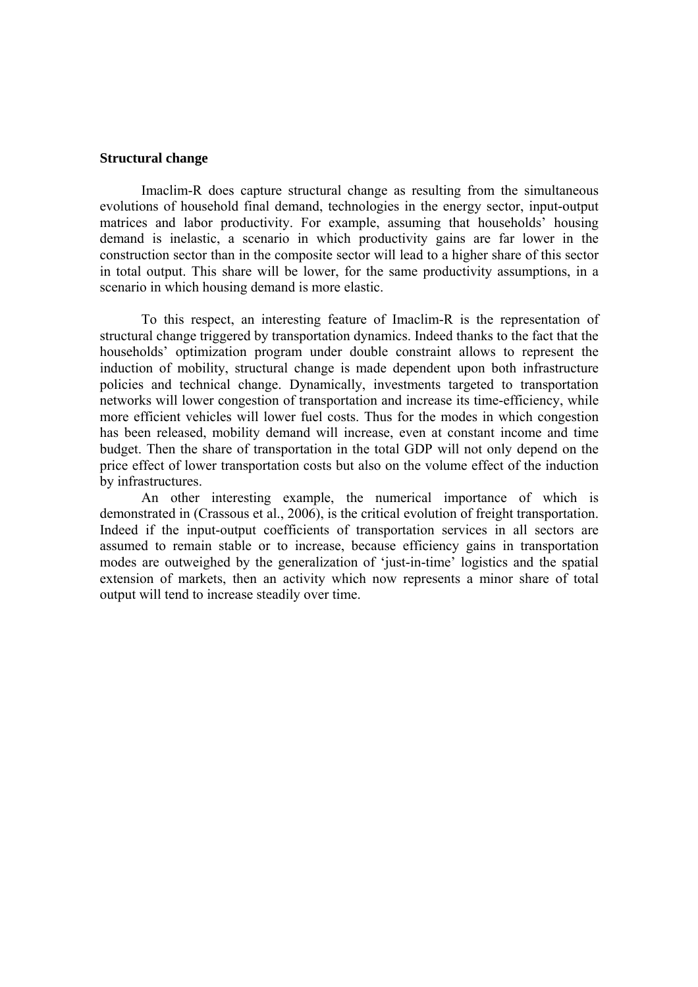#### **Structural change**

Imaclim-R does capture structural change as resulting from the simultaneous evolutions of household final demand, technologies in the energy sector, input-output matrices and labor productivity. For example, assuming that households' housing demand is inelastic, a scenario in which productivity gains are far lower in the construction sector than in the composite sector will lead to a higher share of this sector in total output. This share will be lower, for the same productivity assumptions, in a scenario in which housing demand is more elastic.

To this respect, an interesting feature of Imaclim-R is the representation of structural change triggered by transportation dynamics. Indeed thanks to the fact that the households' optimization program under double constraint allows to represent the induction of mobility, structural change is made dependent upon both infrastructure policies and technical change. Dynamically, investments targeted to transportation networks will lower congestion of transportation and increase its time-efficiency, while more efficient vehicles will lower fuel costs. Thus for the modes in which congestion has been released, mobility demand will increase, even at constant income and time budget. Then the share of transportation in the total GDP will not only depend on the price effect of lower transportation costs but also on the volume effect of the induction by infrastructures.

An other interesting example, the numerical importance of which is demonstrated in (Crassous et al., 2006), is the critical evolution of freight transportation. Indeed if the input-output coefficients of transportation services in all sectors are assumed to remain stable or to increase, because efficiency gains in transportation modes are outweighed by the generalization of 'just-in-time' logistics and the spatial extension of markets, then an activity which now represents a minor share of total output will tend to increase steadily over time.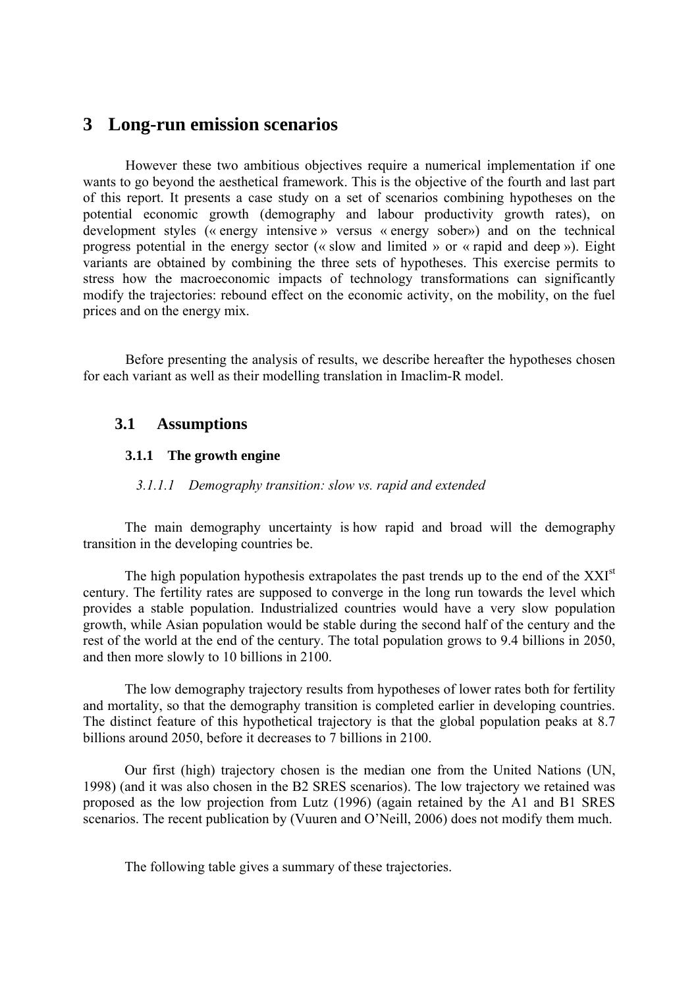## <span id="page-32-0"></span>**3 Long-run emission scenarios**

However these two ambitious objectives require a numerical implementation if one wants to go beyond the aesthetical framework. This is the objective of the fourth and last part of this report. It presents a case study on a set of scenarios combining hypotheses on the potential economic growth (demography and labour productivity growth rates), on development styles (« energy intensive » versus « energy sober») and on the technical progress potential in the energy sector (« slow and limited » or « rapid and deep »). Eight variants are obtained by combining the three sets of hypotheses. This exercise permits to stress how the macroeconomic impacts of technology transformations can significantly modify the trajectories: rebound effect on the economic activity, on the mobility, on the fuel prices and on the energy mix.

Before presenting the analysis of results, we describe hereafter the hypotheses chosen for each variant as well as their modelling translation in Imaclim-R model.

## **3.1 Assumptions**

### **3.1.1 The growth engine**

### *3.1.1.1 Demography transition: slow vs. rapid and extended*

The main demography uncertainty is how rapid and broad will the demography transition in the developing countries be.

The high population hypothesis extrapolates the past trends up to the end of the  $XXI<sup>st</sup>$ century. The fertility rates are supposed to converge in the long run towards the level which provides a stable population. Industrialized countries would have a very slow population growth, while Asian population would be stable during the second half of the century and the rest of the world at the end of the century. The total population grows to 9.4 billions in 2050, and then more slowly to 10 billions in 2100.

The low demography trajectory results from hypotheses of lower rates both for fertility and mortality, so that the demography transition is completed earlier in developing countries. The distinct feature of this hypothetical trajectory is that the global population peaks at 8.7 billions around 2050, before it decreases to 7 billions in 2100.

Our first (high) trajectory chosen is the median one from the United Nations (UN, 1998) (and it was also chosen in the B2 SRES scenarios). The low trajectory we retained was proposed as the low projection from Lutz (1996) (again retained by the A1 and B1 SRES scenarios. The recent publication by (Vuuren and O'Neill, 2006) does not modify them much.

The following table gives a summary of these trajectories.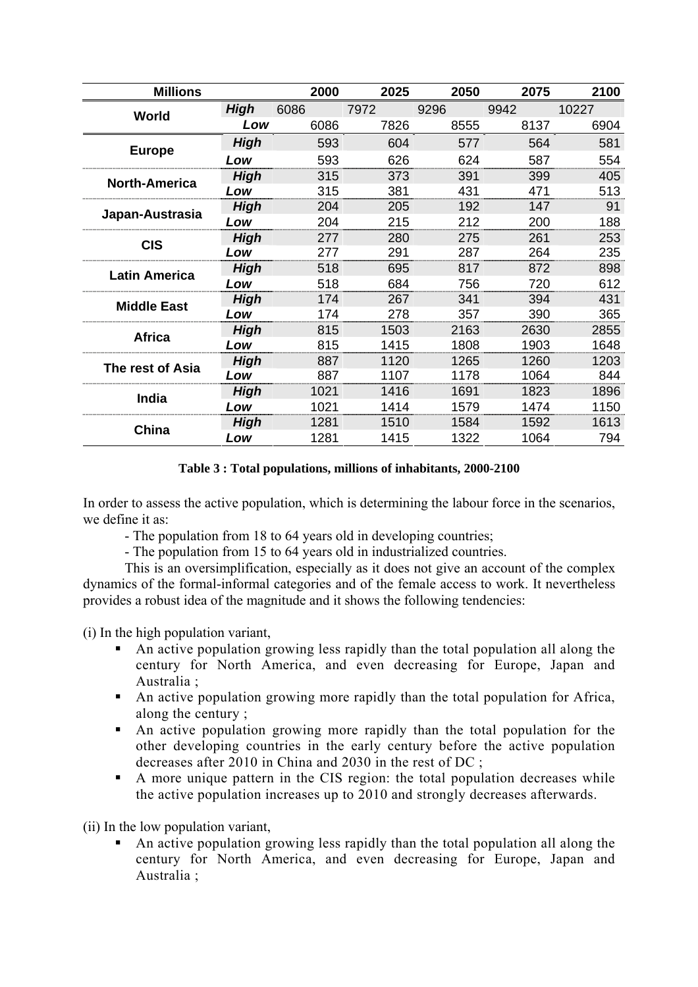| <b>Millions</b>      |             | 2000 | 2025 | 2050 | 2075 | 2100  |
|----------------------|-------------|------|------|------|------|-------|
| World                | High        | 6086 | 7972 | 9296 | 9942 | 10227 |
|                      | Low         | 6086 | 7826 | 8555 | 8137 | 6904  |
| <b>Europe</b>        | <b>High</b> | 593  | 604  | 577  | 564  | 581   |
|                      | Low         | 593  | 626  | 624  | 587  | 554   |
| <b>North-America</b> | <b>High</b> | 315  | 373  | 391  | 399  | 405   |
|                      | Low         | 315  | 381  | 431  | 471  | 513   |
| Japan-Austrasia      | High        | 204  | 205  | 192  | 147  | 91    |
|                      | Low         | 204  | 215  | 212  | 200  | 188   |
| <b>CIS</b>           | <b>High</b> | 277  | 280  | 275  | 261  | 253   |
|                      | Low         | 277  | 291  | 287  | 264  | 235   |
| <b>Latin America</b> | High        | 518  | 695  | 817  | 872  | 898   |
|                      | Low         | 518  | 684  | 756  | 720  | 612   |
| <b>Middle East</b>   | High        | 174  | 267  | 341  | 394  | 431   |
|                      | Low         | 174  | 278  | 357  | 390  | 365   |
| <b>Africa</b>        | High        | 815  | 1503 | 2163 | 2630 | 2855  |
|                      | Low         | 815  | 1415 | 1808 | 1903 | 1648  |
| The rest of Asia     | <b>High</b> | 887  | 1120 | 1265 | 1260 | 1203  |
|                      | -ow         | 887  | 1107 | 1178 | 1064 | 844   |
| India                | High        | 1021 | 1416 | 1691 | 1823 | 1896  |
|                      | Low         | 1021 | 1414 | 1579 | 1474 | 1150  |
| China                | High        | 1281 | 1510 | 1584 | 1592 | 1613  |
|                      | Low         | 1281 | 1415 | 1322 | 1064 | 794   |

### **Table 3 : Total populations, millions of inhabitants, 2000-2100**

In order to assess the active population, which is determining the labour force in the scenarios, we define it as:

- The population from 18 to 64 years old in developing countries;

- The population from 15 to 64 years old in industrialized countries.

This is an oversimplification, especially as it does not give an account of the complex dynamics of the formal-informal categories and of the female access to work. It nevertheless provides a robust idea of the magnitude and it shows the following tendencies:

(i) In the high population variant,

- An active population growing less rapidly than the total population all along the century for North America, and even decreasing for Europe, Japan and Australia ;
- An active population growing more rapidly than the total population for Africa, along the century ;
- An active population growing more rapidly than the total population for the other developing countries in the early century before the active population decreases after 2010 in China and 2030 in the rest of DC ;
- A more unique pattern in the CIS region: the total population decreases while the active population increases up to 2010 and strongly decreases afterwards.

(ii) In the low population variant,

 An active population growing less rapidly than the total population all along the century for North America, and even decreasing for Europe, Japan and Australia ;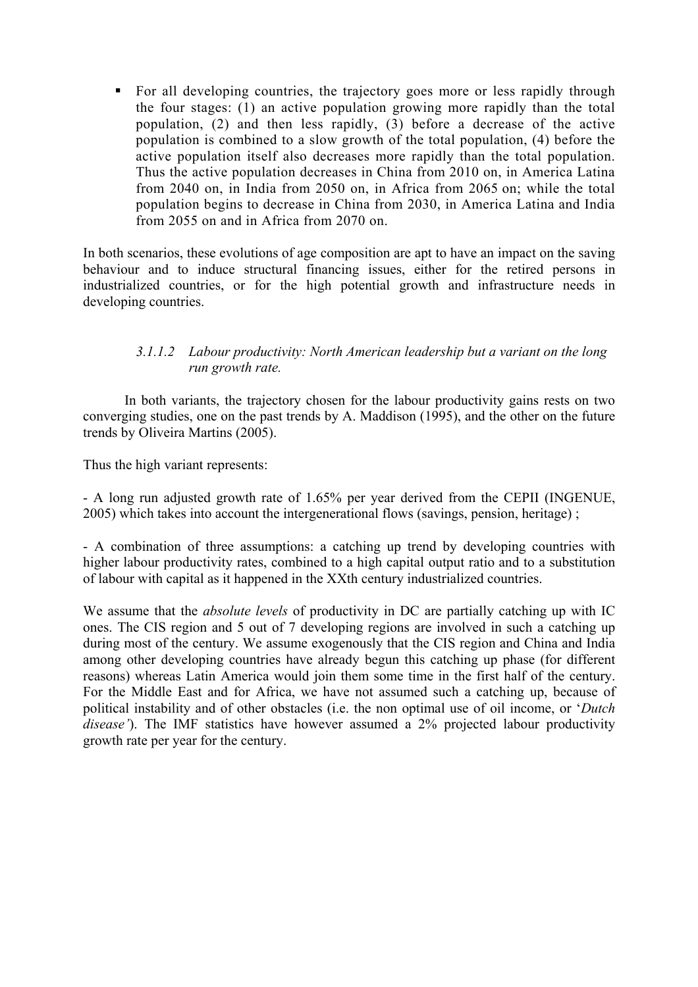For all developing countries, the trajectory goes more or less rapidly through the four stages: (1) an active population growing more rapidly than the total population, (2) and then less rapidly, (3) before a decrease of the active population is combined to a slow growth of the total population, (4) before the active population itself also decreases more rapidly than the total population. Thus the active population decreases in China from 2010 on, in America Latina from 2040 on, in India from 2050 on, in Africa from 2065 on; while the total population begins to decrease in China from 2030, in America Latina and India from 2055 on and in Africa from 2070 on.

In both scenarios, these evolutions of age composition are apt to have an impact on the saving behaviour and to induce structural financing issues, either for the retired persons in industrialized countries, or for the high potential growth and infrastructure needs in developing countries.

### *3.1.1.2 Labour productivity: North American leadership but a variant on the long run growth rate.*

In both variants, the trajectory chosen for the labour productivity gains rests on two converging studies, one on the past trends by A. Maddison (1995), and the other on the future trends by Oliveira Martins (2005).

Thus the high variant represents:

- A long run adjusted growth rate of 1.65% per year derived from the CEPII (INGENUE, 2005) which takes into account the intergenerational flows (savings, pension, heritage) ;

- A combination of three assumptions: a catching up trend by developing countries with higher labour productivity rates, combined to a high capital output ratio and to a substitution of labour with capital as it happened in the XXth century industrialized countries.

We assume that the *absolute levels* of productivity in DC are partially catching up with IC ones. The CIS region and 5 out of 7 developing regions are involved in such a catching up during most of the century. We assume exogenously that the CIS region and China and India among other developing countries have already begun this catching up phase (for different reasons) whereas Latin America would join them some time in the first half of the century. For the Middle East and for Africa, we have not assumed such a catching up, because of political instability and of other obstacles (i.e. the non optimal use of oil income, or '*Dutch disease'*). The IMF statistics have however assumed a 2% projected labour productivity growth rate per year for the century.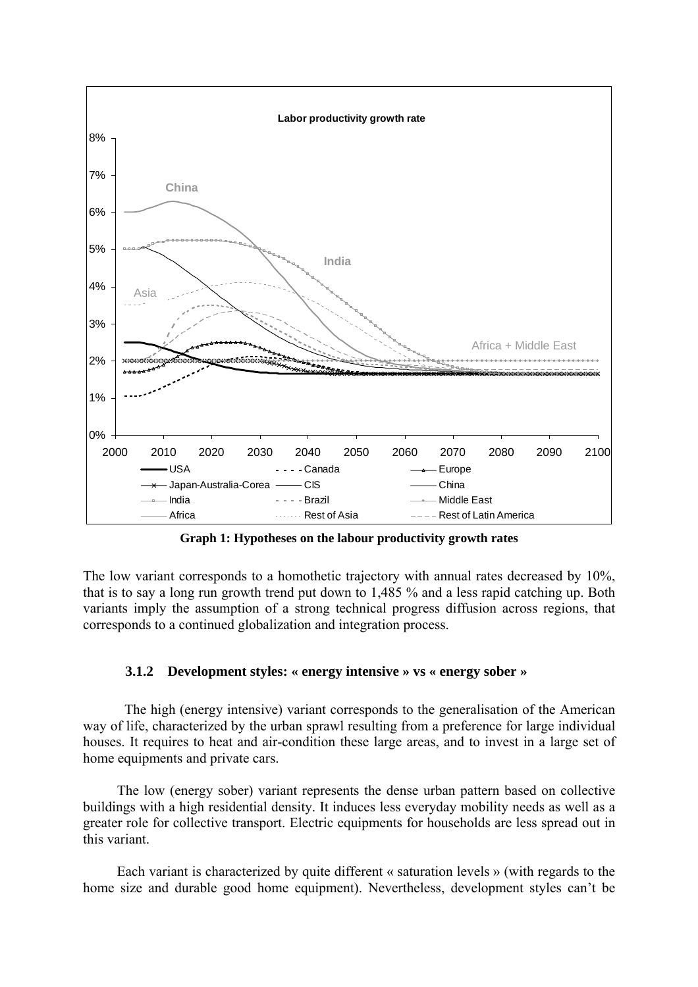<span id="page-35-0"></span>

**Graph 1: Hypotheses on the labour productivity growth rates** 

The low variant corresponds to a homothetic trajectory with annual rates decreased by 10%, that is to say a long run growth trend put down to 1,485 % and a less rapid catching up. Both variants imply the assumption of a strong technical progress diffusion across regions, that corresponds to a continued globalization and integration process.

### **3.1.2 Development styles: « energy intensive » vs « energy sober »**

The high (energy intensive) variant corresponds to the generalisation of the American way of life, characterized by the urban sprawl resulting from a preference for large individual houses. It requires to heat and air-condition these large areas, and to invest in a large set of home equipments and private cars.

The low (energy sober) variant represents the dense urban pattern based on collective buildings with a high residential density. It induces less everyday mobility needs as well as a greater role for collective transport. Electric equipments for households are less spread out in this variant.

Each variant is characterized by quite different « saturation levels » (with regards to the home size and durable good home equipment). Nevertheless, development styles can't be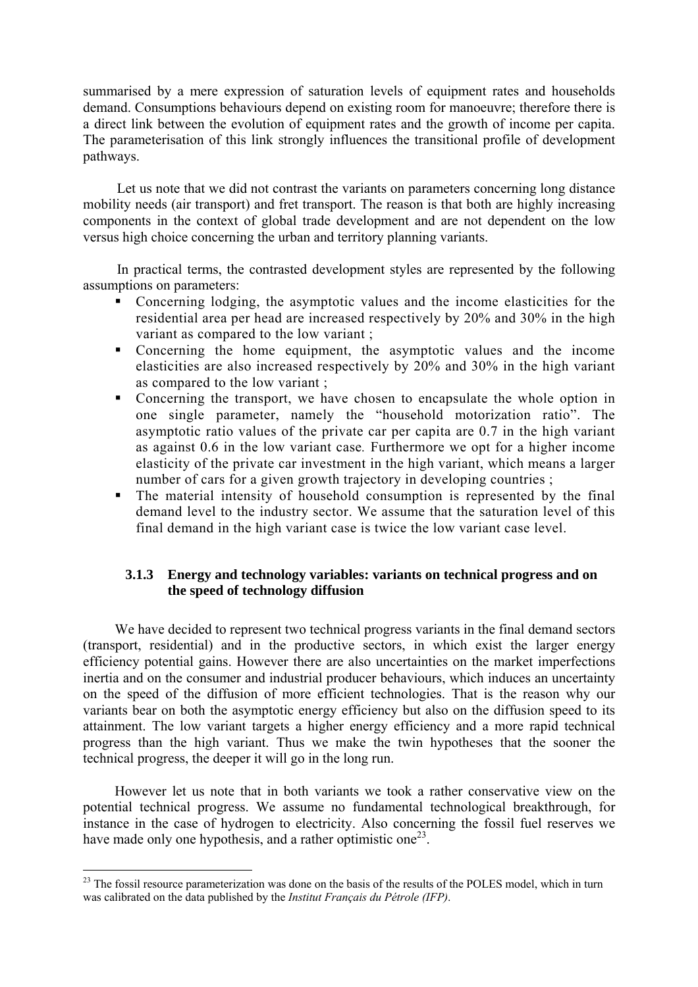<span id="page-36-0"></span>summarised by a mere expression of saturation levels of equipment rates and households demand. Consumptions behaviours depend on existing room for manoeuvre; therefore there is a direct link between the evolution of equipment rates and the growth of income per capita. The parameterisation of this link strongly influences the transitional profile of development pathways.

Let us note that we did not contrast the variants on parameters concerning long distance mobility needs (air transport) and fret transport. The reason is that both are highly increasing components in the context of global trade development and are not dependent on the low versus high choice concerning the urban and territory planning variants.

In practical terms, the contrasted development styles are represented by the following assumptions on parameters:

- Concerning lodging, the asymptotic values and the income elasticities for the residential area per head are increased respectively by 20% and 30% in the high variant as compared to the low variant ;
- Concerning the home equipment, the asymptotic values and the income elasticities are also increased respectively by 20% and 30% in the high variant as compared to the low variant ;
- Concerning the transport, we have chosen to encapsulate the whole option in one single parameter, namely the "household motorization ratio". The asymptotic ratio values of the private car per capita are 0.7 in the high variant as against 0.6 in the low variant case*.* Furthermore we opt for a higher income elasticity of the private car investment in the high variant, which means a larger number of cars for a given growth trajectory in developing countries ;
- The material intensity of household consumption is represented by the final demand level to the industry sector. We assume that the saturation level of this final demand in the high variant case is twice the low variant case level.

### **3.1.3 Energy and technology variables: variants on technical progress and on the speed of technology diffusion**

We have decided to represent two technical progress variants in the final demand sectors (transport, residential) and in the productive sectors, in which exist the larger energy efficiency potential gains. However there are also uncertainties on the market imperfections inertia and on the consumer and industrial producer behaviours, which induces an uncertainty on the speed of the diffusion of more efficient technologies. That is the reason why our variants bear on both the asymptotic energy efficiency but also on the diffusion speed to its attainment. The low variant targets a higher energy efficiency and a more rapid technical progress than the high variant. Thus we make the twin hypotheses that the sooner the technical progress, the deeper it will go in the long run.

However let us note that in both variants we took a rather conservative view on the potential technical progress. We assume no fundamental technological breakthrough, for instance in the case of hydrogen to electricity. Also concerning the fossil fuel reserves we have made only one hypothesis, and a rather optimistic one<sup>23</sup>.

1

<span id="page-36-1"></span><sup>&</sup>lt;sup>23</sup> The fossil resource parameterization was done on the basis of the results of the POLES model, which in turn was calibrated on the data published by the *Institut Français du Pétrole (IFP)*.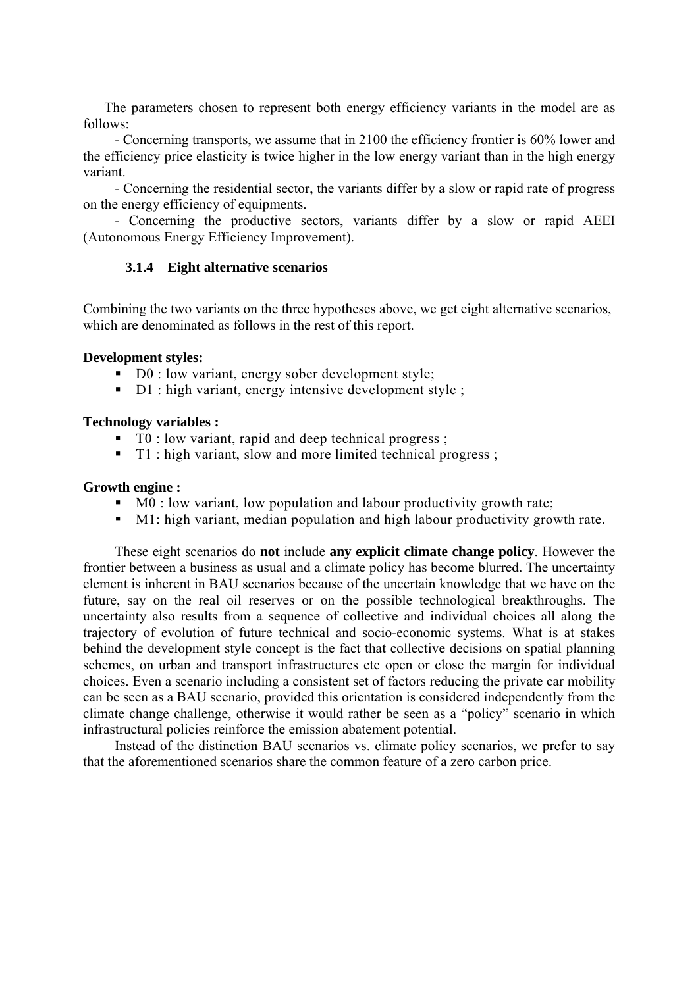<span id="page-37-0"></span>The parameters chosen to represent both energy efficiency variants in the model are as follows:

- Concerning transports, we assume that in 2100 the efficiency frontier is 60% lower and the efficiency price elasticity is twice higher in the low energy variant than in the high energy variant.

- Concerning the residential sector, the variants differ by a slow or rapid rate of progress on the energy efficiency of equipments.

- Concerning the productive sectors, variants differ by a slow or rapid AEEI (Autonomous Energy Efficiency Improvement).

### **3.1.4 Eight alternative scenarios**

Combining the two variants on the three hypotheses above, we get eight alternative scenarios, which are denominated as follows in the rest of this report.

#### **Development styles:**

- $\blacksquare$  D0 : low variant, energy sober development style;
- D1 : high variant, energy intensive development style ;

### **Technology variables :**

- $\blacksquare$  T0 : low variant, rapid and deep technical progress ;
- T1 : high variant, slow and more limited technical progress ;

#### **Growth engine :**

- $\blacksquare$  M0 : low variant, low population and labour productivity growth rate;
- M1: high variant, median population and high labour productivity growth rate.

These eight scenarios do **not** include **any explicit climate change policy**. However the frontier between a business as usual and a climate policy has become blurred. The uncertainty element is inherent in BAU scenarios because of the uncertain knowledge that we have on the future, say on the real oil reserves or on the possible technological breakthroughs. The uncertainty also results from a sequence of collective and individual choices all along the trajectory of evolution of future technical and socio-economic systems. What is at stakes behind the development style concept is the fact that collective decisions on spatial planning schemes, on urban and transport infrastructures etc open or close the margin for individual choices. Even a scenario including a consistent set of factors reducing the private car mobility can be seen as a BAU scenario, provided this orientation is considered independently from the climate change challenge, otherwise it would rather be seen as a "policy" scenario in which infrastructural policies reinforce the emission abatement potential.

Instead of the distinction BAU scenarios vs. climate policy scenarios, we prefer to say that the aforementioned scenarios share the common feature of a zero carbon price.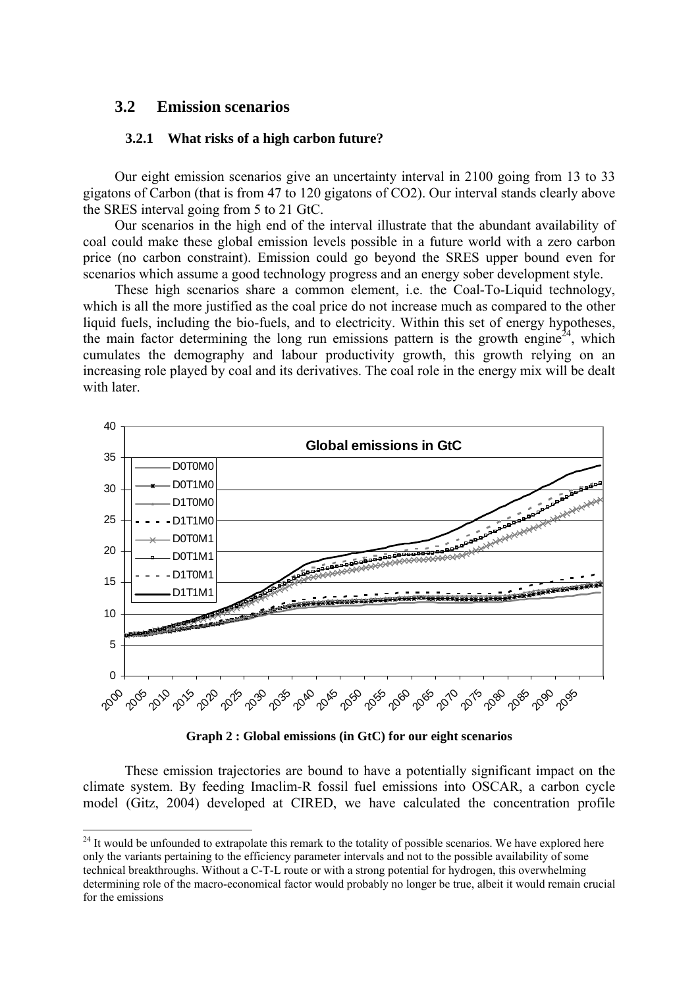### <span id="page-38-0"></span>**3.2 Emission scenarios**

1

#### **3.2.1 What risks of a high carbon future?**

Our eight emission scenarios give an uncertainty interval in 2100 going from 13 to 33 gigatons of Carbon (that is from 47 to 120 gigatons of CO2). Our interval stands clearly above the SRES interval going from 5 to 21 GtC.

Our scenarios in the high end of the interval illustrate that the abundant availability of coal could make these global emission levels possible in a future world with a zero carbon price (no carbon constraint). Emission could go beyond the SRES upper bound even for scenarios which assume a good technology progress and an energy sober development style.

These high scenarios share a common element, i.e. the Coal-To-Liquid technology, which is all the more justified as the coal price do not increase much as compared to the other liquid fuels, including the bio-fuels, and to electricity. Within this set of energy hypotheses, the main factor determining the long run emissions pattern is the growth engine<sup>24</sup>, which cumulates the demography and labour productivity growth, this growth relying on an increasing role played by coal and its derivatives. The coal role in the energy mix will be dealt with later.



<span id="page-38-2"></span>**Graph 2 : Global emissions (in GtC) for our eight scenarios** 

These emission trajectories are bound to have a potentially significant impact on the climate system. By feeding Imaclim-R fossil fuel emissions into OSCAR, a carbon cycle model (Gitz, 2004) developed at CIRED, we have calculated the concentration profile

<span id="page-38-1"></span><sup>&</sup>lt;sup>24</sup> It would be unfounded to extrapolate this remark to the totality of possible scenarios. We have explored here only the variants pertaining to the efficiency parameter intervals and not to the possible availability of some technical breakthroughs. Without a C-T-L route or with a strong potential for hydrogen, this overwhelming determining role of the macro-economical factor would probably no longer be true, albeit it would remain crucial for the emissions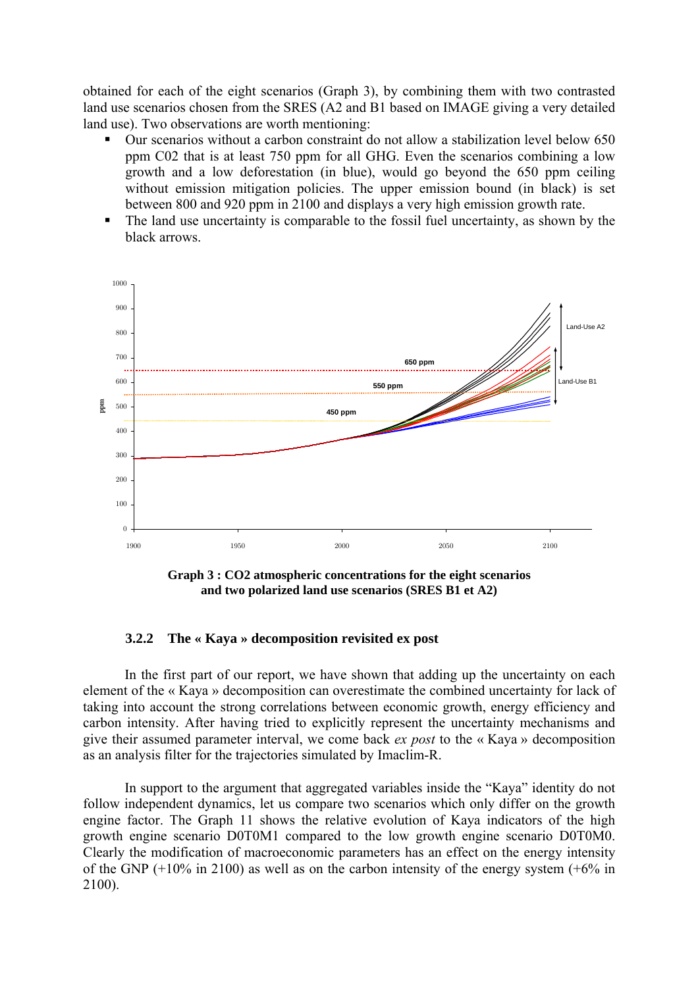<span id="page-39-0"></span>obtained for each of the eight scenarios [\(Graph 3\)](#page-39-1), by combining them with two contrasted land use scenarios chosen from the SRES (A2 and B1 based on IMAGE giving a very detailed land use). Two observations are worth mentioning:

- Our scenarios without a carbon constraint do not allow a stabilization level below 650 ppm C02 that is at least 750 ppm for all GHG. Even the scenarios combining a low growth and a low deforestation (in blue), would go beyond the 650 ppm ceiling without emission mitigation policies. The upper emission bound (in black) is set between 800 and 920 ppm in 2100 and displays a very high emission growth rate.
- The land use uncertainty is comparable to the fossil fuel uncertainty, as shown by the black arrows.



<span id="page-39-1"></span>**Graph 3 : CO2 atmospheric concentrations for the eight scenarios and two polarized land use scenarios (SRES B1 et A2)** 

### **3.2.2 The « Kaya » decomposition revisited ex post**

In the first part of our report, we have shown that adding up the uncertainty on each element of the « Kaya » decomposition can overestimate the combined uncertainty for lack of taking into account the strong correlations between economic growth, energy efficiency and carbon intensity. After having tried to explicitly represent the uncertainty mechanisms and give their assumed parameter interval, we come back *ex post* to the « Kaya » decomposition as an analysis filter for the trajectories simulated by Imaclim-R.

In support to the argument that aggregated variables inside the "Kaya" identity do not follow independent dynamics, let us compare two scenarios which only differ on the growth engine factor. The Graph 11 shows the relative evolution of Kaya indicators of the high growth engine scenario D0T0M1 compared to the low growth engine scenario D0T0M0. Clearly the modification of macroeconomic parameters has an effect on the energy intensity of the GNP  $(+10\%$  in 2100) as well as on the carbon intensity of the energy system  $(+6\%$  in 2100).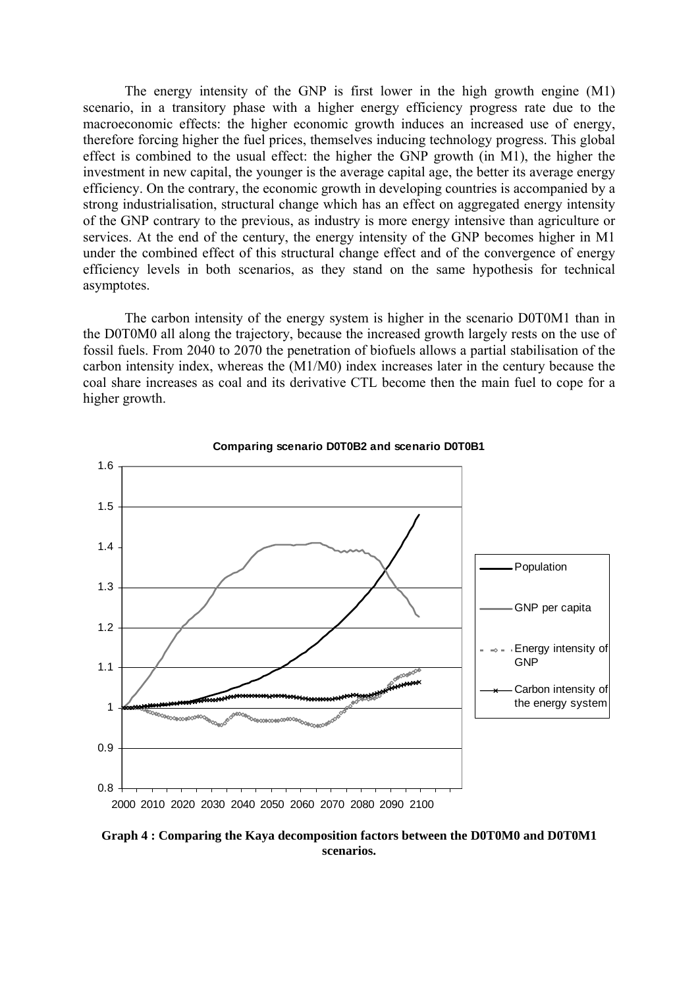The energy intensity of the GNP is first lower in the high growth engine (M1) scenario, in a transitory phase with a higher energy efficiency progress rate due to the macroeconomic effects: the higher economic growth induces an increased use of energy, therefore forcing higher the fuel prices, themselves inducing technology progress. This global effect is combined to the usual effect: the higher the GNP growth (in M1), the higher the investment in new capital, the younger is the average capital age, the better its average energy efficiency. On the contrary, the economic growth in developing countries is accompanied by a strong industrialisation, structural change which has an effect on aggregated energy intensity of the GNP contrary to the previous, as industry is more energy intensive than agriculture or services. At the end of the century, the energy intensity of the GNP becomes higher in M1 under the combined effect of this structural change effect and of the convergence of energy efficiency levels in both scenarios, as they stand on the same hypothesis for technical asymptotes.

The carbon intensity of the energy system is higher in the scenario D0T0M1 than in the D0T0M0 all along the trajectory, because the increased growth largely rests on the use of fossil fuels. From 2040 to 2070 the penetration of biofuels allows a partial stabilisation of the carbon intensity index, whereas the (M1/M0) index increases later in the century because the coal share increases as coal and its derivative CTL become then the main fuel to cope for a higher growth.



**Graph 4 : Comparing the Kaya decomposition factors between the D0T0M0 and D0T0M1 scenarios.**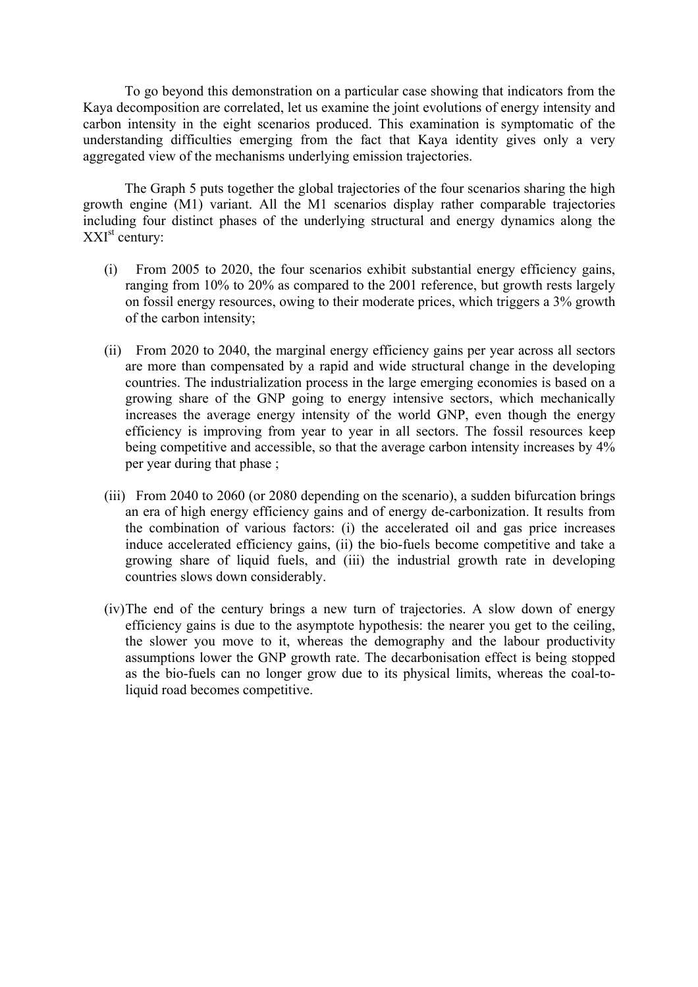To go beyond this demonstration on a particular case showing that indicators from the Kaya decomposition are correlated, let us examine the joint evolutions of energy intensity and carbon intensity in the eight scenarios produced. This examination is symptomatic of the understanding difficulties emerging from the fact that Kaya identity gives only a very aggregated view of the mechanisms underlying emission trajectories.

The [Graph 5](#page-42-1) puts together the global trajectories of the four scenarios sharing the high growth engine (M1) variant. All the M1 scenarios display rather comparable trajectories including four distinct phases of the underlying structural and energy dynamics along the  $XXI<sup>st</sup>$  century:

- (i) From 2005 to 2020, the four scenarios exhibit substantial energy efficiency gains, ranging from 10% to 20% as compared to the 2001 reference, but growth rests largely on fossil energy resources, owing to their moderate prices, which triggers a 3% growth of the carbon intensity;
- (ii) From 2020 to 2040, the marginal energy efficiency gains per year across all sectors are more than compensated by a rapid and wide structural change in the developing countries. The industrialization process in the large emerging economies is based on a growing share of the GNP going to energy intensive sectors, which mechanically increases the average energy intensity of the world GNP, even though the energy efficiency is improving from year to year in all sectors. The fossil resources keep being competitive and accessible, so that the average carbon intensity increases by  $4\%$ per year during that phase ;
- (iii) From 2040 to 2060 (or 2080 depending on the scenario), a sudden bifurcation brings an era of high energy efficiency gains and of energy de-carbonization. It results from the combination of various factors: (i) the accelerated oil and gas price increases induce accelerated efficiency gains, (ii) the bio-fuels become competitive and take a growing share of liquid fuels, and (iii) the industrial growth rate in developing countries slows down considerably.
- (iv)The end of the century brings a new turn of trajectories. A slow down of energy efficiency gains is due to the asymptote hypothesis: the nearer you get to the ceiling, the slower you move to it, whereas the demography and the labour productivity assumptions lower the GNP growth rate. The decarbonisation effect is being stopped as the bio-fuels can no longer grow due to its physical limits, whereas the coal-toliquid road becomes competitive.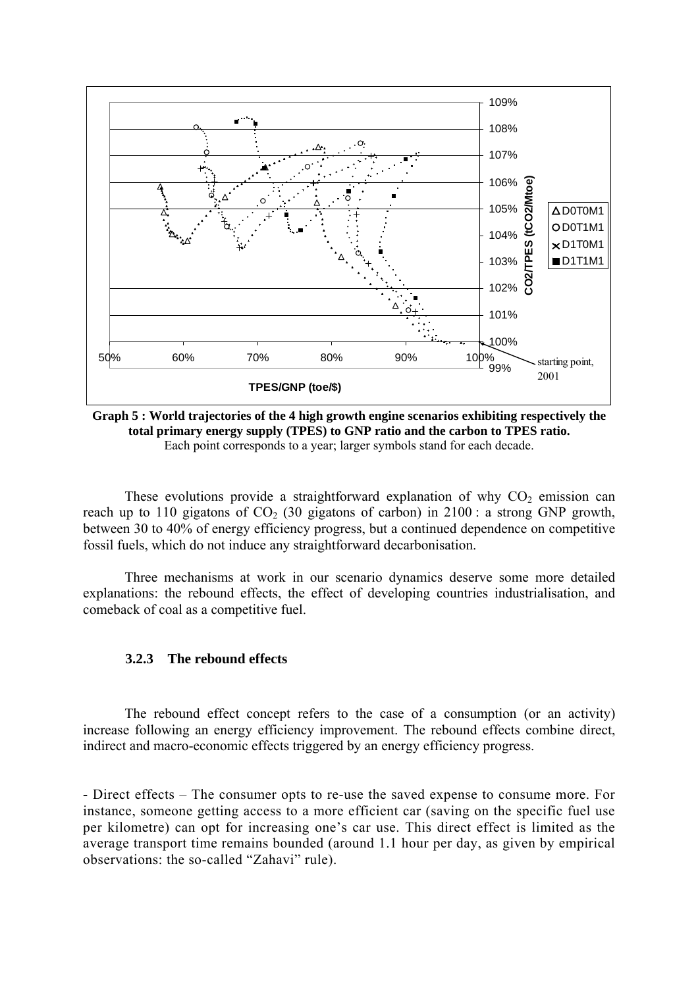<span id="page-42-0"></span>

<span id="page-42-1"></span>**Graph 5 : World trajectories of the 4 high growth engine scenarios exhibiting respectively the total primary energy supply (TPES) to GNP ratio and the carbon to TPES ratio.**  Each point corresponds to a year; larger symbols stand for each decade.

These evolutions provide a straightforward explanation of why  $CO<sub>2</sub>$  emission can reach up to 110 gigatons of  $CO<sub>2</sub>$  (30 gigatons of carbon) in 2100 : a strong GNP growth, between 30 to 40% of energy efficiency progress, but a continued dependence on competitive fossil fuels, which do not induce any straightforward decarbonisation.

Three mechanisms at work in our scenario dynamics deserve some more detailed explanations: the rebound effects, the effect of developing countries industrialisation, and comeback of coal as a competitive fuel.

#### **3.2.3 The rebound effects**

The rebound effect concept refers to the case of a consumption (or an activity) increase following an energy efficiency improvement. The rebound effects combine direct, indirect and macro-economic effects triggered by an energy efficiency progress.

**-** Direct effects – The consumer opts to re-use the saved expense to consume more. For instance, someone getting access to a more efficient car (saving on the specific fuel use per kilometre) can opt for increasing one's car use. This direct effect is limited as the average transport time remains bounded (around 1.1 hour per day, as given by empirical observations: the so-called "Zahavi" rule).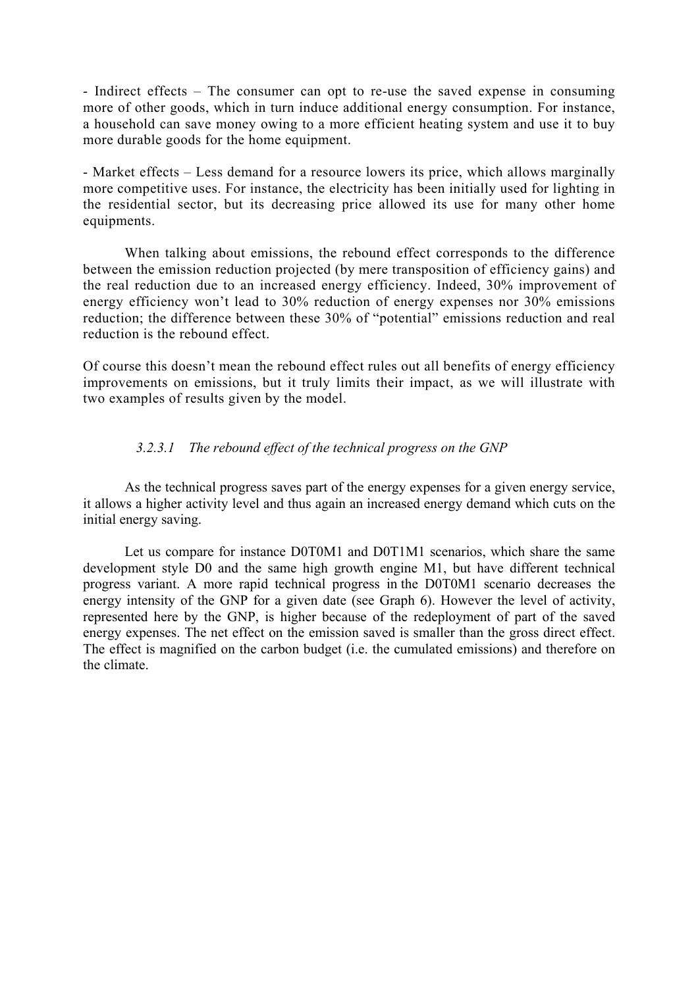- Indirect effects – The consumer can opt to re-use the saved expense in consuming more of other goods, which in turn induce additional energy consumption. For instance, a household can save money owing to a more efficient heating system and use it to buy more durable goods for the home equipment.

- Market effects – Less demand for a resource lowers its price, which allows marginally more competitive uses. For instance, the electricity has been initially used for lighting in the residential sector, but its decreasing price allowed its use for many other home equipments.

 When talking about emissions, the rebound effect corresponds to the difference between the emission reduction projected (by mere transposition of efficiency gains) and the real reduction due to an increased energy efficiency. Indeed, 30% improvement of energy efficiency won't lead to 30% reduction of energy expenses nor 30% emissions reduction; the difference between these 30% of "potential" emissions reduction and real reduction is the rebound effect.

Of course this doesn't mean the rebound effect rules out all benefits of energy efficiency improvements on emissions, but it truly limits their impact, as we will illustrate with two examples of results given by the model.

### *3.2.3.1 The rebound effect of the technical progress on the GNP*

As the technical progress saves part of the energy expenses for a given energy service, it allows a higher activity level and thus again an increased energy demand which cuts on the initial energy saving.

Let us compare for instance D0T0M1 and D0T1M1 scenarios, which share the same development style D0 and the same high growth engine M1, but have different technical progress variant. A more rapid technical progress in the D0T0M1 scenario decreases the energy intensity of the GNP for a given date (see [Graph 6\)](#page-44-0). However the level of activity, represented here by the GNP, is higher because of the redeployment of part of the saved energy expenses. The net effect on the emission saved is smaller than the gross direct effect. The effect is magnified on the carbon budget (i.e. the cumulated emissions) and therefore on the climate.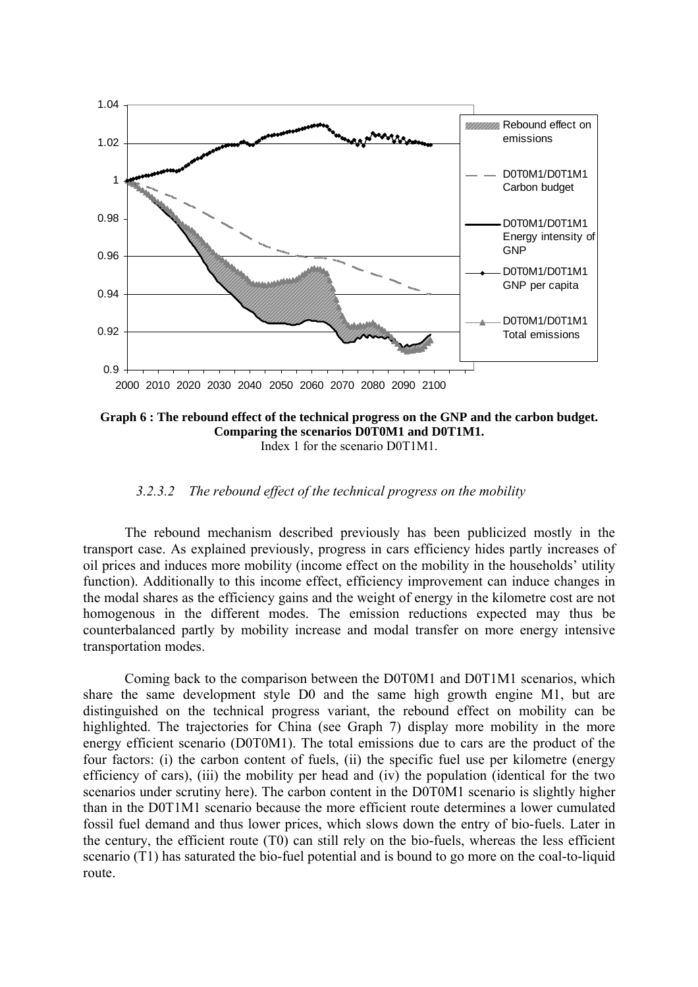

<span id="page-44-0"></span>**Graph 6 : The rebound effect of the technical progress on the GNP and the carbon budget. Comparing the scenarios D0T0M1 and D0T1M1.**  Index 1 for the scenario D0T1M1.

*3.2.3.2 The rebound effect of the technical progress on the mobility* 

The rebound mechanism described previously has been publicized mostly in the transport case. As explained previously, progress in cars efficiency hides partly increases of oil prices and induces more mobility (income effect on the mobility in the households' utility function). Additionally to this income effect, efficiency improvement can induce changes in the modal shares as the efficiency gains and the weight of energy in the kilometre cost are not homogenous in the different modes. The emission reductions expected may thus be counterbalanced partly by mobility increase and modal transfer on more energy intensive transportation modes.

Coming back to the comparison between the D0T0M1 and D0T1M1 scenarios, which share the same development style D0 and the same high growth engine M1, but are distinguished on the technical progress variant, the rebound effect on mobility can be highlighted. The trajectories for China (see [Graph 7\)](#page-45-0) display more mobility in the more energy efficient scenario (D0T0M1). The total emissions due to cars are the product of the four factors: (i) the carbon content of fuels, (ii) the specific fuel use per kilometre (energy efficiency of cars), (iii) the mobility per head and (iv) the population (identical for the two scenarios under scrutiny here). The carbon content in the D0T0M1 scenario is slightly higher than in the D0T1M1 scenario because the more efficient route determines a lower cumulated fossil fuel demand and thus lower prices, which slows down the entry of bio-fuels. Later in the century, the efficient route (T0) can still rely on the bio-fuels, whereas the less efficient scenario (T1) has saturated the bio-fuel potential and is bound to go more on the coal-to-liquid route.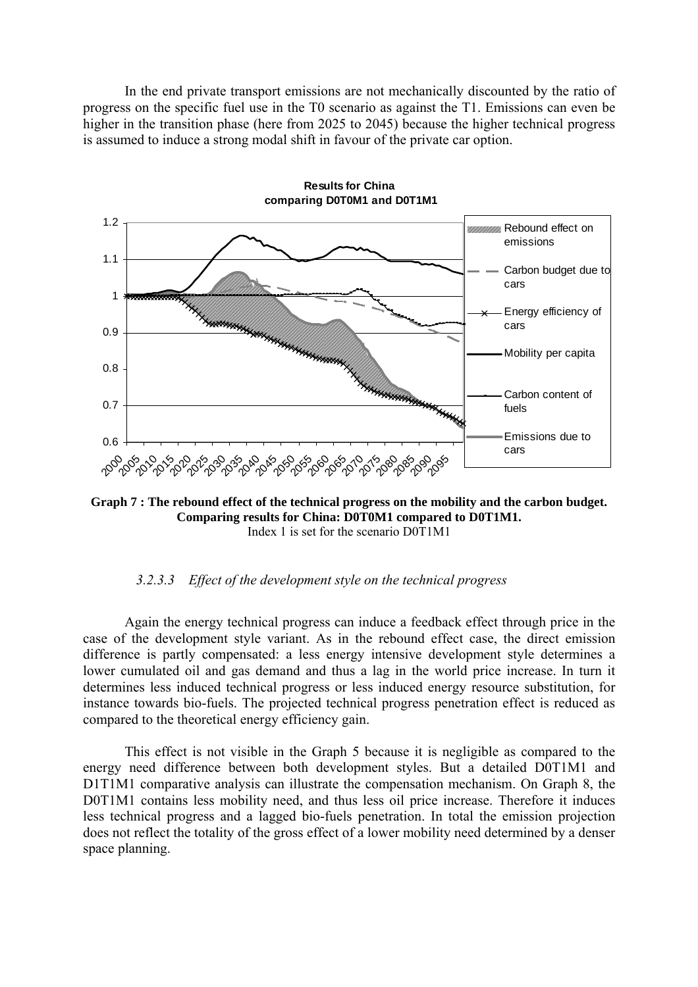In the end private transport emissions are not mechanically discounted by the ratio of progress on the specific fuel use in the T0 scenario as against the T1. Emissions can even be higher in the transition phase (here from 2025 to 2045) because the higher technical progress is assumed to induce a strong modal shift in favour of the private car option.



<span id="page-45-0"></span>**Graph 7 : The rebound effect of the technical progress on the mobility and the carbon budget. Comparing results for China: D0T0M1 compared to D0T1M1.**  Index 1 is set for the scenario D0T1M1

### *3.2.3.3 Effect of the development style on the technical progress*

Again the energy technical progress can induce a feedback effect through price in the case of the development style variant. As in the rebound effect case, the direct emission difference is partly compensated: a less energy intensive development style determines a lower cumulated oil and gas demand and thus a lag in the world price increase. In turn it determines less induced technical progress or less induced energy resource substitution, for instance towards bio-fuels. The projected technical progress penetration effect is reduced as compared to the theoretical energy efficiency gain.

This effect is not visible in the [Graph 5](#page-42-1) because it is negligible as compared to the energy need difference between both development styles. But a detailed D0T1M1 and D1T1M1 comparative analysis can illustrate the compensation mechanism. On [Graph 8,](#page-46-1) the D0T1M1 contains less mobility need, and thus less oil price increase. Therefore it induces less technical progress and a lagged bio-fuels penetration. In total the emission projection does not reflect the totality of the gross effect of a lower mobility need determined by a denser space planning.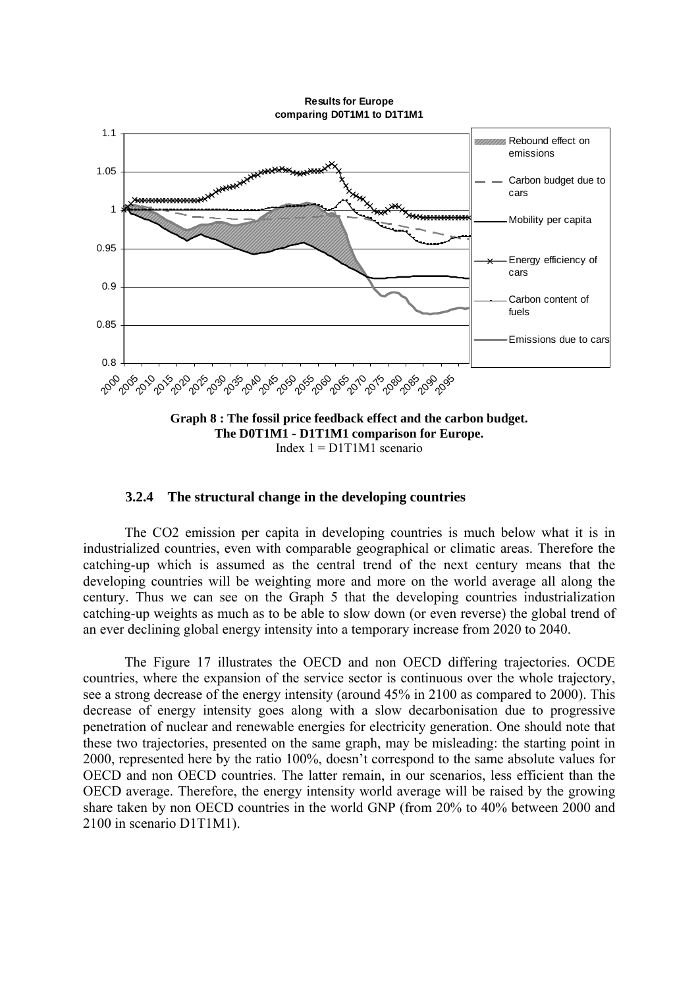**Results for Europe comparing D0T1M1 to D1T1M1**

<span id="page-46-0"></span>

#### <span id="page-46-1"></span>**3.2.4 The structural change in the developing countries**

The CO2 emission per capita in developing countries is much below what it is in industrialized countries, even with comparable geographical or climatic areas. Therefore the catching-up which is assumed as the central trend of the next century means that the developing countries will be weighting more and more on the world average all along the century. Thus we can see on the [Graph 5](#page-42-1) that the developing countries industrialization catching-up weights as much as to be able to slow down (or even reverse) the global trend of an ever declining global energy intensity into a temporary increase from 2020 to 2040.

The Figure 17 illustrates the OECD and non OECD differing trajectories. OCDE countries, where the expansion of the service sector is continuous over the whole trajectory, see a strong decrease of the energy intensity (around 45% in 2100 as compared to 2000). This decrease of energy intensity goes along with a slow decarbonisation due to progressive penetration of nuclear and renewable energies for electricity generation. One should note that these two trajectories, presented on the same graph, may be misleading: the starting point in 2000, represented here by the ratio 100%, doesn't correspond to the same absolute values for OECD and non OECD countries. The latter remain, in our scenarios, less efficient than the OECD average. Therefore, the energy intensity world average will be raised by the growing share taken by non OECD countries in the world GNP (from 20% to 40% between 2000 and 2100 in scenario D1T1M1).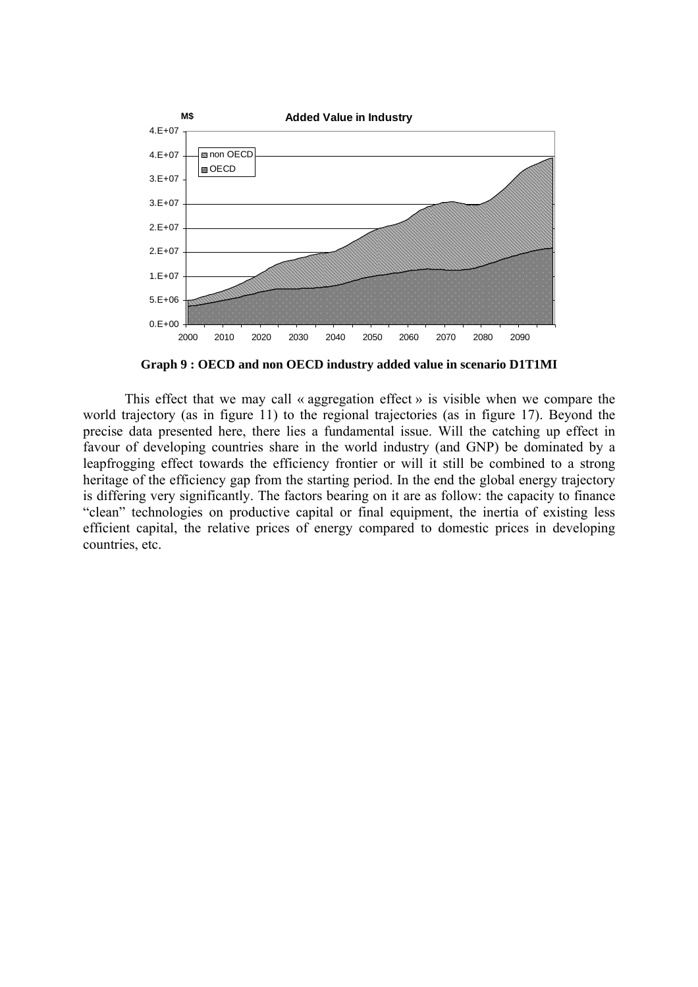

**Graph 9 : OECD and non OECD industry added value in scenario D1T1MI** 

This effect that we may call « aggregation effect » is visible when we compare the world trajectory (as in figure 11) to the regional trajectories (as in figure 17). Beyond the precise data presented here, there lies a fundamental issue. Will the catching up effect in favour of developing countries share in the world industry (and GNP) be dominated by a leapfrogging effect towards the efficiency frontier or will it still be combined to a strong heritage of the efficiency gap from the starting period. In the end the global energy trajectory is differing very significantly. The factors bearing on it are as follow: the capacity to finance "clean" technologies on productive capital or final equipment, the inertia of existing less efficient capital, the relative prices of energy compared to domestic prices in developing countries, etc.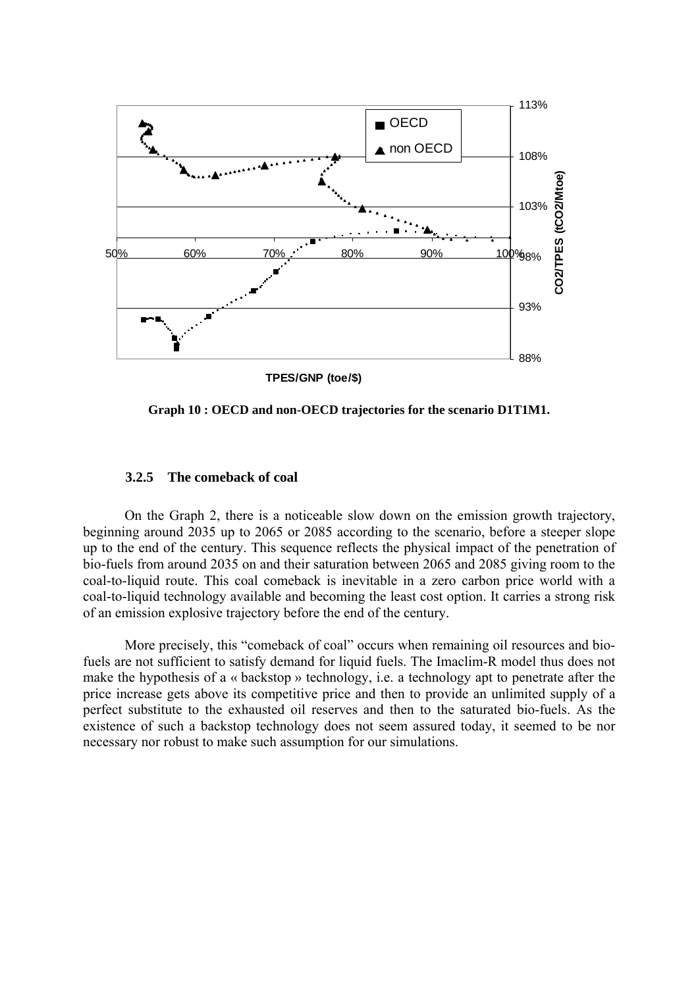<span id="page-48-0"></span>

**Graph 10 : OECD and non-OECD trajectories for the scenario D1T1M1.** 

#### **3.2.5 The comeback of coal**

On the [Graph 2,](#page-38-2) there is a noticeable slow down on the emission growth trajectory, beginning around 2035 up to 2065 or 2085 according to the scenario, before a steeper slope up to the end of the century. This sequence reflects the physical impact of the penetration of bio-fuels from around 2035 on and their saturation between 2065 and 2085 giving room to the coal-to-liquid route. This coal comeback is inevitable in a zero carbon price world with a coal-to-liquid technology available and becoming the least cost option. It carries a strong risk of an emission explosive trajectory before the end of the century.

More precisely, this "comeback of coal" occurs when remaining oil resources and biofuels are not sufficient to satisfy demand for liquid fuels. The Imaclim-R model thus does not make the hypothesis of a « backstop » technology, i.e. a technology apt to penetrate after the price increase gets above its competitive price and then to provide an unlimited supply of a perfect substitute to the exhausted oil reserves and then to the saturated bio-fuels. As the existence of such a backstop technology does not seem assured today, it seemed to be nor necessary nor robust to make such assumption for our simulations.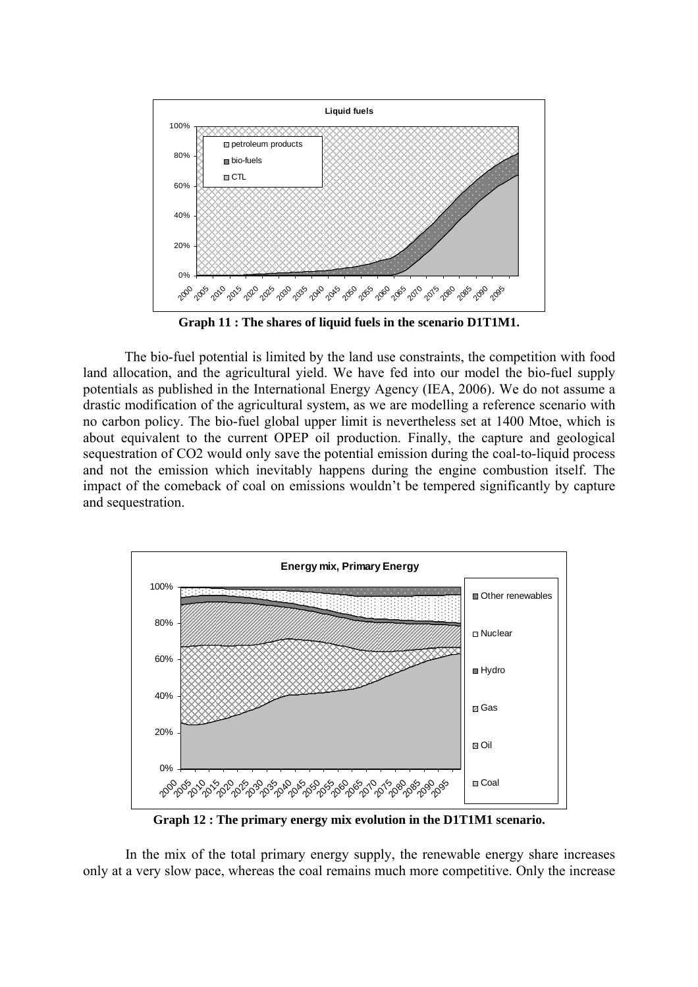

**Graph 11 : The shares of liquid fuels in the scenario D1T1M1.** 

The bio-fuel potential is limited by the land use constraints, the competition with food land allocation, and the agricultural yield. We have fed into our model the bio-fuel supply potentials as published in the International Energy Agency (IEA, 2006). We do not assume a drastic modification of the agricultural system, as we are modelling a reference scenario with no carbon policy. The bio-fuel global upper limit is nevertheless set at 1400 Mtoe, which is about equivalent to the current OPEP oil production. Finally, the capture and geological sequestration of CO2 would only save the potential emission during the coal-to-liquid process and not the emission which inevitably happens during the engine combustion itself. The impact of the comeback of coal on emissions wouldn't be tempered significantly by capture and sequestration.



<span id="page-49-0"></span>**Graph 12 : The primary energy mix evolution in the D1T1M1 scenario.** 

In the mix of the total primary energy supply, the renewable energy share increases only at a very slow pace, whereas the coal remains much more competitive. Only the increase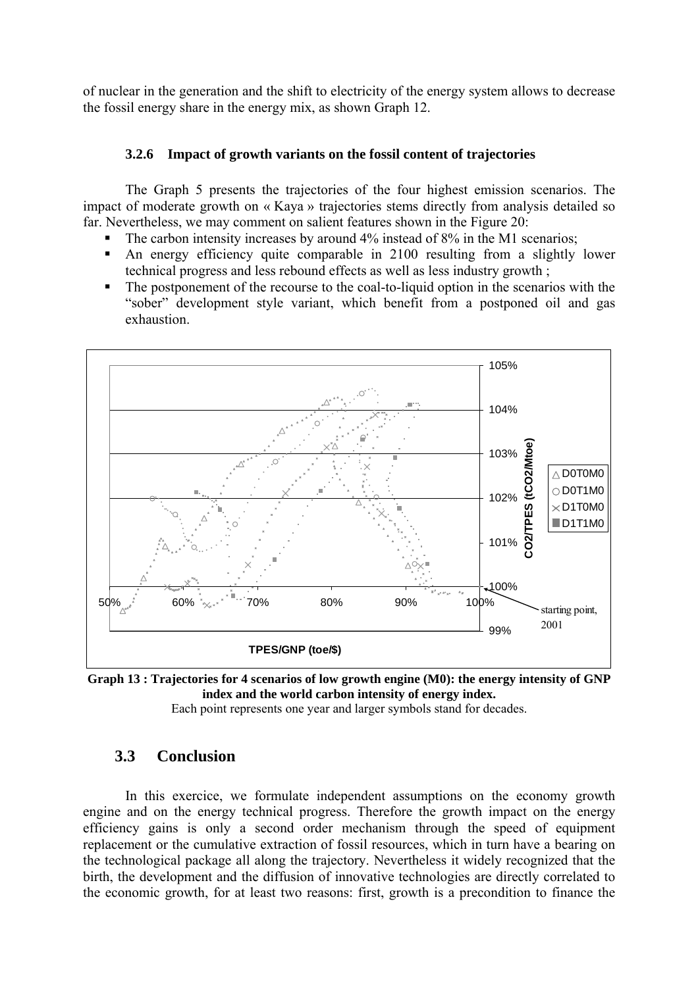<span id="page-50-0"></span>of nuclear in the generation and the shift to electricity of the energy system allows to decrease the fossil energy share in the energy mix, as shown [Graph 12.](#page-49-0)

### **3.2.6 Impact of growth variants on the fossil content of trajectories**

The [Graph 5](#page-42-1) presents the trajectories of the four highest emission scenarios. The impact of moderate growth on « Kaya » trajectories stems directly from analysis detailed so far. Nevertheless, we may comment on salient features shown in the Figure 20:

- $\blacksquare$  The carbon intensity increases by around 4% instead of 8% in the M1 scenarios;
- An energy efficiency quite comparable in 2100 resulting from a slightly lower technical progress and less rebound effects as well as less industry growth ;
- The postponement of the recourse to the coal-to-liquid option in the scenarios with the "sober" development style variant, which benefit from a postponed oil and gas exhaustion.



**Graph 13 : Trajectories for 4 scenarios of low growth engine (M0): the energy intensity of GNP index and the world carbon intensity of energy index.** 

Each point represents one year and larger symbols stand for decades.

## **3.3 Conclusion**

In this exercice, we formulate independent assumptions on the economy growth engine and on the energy technical progress. Therefore the growth impact on the energy efficiency gains is only a second order mechanism through the speed of equipment replacement or the cumulative extraction of fossil resources, which in turn have a bearing on the technological package all along the trajectory. Nevertheless it widely recognized that the birth, the development and the diffusion of innovative technologies are directly correlated to the economic growth, for at least two reasons: first, growth is a precondition to finance the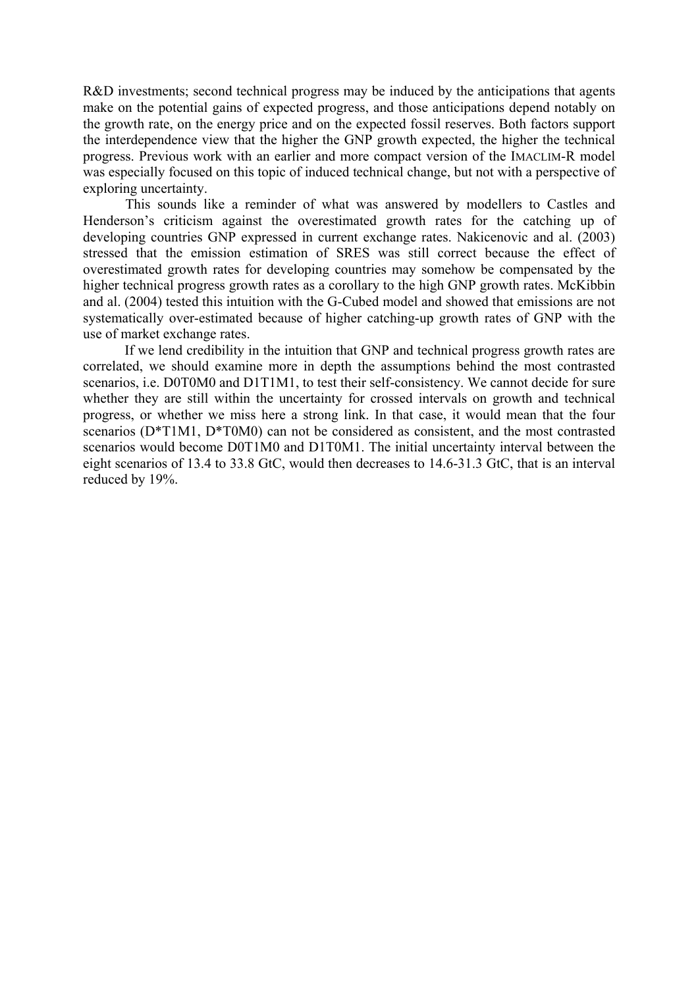R&D investments; second technical progress may be induced by the anticipations that agents make on the potential gains of expected progress, and those anticipations depend notably on the growth rate, on the energy price and on the expected fossil reserves. Both factors support the interdependence view that the higher the GNP growth expected, the higher the technical progress. Previous work with an earlier and more compact version of the IMACLIM-R model was especially focused on this topic of induced technical change, but not with a perspective of exploring uncertainty.

This sounds like a reminder of what was answered by modellers to Castles and Henderson's criticism against the overestimated growth rates for the catching up of developing countries GNP expressed in current exchange rates. Nakicenovic and al. (2003) stressed that the emission estimation of SRES was still correct because the effect of overestimated growth rates for developing countries may somehow be compensated by the higher technical progress growth rates as a corollary to the high GNP growth rates. McKibbin and al. (2004) tested this intuition with the G-Cubed model and showed that emissions are not systematically over-estimated because of higher catching-up growth rates of GNP with the use of market exchange rates.

If we lend credibility in the intuition that GNP and technical progress growth rates are correlated, we should examine more in depth the assumptions behind the most contrasted scenarios, i.e. D0T0M0 and D1T1M1, to test their self-consistency. We cannot decide for sure whether they are still within the uncertainty for crossed intervals on growth and technical progress, or whether we miss here a strong link. In that case, it would mean that the four scenarios (D\*T1M1, D\*T0M0) can not be considered as consistent, and the most contrasted scenarios would become D0T1M0 and D1T0M1. The initial uncertainty interval between the eight scenarios of 13.4 to 33.8 GtC, would then decreases to 14.6-31.3 GtC, that is an interval reduced by 19%.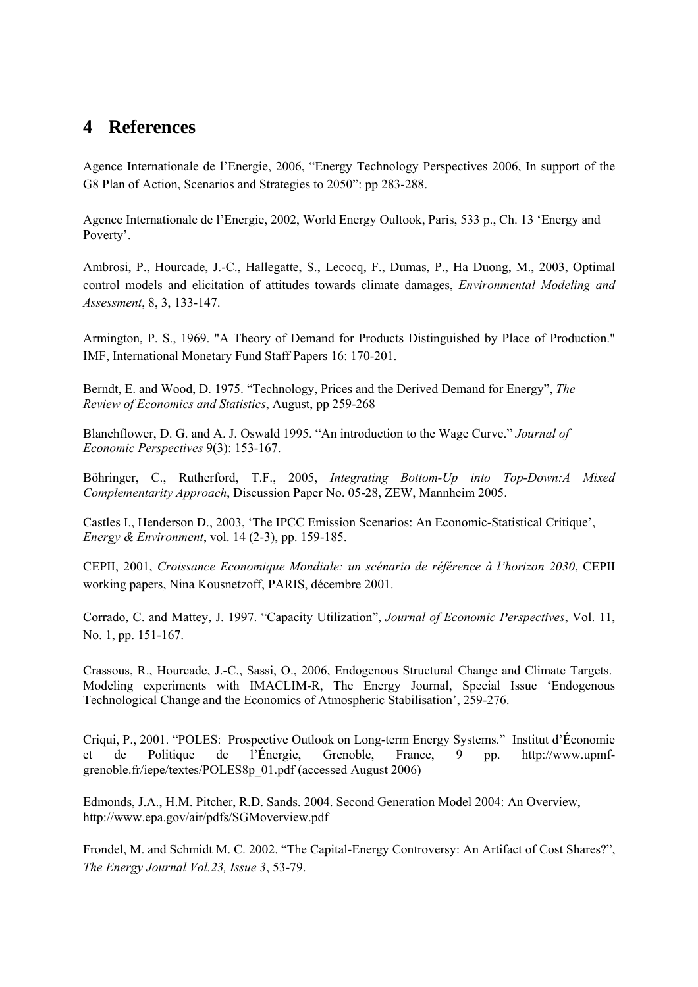# <span id="page-52-0"></span>**4 References**

Agence Internationale de l'Energie, 2006, "Energy Technology Perspectives 2006, In support of the G8 Plan of Action, Scenarios and Strategies to 2050": pp 283-288.

Agence Internationale de l'Energie, 2002, World Energy Oultook, Paris, 533 p., Ch. 13 'Energy and Poverty'.

Ambrosi, P., Hourcade, J.-C., Hallegatte, S., Lecocq, F., Dumas, P., Ha Duong, M., 2003, Optimal control models and elicitation of attitudes towards climate damages, *Environmental Modeling and Assessment*, 8, 3, 133-147.

Armington, P. S., 1969. "A Theory of Demand for Products Distinguished by Place of Production." IMF, International Monetary Fund Staff Papers 16: 170-201.

Berndt, E. and Wood, D. 1975. "Technology, Prices and the Derived Demand for Energy", *The Review of Economics and Statistics*, August, pp 259-268

Blanchflower, D. G. and A. J. Oswald 1995. "An introduction to the Wage Curve." *Journal of Economic Perspectives* 9(3): 153-167.

Böhringer, C., Rutherford, T.F., 2005, *Integrating Bottom-Up into Top-Down:A Mixed Complementarity Approach*, Discussion Paper No. 05-28, ZEW, Mannheim 2005.

Castles I., Henderson D., 2003, 'The IPCC Emission Scenarios: An Economic-Statistical Critique', *[Energy & Environment](http://www.ingentaconnect.com/content/mscp/ene;jsessionid=1k76x85gigch1.henrietta)*, vol. 14 (2-3), pp. 159-185.

CEPII, 2001, *Croissance Economique Mondiale: un scénario de référence à l'horizon 2030*, CEPII working papers, Nina Kousnetzoff, PARIS, décembre 2001.

Corrado, C. and Mattey, J. 1997. "Capacity Utilization", *Journal of Economic Perspectives*, Vol. 11, No. 1, pp. 151-167.

Crassous, R., Hourcade, J.-C., Sassi, O., 2006, Endogenous Structural Change and Climate Targets. Modeling experiments with IMACLIM-R, The Energy Journal, Special Issue 'Endogenous Technological Change and the Economics of Atmospheric Stabilisation', 259-276.

Criqui, P., 2001. "POLES: Prospective Outlook on Long-term Energy Systems." Institut d'Économie et de Politique de l'Énergie, Grenoble, France, 9 pp. http://www.upmfgrenoble.fr/iepe/textes/POLES8p\_01.pdf (accessed August 2006)

Edmonds, J.A., H.M. Pitcher, R.D. Sands. 2004. Second Generation Model 2004: An Overview, http://www.epa.gov/air/pdfs/SGMoverview.pdf

Frondel, M. and Schmidt M. C. 2002. "The Capital-Energy Controversy: An Artifact of Cost Shares?", *The Energy Journal Vol.23, Issue 3*, 53-79.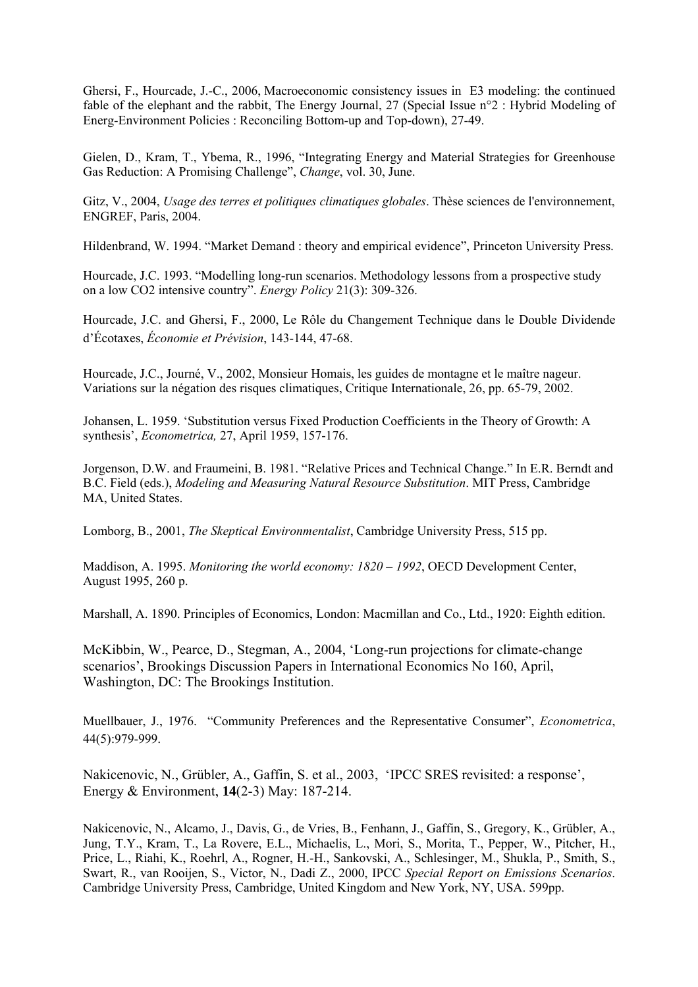Ghersi, F., Hourcade, J.-C., 2006, Macroeconomic consistency issues in E3 modeling: the continued fable of the elephant and the rabbit, The Energy Journal, 27 (Special Issue n°2 : Hybrid Modeling of Energ-Environment Policies : Reconciling Bottom-up and Top-down), 27-49.

Gielen, D., Kram, T., Ybema, R., 1996, "Integrating Energy and Material Strategies for Greenhouse Gas Reduction: A Promising Challenge", *Change*, vol. 30, June.

Gitz, V., 2004, *Usage des terres et politiques climatiques globales*. Thèse sciences de l'environnement, ENGREF, Paris, 2004.

Hildenbrand, W. 1994. "Market Demand : theory and empirical evidence", Princeton University Press.

Hourcade, J.C. 1993. "Modelling long-run scenarios. Methodology lessons from a prospective study on a low CO2 intensive country". *Energy Policy* 21(3): 309-326.

Hourcade, J.C. and Ghersi, F., 2000, Le Rôle du Changement Technique dans le Double Dividende d'Écotaxes, *Économie et Prévision*, 143-144, 47-68.

Hourcade, J.C., Journé, V., 2002, Monsieur Homais, les guides de montagne et le maître nageur. Variations sur la négation des risques climatiques, Critique Internationale, 26, pp. 65-79, 2002.

Johansen, L. 1959. 'Substitution versus Fixed Production Coefficients in the Theory of Growth: A synthesis', *Econometrica,* 27, April 1959, 157-176.

Jorgenson, D.W. and Fraumeini, B. 1981. "Relative Prices and Technical Change." In E.R. Berndt and B.C. Field (eds.), *Modeling and Measuring Natural Resource Substitution*. MIT Press, Cambridge MA, United States.

Lomborg, B., 2001, *The Skeptical Environmentalist*, Cambridge University Press, 515 pp.

Maddison, A. 1995. *Monitoring the world economy: 1820 – 1992*, OECD Development Center, August 1995, 260 p.

Marshall, A. 1890. Principles of Economics, London: Macmillan and Co., Ltd., 1920: Eighth edition.

McKibbin, W., Pearce, D., Stegman, A., 2004, 'Long-run projections for climate-change scenarios', Brookings Discussion Papers in International Economics No 160, April, Washington, DC: The Brookings Institution.

Muellbauer, J., 1976. "Community Preferences and the Representative Consumer", *Econometrica*, 44(5):979-999.

Nakicenovic, N., Grübler, A., Gaffin, S. et al., 2003, 'IPCC SRES revisited: a response', Energy & Environment, **14**(2-3) May: 187-214.

Nakicenovic, N., Alcamo, J., Davis, G., de Vries, B., Fenhann, J., Gaffin, S., Gregory, K., Grübler, A., Jung, T.Y., Kram, T., La Rovere, E.L., Michaelis, L., Mori, S., Morita, T., Pepper, W., Pitcher, H., Price, L., Riahi, K., Roehrl, A., Rogner, H.-H., Sankovski, A., Schlesinger, M., Shukla, P., Smith, S., Swart, R., van Rooijen, S., Victor, N., Dadi Z., 2000, IPCC *Special Report on Emissions Scenarios*. Cambridge University Press, Cambridge, United Kingdom and New York, NY, USA. 599pp.